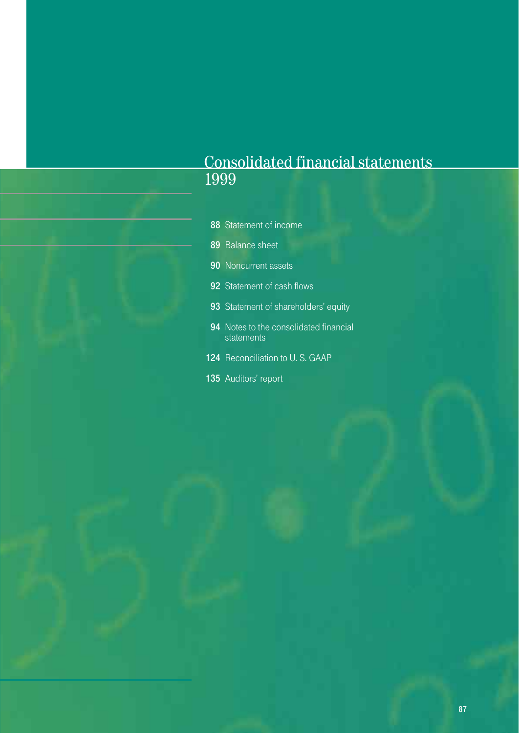- 88 Statement of income
- 89 Balance sheet
- **90** Noncurrent assets
- 92 Statement of cash flows
- 93 Statement of shareholders' equity
- 94 Notes to the consolidated financial statements
- 124 Reconciliation to U.S. GAAP
- 135 Auditors' report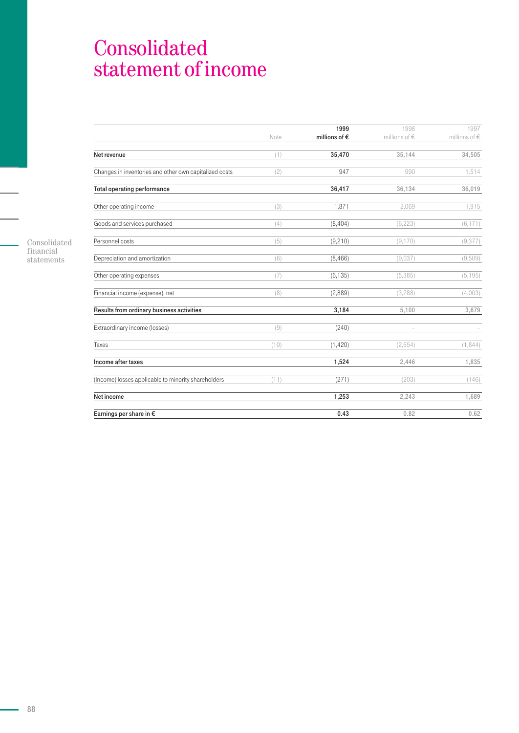# Consolidated statement of income

|                                                        |      | 1999                   | 1998              | 1997              |
|--------------------------------------------------------|------|------------------------|-------------------|-------------------|
|                                                        | Note | millions of $\epsilon$ | millions of $\in$ | millions of $\in$ |
| Net revenue                                            | (1)  | 35,470                 | 35,144            | 34,505            |
| Changes in inventories and other own capitalized costs | (2)  | 947                    | 990               | 1,514             |
| <b>Total operating performance</b>                     |      | 36,417                 | 36,134            | 36,019            |
| Other operating income                                 | (3)  | 1,871                  | 2,069             | 1,915             |
| Goods and services purchased                           | (4)  | (8, 404)               | (6, 223)          | (6, 171)          |
| Personnel costs                                        | (5)  | (9,210)                | (9, 170)          | (9, 377)          |
| Depreciation and amortization                          | (6)  | (8, 466)               | (9,037)           | (9,509)           |
| Other operating expenses                               | (7)  | (6, 135)               | (5, 385)          | (5, 195)          |
| Financial income (expense), net                        | (8)  | (2,889)                | (3,288)           | (4,003)           |
| Results from ordinary business activities              |      | 3,184                  | 5,100             | 3,679             |
| Extraordinary income (losses)                          | (9)  | (240)                  |                   |                   |
| <b>Taxes</b>                                           | (10) | (1,420)                | (2,654)           | (1,844)           |
| Income after taxes                                     |      | 1,524                  | 2,446             | 1,835             |
| (Income) losses applicable to minority shareholders    | (11) | (271)                  | (203)             | (146)             |
| Net income                                             |      | 1,253                  | 2,243             | 1,689             |
| Earnings per share in $\epsilon$                       |      | 0.43                   | 0.82              | 0.62              |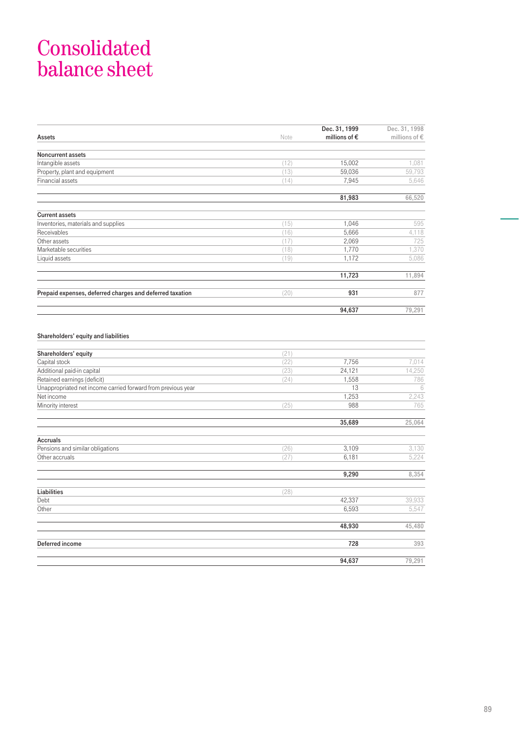# Consolidated balance sheet

| Assets                                                       | Note | Dec. 31, 1999<br>millions of € | Dec. 31, 1998<br>millions of € |
|--------------------------------------------------------------|------|--------------------------------|--------------------------------|
| Noncurrent assets                                            |      |                                |                                |
| Intangible assets                                            | (12) | 15,002                         | 1,081                          |
| Property, plant and equipment                                | (13) | 59,036                         | 59,793                         |
| Financial assets                                             | (14) | 7,945                          | 5,646                          |
|                                                              |      | 81,983                         | 66,520                         |
| <b>Current assets</b>                                        |      |                                |                                |
| Inventories, materials and supplies                          | (15) | 1,046                          | 595                            |
| Receivables                                                  | (16) | 5,666                          | 4,118                          |
| Other assets                                                 | (17) | 2,069                          | 725                            |
| Marketable securities                                        | (18) | 1,770                          | 1,370                          |
| Liquid assets                                                | (19) | 1,172                          | 5,086                          |
|                                                              |      | 11,723                         | 11,894                         |
| Prepaid expenses, deferred charges and deferred taxation     | (20) | 931                            | 877                            |
|                                                              |      | 94,637                         | 79,291                         |
| Shareholders' equity and liabilities                         |      |                                |                                |
| Shareholders' equity                                         | (21) |                                |                                |
| Capital stock                                                | (22) | 7,756                          | 7,014                          |
| Additional paid-in capital                                   | (23) | 24,121                         | 14,250                         |
| Retained earnings (deficit)                                  | (24) | 1,558                          | 786                            |
| Unappropriated net income carried forward from previous year |      | 13                             | $\,6\,$                        |
| Net income<br>Minority interest                              | (25) | 1,253<br>988                   | 2,243<br>765                   |
|                                                              |      | 35,689                         | 25,064                         |
| Accruals                                                     |      |                                |                                |
| Pensions and similar obligations                             | (26) | 3,109                          | 3,130                          |
| Other accruals                                               | (27) | 6,181                          | 5,224                          |
|                                                              |      | 9,290                          | 8,354                          |
| Liabilities                                                  | (28) |                                |                                |
| Debt                                                         |      | 42,337                         | 39,933                         |
| Other                                                        |      | 6,593                          | 5,547                          |
|                                                              |      | 48,930                         | 45,480                         |
| Deferred income                                              |      | 728                            | 393                            |
|                                                              |      | 94,637                         | 79,291                         |
|                                                              |      |                                |                                |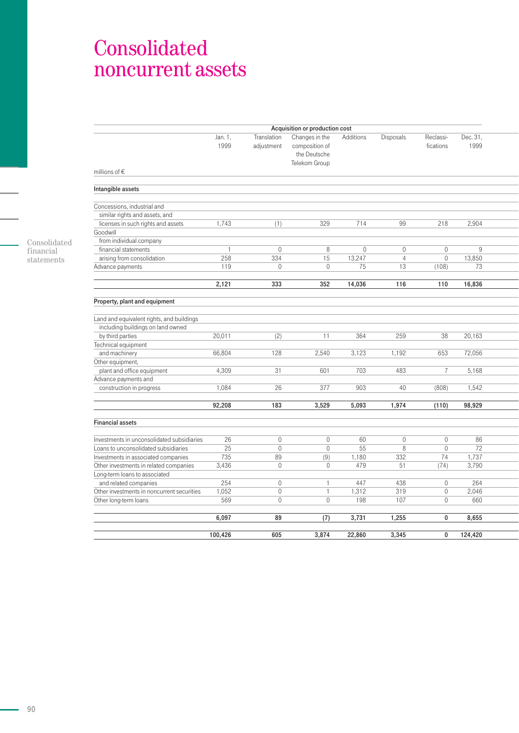# Consolidated noncurrent assets

|                                                                                |                 |                           | Acquisition or production cost                                    |           |                |                        |                  |  |
|--------------------------------------------------------------------------------|-----------------|---------------------------|-------------------------------------------------------------------|-----------|----------------|------------------------|------------------|--|
|                                                                                | Jan. 1,<br>1999 | Translation<br>adjustment | Changes in the<br>composition of<br>the Deutsche<br>Telekom Group | Additions | Disposals      | Reclassi-<br>fications | Dec. 31,<br>1999 |  |
| millions of $\in$                                                              |                 |                           |                                                                   |           |                |                        |                  |  |
| Intangible assets                                                              |                 |                           |                                                                   |           |                |                        |                  |  |
| Concessions, industrial and                                                    |                 |                           |                                                                   |           |                |                        |                  |  |
| similar rights and assets, and                                                 |                 |                           |                                                                   |           |                |                        |                  |  |
| licenses in such rights and assets                                             | 1,743           | (1)                       | 329                                                               | 714       | 99             | 218                    | 2,904            |  |
| Goodwill                                                                       |                 |                           |                                                                   |           |                |                        |                  |  |
| from individual company                                                        |                 |                           |                                                                   |           |                |                        |                  |  |
| financial statements                                                           | $\mathbf{1}$    | $\mathbf 0$               | 8                                                                 | $\Omega$  | $\Omega$       | $\Omega$               | 9                |  |
| arising from consolidation                                                     | 258             | 334                       | 15                                                                | 13,247    | $\overline{4}$ | $\Omega$               | 13,850           |  |
| Advance payments                                                               | 119             | $\Omega$                  | $\Omega$                                                          | 75        | 13             | (108)                  | 73               |  |
|                                                                                | 2,121           | 333                       | 352                                                               | 14,036    | 116            | 110                    | 16,836           |  |
| Property, plant and equipment                                                  |                 |                           |                                                                   |           |                |                        |                  |  |
| Land and equivalent rights, and buildings<br>including buildings on land owned |                 |                           |                                                                   |           |                |                        |                  |  |
| by third parties                                                               | 20,011          | (2)                       | 11                                                                | 364       | 259            | 38                     | 20,163           |  |
| Technical equipment                                                            |                 |                           |                                                                   |           |                |                        |                  |  |
| and machinery                                                                  | 66,804          | 128                       | 2,540                                                             | 3,123     | 1,192          | 653                    | 72,056           |  |
| Other equipment,                                                               |                 |                           |                                                                   |           |                |                        |                  |  |
| plant and office equipment                                                     | 4,309           | 31                        | 601                                                               | 703       | 483            | $\overline{7}$         | 5,168            |  |
| Advance payments and                                                           |                 |                           |                                                                   |           |                |                        |                  |  |
| construction in progress                                                       | 1,084           | 26                        | 377                                                               | 903       | 40             | (808)                  | 1,542            |  |
|                                                                                |                 |                           |                                                                   |           |                |                        |                  |  |
|                                                                                | 92,208          | 183                       | 3,529                                                             | 5,093     | 1,974          | (110)                  | 98,929           |  |
| <b>Financial assets</b>                                                        |                 |                           |                                                                   |           |                |                        |                  |  |
| Investments in unconsolidated subsidiaries                                     | 26              | 0                         | $\mathbf{0}$                                                      | 60        | $\mathbf{0}$   | $\mathbf{0}$           | 86               |  |
| Loans to unconsolidated subsidiaries                                           | 25              | $\mathbf 0$               | $\Omega$                                                          | 55        | 8              | $\mathbf{0}$           | 72               |  |
| Investments in associated companies                                            | 735             | 89                        | (9)                                                               | 1,180     | 332            | 74                     | 1,737            |  |
| Other investments in related companies                                         | 3,436           | $\overline{0}$            | $\Omega$                                                          | 479       | 51             | (74)                   | 3,790            |  |
| Long-term loans to associated                                                  |                 |                           |                                                                   |           |                |                        |                  |  |
| and related companies                                                          | 254             | $\mathbf 0$               | $\mathbf{1}$                                                      | 447       | 438            | $\mathbf{0}$           | 264              |  |
| Other investments in noncurrent securities                                     | 1,052           | $\mathbf 0$               | $\mathbf{1}$                                                      | 1,312     | 319            | $\mathbf{0}$           | 2,046            |  |
| Other long-term loans                                                          | 569             | $\Omega$                  | $\Omega$                                                          | 198       | 107            | $\mathbf{0}$           | 660              |  |
|                                                                                |                 |                           |                                                                   |           |                |                        |                  |  |
|                                                                                | 6,097           | 89                        | (7)                                                               | 3,731     | 1,255          | $\mathbf 0$            | 8,655            |  |
|                                                                                |                 |                           |                                                                   |           |                |                        |                  |  |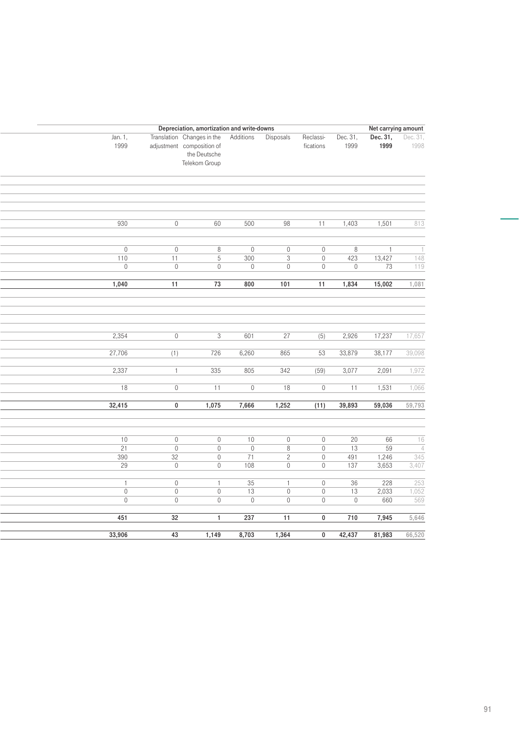| Depreciation, amortization and write-downs |                                |                                                                                          |                                |                     |                            |                  |                        |                     |  |
|--------------------------------------------|--------------------------------|------------------------------------------------------------------------------------------|--------------------------------|---------------------|----------------------------|------------------|------------------------|---------------------|--|
| Jan. 1,<br>1999                            |                                | Translation Changes in the<br>adjustment composition of<br>the Deutsche<br>Telekom Group | Additions                      | Disposals           | Reclassi-<br>fications     | Dec. 31,<br>1999 | Dec. 31,<br>1999       | Dec. 31,<br>1998    |  |
|                                            |                                |                                                                                          |                                |                     |                            |                  |                        |                     |  |
| 930                                        | $\mathbb O$                    | 60                                                                                       | 500                            | $98\,$              | 11                         | 1,403            | 1,501                  | 813                 |  |
| $\mathbf 0$<br>110                         | $\mathbb O$<br>$\overline{11}$ | $\,8\,$<br>$\,$ 5 $\,$                                                                   | $\mathbf 0$<br>300             | $\mathbb O$<br>3    | $\mathbb O$<br>$\mathbb O$ | $\,8\,$<br>423   | $\mathbf{1}$<br>13,427 | $\mathbf{1}$<br>148 |  |
| $\overline{0}$                             | $\mathbf 0$                    | $\,0\,$                                                                                  | $\mathbf 0$                    | $\overline{0}$      | $\mathbf 0$                | $\mathbb O$      | 73                     | 119                 |  |
| 1,040                                      | 11                             | 73                                                                                       | 800                            | $\overline{101}$    | 11                         | 1,834            | 15,002                 | 1,081               |  |
|                                            |                                |                                                                                          |                                |                     |                            |                  |                        |                     |  |
|                                            |                                |                                                                                          |                                |                     |                            |                  |                        |                     |  |
| 2,354                                      | $\mathbb O$                    | $\ensuremath{\mathsf{3}}$                                                                | 601                            | 27                  | (5)                        | 2,926            | 17,237                 | 17,657              |  |
| 27,706                                     | (1)                            | 726                                                                                      | 6,260                          | 865                 | 53                         | 33,879           | 38,177                 | 39,098              |  |
| 2,337                                      | $\,$ 1 $\,$                    | 335                                                                                      | 805                            | 342                 | (59)                       | 3,077            | 2,091                  | 1,972               |  |
| 18                                         | $\overline{0}$                 | 11                                                                                       | $\boldsymbol{0}$               | 18                  | $\boldsymbol{0}$           | 11               | 1,531                  | 1,066               |  |
| 32,415                                     | $\overline{\mathbf{0}}$        | 1,075                                                                                    | 7,666                          | 1,252               | (11)                       | 39,893           | 59,036                 | 59,793              |  |
|                                            |                                |                                                                                          |                                |                     |                            |                  |                        |                     |  |
| 10                                         | $\mathbb O$                    | $\,0\,$                                                                                  | 10                             | $\mathbb O$         | $\mathbb O$                | 20               | 66                     | 16                  |  |
| 21<br>390                                  | $\mathbb O$<br>32              | $\,0\,$<br>$\,0\,$                                                                       | $\mathbf 0$<br>$\overline{71}$ | 8<br>$\overline{2}$ | $\mathbb O$<br>$\mathbf 0$ | 13<br>491        | 59<br>1,246            | $\sqrt{4}$<br>345   |  |
| 29                                         | $\mathbf 0$                    | $\mathbf 0$                                                                              | 108                            | $\mathbf 0$         | $\mathbf 0$                | 137              | 3,653                  | 3,407               |  |
|                                            |                                |                                                                                          |                                |                     |                            |                  |                        |                     |  |
| $\mathbf{1}$                               | $\overline{0}$                 | $\mathbf{1}$                                                                             | 35                             | $\mathbf{1}$        | $\overline{0}$             | 36               | 228                    | 253                 |  |
| $\mathbb O$                                | $\mathbf 0$                    | $\,0\,$                                                                                  | 13                             | $\mathbb O$         | $\mathbb O$                | 13               | 2,033                  | 1,052               |  |
| $\overline{0}$                             | $\overline{0}$                 | $\,0\,$                                                                                  | $\mathbf 0$                    | $\overline{0}$      | $\mathbb O$                | $\mathbb O$      | 660                    | 569                 |  |
| 451                                        | $\overline{32}$                | $\mathbf{1}$                                                                             | 237                            | 11                  | 0                          | 710              | 7,945                  | 5,646               |  |
| 33,906                                     | 43                             | 1,149                                                                                    | 8,703                          | 1,364               | 0                          | 42,437           | 81,983                 | 66,520              |  |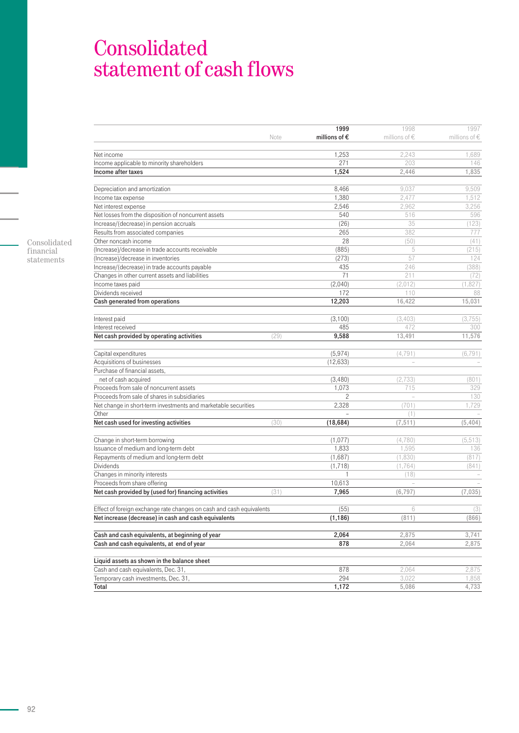# Consolidated statement of cash flows

| Consolidated |  |
|--------------|--|
| financial    |  |
| statements   |  |

|                                                                      | 1999                   | 1998              | 1997              |
|----------------------------------------------------------------------|------------------------|-------------------|-------------------|
| Note                                                                 | millions of $\epsilon$ | millions of $\in$ | millions of $\in$ |
| Net income                                                           | 1,253                  | 2,243             | 1.689             |
| Income applicable to minority shareholders                           | 271                    | 203               | 146               |
| Income after taxes                                                   | 1,524                  | 2,446             | 1.835             |
|                                                                      |                        |                   |                   |
| Depreciation and amortization                                        | 8,466                  | 9,037             | 9,509             |
| Income tax expense                                                   | 1,380                  | 2,477             | 1,512             |
| Net interest expense                                                 | 2,546                  | 2,962             | 3,256             |
| Net losses from the disposition of noncurrent assets                 | 540                    | 516               | 596               |
| Increase/(decrease) in pension accruals                              | (26)                   | 35                | (123)             |
| Results from associated companies                                    | 265                    | 382               | 777               |
| Other noncash income                                                 | 28                     | (50)              | (41)              |
| (Increase)/decrease in trade accounts receivable                     | (885)                  | 5                 | (215)             |
| (Increase)/decrease in inventories                                   | (273)                  | 57                | 124               |
| Increase/(decrease) in trade accounts payable                        | 435                    | 246               | (388)             |
| Changes in other current assets and liabilities                      | 71                     | 211               | (72)              |
| Income taxes paid                                                    | (2,040)                | (2,012)           | (1,827)           |
| Dividends received                                                   | 172                    | 110               | 88                |
| Cash generated from operations                                       | 12,203                 | 16,422            | 15,031            |
|                                                                      |                        |                   |                   |
| Interest paid                                                        | (3, 100)               | (3,403)           | (3, 755)          |
| Interest received                                                    | 485                    | 472               | 300               |
| Net cash provided by operating activities<br>(29)                    | 9,588                  | 13,491            | 11,576            |
| Capital expenditures                                                 | (5, 974)               | (4, 791)          | (6, 791)          |
| Acquisitions of businesses                                           | (12, 633)              |                   |                   |
| Purchase of financial assets,                                        |                        |                   |                   |
| net of cash acquired                                                 | (3,480)                | (2,733)           | (801)             |
| Proceeds from sale of noncurrent assets                              | 1,073                  | 715               | 329               |
| Proceeds from sale of shares in subsidiaries                         | $\overline{c}$         |                   | 130               |
| Net change in short-term investments and marketable securities       | 2,328                  | (701)             | 1,729             |
| Other                                                                |                        | (1)               |                   |
| Net cash used for investing activities<br>(30)                       | (18, 684)              | (7, 511)          | (5, 404)          |
|                                                                      |                        |                   |                   |
| Change in short-term borrowing                                       | (1,077)                | (4,780)           | (5, 513)          |
| Issuance of medium and long-term debt                                | 1,833                  | 1,595             | 136               |
| Repayments of medium and long-term debt                              | (1,687)                | (1,830)           | (817)             |
| Dividends                                                            | (1, 718)               | (1, 764)          | (841)             |
| Changes in minority interests                                        | $\mathbf{1}$           | (18)              |                   |
| Proceeds from share offering                                         | 10,613                 |                   |                   |
| Net cash provided by (used for) financing activities<br>(31)         | 7,965                  | (6, 797)          | (7,035)           |
| Effect of foreign exchange rate changes on cash and cash equivalents | (55)                   | 6                 | (3)               |
| Net increase (decrease) in cash and cash equivalents                 | (1, 186)               | (811)             | (866)             |
|                                                                      |                        |                   |                   |
| Cash and cash equivalents, at beginning of year                      | 2,064                  | 2,875             | 3,741             |
| Cash and cash equivalents, at end of year                            | 878                    | 2,064             | 2,875             |
| Liquid assets as shown in the balance sheet                          |                        |                   |                   |
| Cash and cash equivalents, Dec. 31,                                  | 878                    | 2,064             | 2,875             |
| Temporary cash investments, Dec. 31,                                 | 294                    | 3,022             | 1,858             |
| Total                                                                | 1,172                  | 5,086             | 4,733             |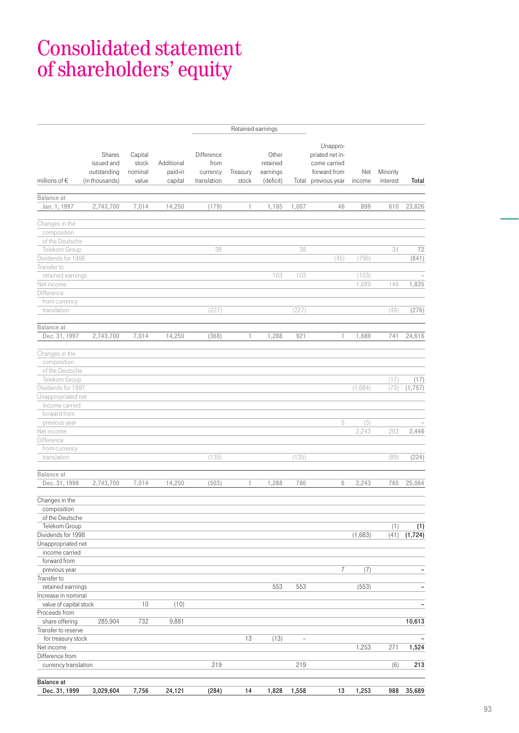# Consolidated statement of shareholders' equity

|                               |                                                       |                                      |                                  |                                               | Retained earnings |                                            |                          |                                                                              |               |                      |                                                                           |
|-------------------------------|-------------------------------------------------------|--------------------------------------|----------------------------------|-----------------------------------------------|-------------------|--------------------------------------------|--------------------------|------------------------------------------------------------------------------|---------------|----------------------|---------------------------------------------------------------------------|
| millions of $\in$             | Shares<br>issued and<br>outstanding<br>(in thousands) | Capital<br>stock<br>nominal<br>value | Additional<br>paid-in<br>capital | Difference<br>from<br>currency<br>translation | Treasury<br>stock | Other<br>retained<br>earnings<br>(deficit) | Total                    | Unappro-<br>priated net in-<br>come carried<br>forward from<br>previous year | Net<br>income | Minority<br>interest | Total                                                                     |
| <b>Balance</b> at             |                                                       |                                      |                                  |                                               |                   |                                            |                          |                                                                              |               |                      |                                                                           |
| Jan. 1, 1997                  | 2,743,700                                             | 7,014                                | 14,250                           | (179)                                         | 1                 | 1,185                                      | 1,007                    | 46                                                                           | 899           | 610                  | 23,826                                                                    |
|                               |                                                       |                                      |                                  |                                               |                   |                                            |                          |                                                                              |               |                      |                                                                           |
| Changes in the<br>composition |                                                       |                                      |                                  |                                               |                   |                                            |                          |                                                                              |               |                      |                                                                           |
| of the Deutsche               |                                                       |                                      |                                  |                                               |                   |                                            |                          |                                                                              |               |                      |                                                                           |
| Telekom Group                 |                                                       |                                      |                                  | 38                                            |                   |                                            | 38                       |                                                                              |               | 34                   | 72                                                                        |
| Dividends for 1996            |                                                       |                                      |                                  |                                               |                   |                                            |                          | (45)                                                                         | (796)         |                      | (841)                                                                     |
| Transfer to                   |                                                       |                                      |                                  |                                               |                   |                                            |                          |                                                                              |               |                      |                                                                           |
| retained earnings             |                                                       |                                      |                                  |                                               |                   | 103                                        | 103                      |                                                                              | (103)         |                      | $\hspace{1.0cm} \rule{1.5cm}{0.15cm} \hspace{1.0cm} \rule{1.5cm}{0.15cm}$ |
| Net income                    |                                                       |                                      |                                  |                                               |                   |                                            |                          |                                                                              | 1,689         | 146                  | 1,835                                                                     |
| Difference                    |                                                       |                                      |                                  |                                               |                   |                                            |                          |                                                                              |               |                      |                                                                           |
| from currency                 |                                                       |                                      |                                  |                                               |                   |                                            |                          |                                                                              |               |                      |                                                                           |
| translation                   |                                                       |                                      |                                  | (227)                                         |                   |                                            | (227)                    |                                                                              |               | (49)                 | (276)                                                                     |
| <b>Balance</b> at             |                                                       |                                      |                                  |                                               |                   |                                            |                          |                                                                              |               |                      |                                                                           |
| Dec. 31, 1997                 | 2,743,700                                             | 7,014                                | 14,250                           | (368)                                         | $\mathbf{1}$      | 1,288                                      | 921                      | 1                                                                            | 1,689         | 741                  | 24,616                                                                    |
| Changes in the                |                                                       |                                      |                                  |                                               |                   |                                            |                          |                                                                              |               |                      |                                                                           |
| composition                   |                                                       |                                      |                                  |                                               |                   |                                            |                          |                                                                              |               |                      |                                                                           |
| of the Deutsche               |                                                       |                                      |                                  |                                               |                   |                                            |                          |                                                                              |               |                      |                                                                           |
| Telekom Group                 |                                                       |                                      |                                  |                                               |                   |                                            |                          |                                                                              |               | (17)                 | (17)                                                                      |
| Dividends for 1997            |                                                       |                                      |                                  |                                               |                   |                                            |                          |                                                                              | (1,684)       | (73)                 | (1,757)                                                                   |
| Unappropriated net            |                                                       |                                      |                                  |                                               |                   |                                            |                          |                                                                              |               |                      |                                                                           |
| income carried                |                                                       |                                      |                                  |                                               |                   |                                            |                          |                                                                              |               |                      |                                                                           |
| forward from                  |                                                       |                                      |                                  |                                               |                   |                                            |                          |                                                                              |               |                      |                                                                           |
| previous year                 |                                                       |                                      |                                  |                                               |                   |                                            |                          | 5                                                                            | (5)           |                      |                                                                           |
| Net income                    |                                                       |                                      |                                  |                                               |                   |                                            |                          |                                                                              | 2,243         | 203                  | 2,446                                                                     |
| Difference                    |                                                       |                                      |                                  |                                               |                   |                                            |                          |                                                                              |               |                      |                                                                           |
| from currency<br>translation  |                                                       |                                      |                                  | (135)                                         |                   |                                            | (135)                    |                                                                              |               | (89)                 | (224)                                                                     |
|                               |                                                       |                                      |                                  |                                               |                   |                                            |                          |                                                                              |               |                      |                                                                           |
| <b>Balance</b> at             |                                                       |                                      |                                  |                                               |                   |                                            |                          |                                                                              |               |                      |                                                                           |
| Dec. 31, 1998                 | 2,743,700                                             | 7,014                                | 14,250                           | (503)                                         | 1                 | 1,288                                      | 786                      | 6                                                                            | 2,243         | 765                  | 25,064                                                                    |
| Changes in the                |                                                       |                                      |                                  |                                               |                   |                                            |                          |                                                                              |               |                      |                                                                           |
| composition                   |                                                       |                                      |                                  |                                               |                   |                                            |                          |                                                                              |               |                      |                                                                           |
| of the Deutsche               |                                                       |                                      |                                  |                                               |                   |                                            |                          |                                                                              |               |                      |                                                                           |
| Telekom Group                 |                                                       |                                      |                                  |                                               |                   |                                            |                          |                                                                              |               | (1)                  | (1)                                                                       |
| Dividends for 1998            |                                                       |                                      |                                  |                                               |                   |                                            |                          |                                                                              | (1,683)       | (41)                 | (1, 724)                                                                  |
| Unappropriated net            |                                                       |                                      |                                  |                                               |                   |                                            |                          |                                                                              |               |                      |                                                                           |
| income carried                |                                                       |                                      |                                  |                                               |                   |                                            |                          |                                                                              |               |                      |                                                                           |
| forward from                  |                                                       |                                      |                                  |                                               |                   |                                            |                          |                                                                              |               |                      |                                                                           |
| previous year<br>Transfer to  |                                                       |                                      |                                  |                                               |                   |                                            |                          | 7                                                                            | (7)           |                      |                                                                           |
| retained earnings             |                                                       |                                      |                                  |                                               |                   | 553                                        | 553                      |                                                                              | (553)         |                      |                                                                           |
| Increase in nominal           |                                                       |                                      |                                  |                                               |                   |                                            |                          |                                                                              |               |                      |                                                                           |
| value of capital stock        |                                                       | 10                                   | (10)                             |                                               |                   |                                            |                          |                                                                              |               |                      |                                                                           |
| Proceeds from                 |                                                       |                                      |                                  |                                               |                   |                                            |                          |                                                                              |               |                      |                                                                           |
| share offering                | 285,904                                               | 732                                  | 9,881                            |                                               |                   |                                            |                          |                                                                              |               |                      | 10,613                                                                    |
| Transfer to reserve           |                                                       |                                      |                                  |                                               |                   |                                            |                          |                                                                              |               |                      |                                                                           |
| for treasury stock            |                                                       |                                      |                                  |                                               | 13                | (13)                                       | $\overline{\phantom{a}}$ |                                                                              |               |                      |                                                                           |
| Net income                    |                                                       |                                      |                                  |                                               |                   |                                            |                          |                                                                              | 1,253         | 271                  | 1,524                                                                     |
| Difference from               |                                                       |                                      |                                  |                                               |                   |                                            |                          |                                                                              |               |                      |                                                                           |
| currency translation          |                                                       |                                      |                                  | 219                                           |                   |                                            | 219                      |                                                                              |               | (6)                  | 213                                                                       |
| <b>Balance</b> at             |                                                       |                                      |                                  |                                               |                   |                                            |                          |                                                                              |               |                      |                                                                           |
| Dec. 31, 1999                 | 3,029,604                                             | 7,756                                | 24,121                           | (284)                                         | 14                | 1,828                                      | 1,558                    | 13                                                                           | 1,253         | 988                  | 35,689                                                                    |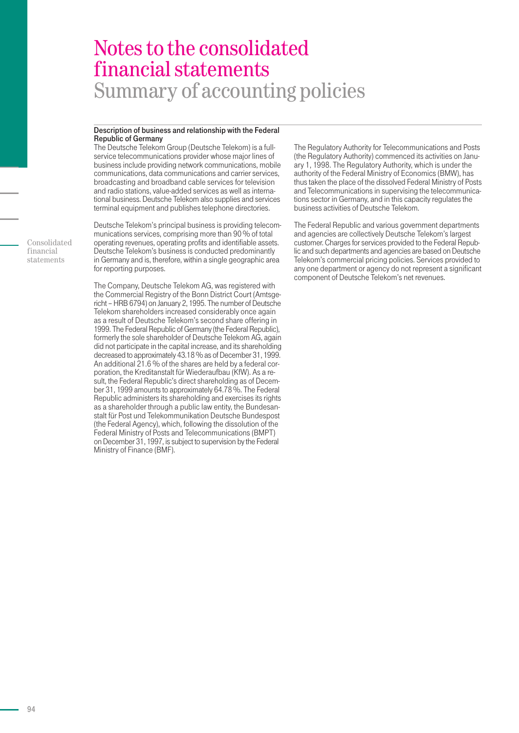## Notes to the consolidated financial statements Summary of accounting policies

## Description of business and relationship with the Federal Republic of Germany

The Deutsche Telekom Group (Deutsche Telekom) is a fullservice telecommunications provider whose major lines of business include providing network communications, mobile communications, data communications and carrier services, broadcasting and broadband cable services for television and radio stations, value-added services as well as international business. Deutsche Telekom also supplies and services terminal equipment and publishes telephone directories.

Deutsche Telekom's principal business is providing telecommunications services, comprising more than 90 % of total operating revenues, operating profits and identifiable assets. Deutsche Telekom's business is conducted predominantly in Germany and is, therefore, within a single geographic area for reporting purposes.

The Company, Deutsche Telekom AG, was registered with the Commercial Registry of the Bonn District Court (Amtsgericht – HRB 6794) on January 2, 1995. The number of Deutsche Telekom shareholders increased considerably once again as a result of Deutsche Telekom's second share offering in 1999. The Federal Republic of Germany (the Federal Republic), formerly the sole shareholder of Deutsche Telekom AG, again did not participate in the capital increase, and its shareholding decreased to approximately 43.18 % as of December 31, 1999. An additional 21.6 % of the shares are held by a federal corporation, the Kreditanstalt für Wiederaufbau (KfW). As a result, the Federal Republic's direct shareholding as of December 31, 1999 amounts to approximately 64.78 %. The Federal Republic administers its shareholding and exercises its rights as a shareholder through a public law entity, the Bundesanstalt für Post und Telekommunikation Deutsche Bundespost (the Federal Agency), which, following the dissolution of the Federal Ministry of Posts and Telecommunications (BMPT) on December 31, 1997, is subject to supervision by the Federal Ministry of Finance (BMF).

The Regulatory Authority for Telecommunications and Posts (the Regulatory Authority) commenced its activities on January 1, 1998. The Regulatory Authority, which is under the authority of the Federal Ministry of Economics (BMW), has thus taken the place of the dissolved Federal Ministry of Posts and Telecommunications in supervising the telecommunications sector in Germany, and in this capacity regulates the business activities of Deutsche Telekom.

The Federal Republic and various government departments and agencies are collectively Deutsche Telekom's largest customer. Charges for services provided to the Federal Republic and such departments and agencies are based on Deutsche Telekom's commercial pricing policies. Services provided to any one department or agency do not represent a significant component of Deutsche Telekom's net revenues.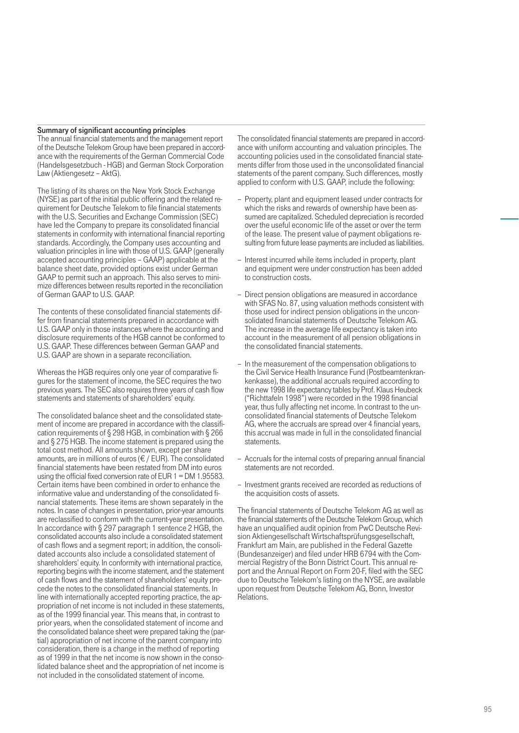#### Summary of significant accounting principles

The annual financial statements and the management report of the Deutsche Telekom Group have been prepared in accordance with the requirements of the German Commercial Code (Handelsgesetzbuch - HGB) and German Stock Corporation Law (Aktiengesetz – AktG).

The listing of its shares on the New York Stock Exchange (NYSE) as part of the initial public offering and the related requirement for Deutsche Telekom to file financial statements with the U.S. Securities and Exchange Commission (SEC) have led the Company to prepare its consolidated financial statements in conformity with international financial reporting standards. Accordingly, the Company uses accounting and valuation principles in line with those of U.S. GAAP (generally accepted accounting principles – GAAP) applicable at the balance sheet date, provided options exist under German GAAP to permit such an approach. This also serves to minimize differences between results reported in the reconciliation of German GAAP to U.S. GAAP.

The contents of these consolidated financial statements differ from financial statements prepared in accordance with U.S. GAAP only in those instances where the accounting and disclosure requirements of the HGB cannot be conformed to U.S. GAAP. These differences between German GAAP and U.S. GAAP are shown in a separate reconciliation.

Whereas the HGB requires only one year of comparative figures for the statement of income, the SEC requires the two previous years. The SEC also requires three years of cash flow statements and statements of shareholders' equity.

The consolidated balance sheet and the consolidated statement of income are prepared in accordance with the classification requirements of § 298 HGB, in combination with § 266 and § 275 HGB. The income statement is prepared using the total cost method. All amounts shown, except per share amounts, are in millions of euros ( $\epsilon$  / EUR). The consolidated financial statements have been restated from DM into euros using the official fixed conversion rate of EUR 1 = DM 1.95583. Certain items have been combined in order to enhance the informative value and understanding of the consolidated financial statements. These items are shown separately in the notes. In case of changes in presentation, prior-year amounts are reclassified to conform with the current-year presentation. In accordance with § 297 paragraph 1 sentence 2 HGB, the consolidated accounts also include a consolidated statement of cash flows and a segment report; in addition, the consolidated accounts also include a consolidated statement of shareholders' equity. In conformity with international practice, reporting begins with the income statement, and the statement of cash flows and the statement of shareholders' equity precede the notes to the consolidated financial statements. In line with internationally accepted reporting practice, the appropriation of net income is not included in these statements, as of the 1999 financial year. This means that, in contrast to prior years, when the consolidated statement of income and the consolidated balance sheet were prepared taking the (partial) appropriation of net income of the parent company into consideration, there is a change in the method of reporting as of 1999 in that the net income is now shown in the consolidated balance sheet and the appropriation of net income is not included in the consolidated statement of income.

The consolidated financial statements are prepared in accordance with uniform accounting and valuation principles. The accounting policies used in the consolidated financial statements differ from those used in the unconsolidated financial statements of the parent company. Such differences, mostly applied to conform with U.S. GAAP, include the following:

- Property, plant and equipment leased under contracts for which the risks and rewards of ownership have been assumed are capitalized. Scheduled depreciation is recorded over the useful economic life of the asset or over the term of the lease. The present value of payment obligations resulting from future lease payments are included as liabilities.
- Interest incurred while items included in property, plant and equipment were under construction has been added to construction costs.
- Direct pension obligations are measured in accordance with SFAS No. 87, using valuation methods consistent with those used for indirect pension obligations in the unconsolidated financial statements of Deutsche Telekom AG. The increase in the average life expectancy is taken into account in the measurement of all pension obligations in the consolidated financial statements.
- In the measurement of the compensation obligations to the Civil Service Health Insurance Fund (Postbeamtenkrankenkasse), the additional accruals required according to the new 1998 life expectancy tables by Prof. Klaus Heubeck ("Richttafeln 1998") were recorded in the 1998 financial year, thus fully affecting net income. In contrast to the unconsolidated financial statements of Deutsche Telekom AG, where the accruals are spread over 4 financial years, this accrual was made in full in the consolidated financial statements.
- Accruals for the internal costs of preparing annual financial statements are not recorded.
- Investment grants received are recorded as reductions of the acquisition costs of assets.

The financial statements of Deutsche Telekom AG as well as the financial statements of the Deutsche Telekom Group, which have an unqualified audit opinion from PwC Deutsche Revision Aktiengesellschaft Wirtschaftsprüfungsgesellschaft, Frankfurt am Main, are published in the Federal Gazette (Bundesanzeiger) and filed under HRB 6794 with the Commercial Registry of the Bonn District Court. This annual report and the Annual Report on Form 20-F, filed with the SEC due to Deutsche Telekom's listing on the NYSE, are available upon request from Deutsche Telekom AG, Bonn, Investor Relations.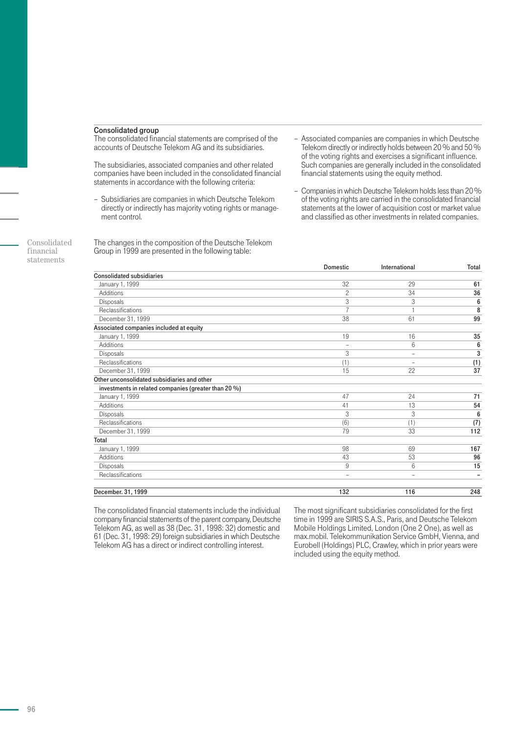#### Consolidated group

The consolidated financial statements are comprised of the accounts of Deutsche Telekom AG and its subsidiaries.

The subsidiaries, associated companies and other related companies have been included in the consolidated financial statements in accordance with the following criteria:

– Subsidiaries are companies in which Deutsche Telekom directly or indirectly has majority voting rights or management control.

Consolidated financial statements

The changes in the composition of the Deutsche Telekom Group in 1999 are presented in the following table:

- Associated companies are companies in which Deutsche Telekom directly or indirectly holds between 20 % and 50 % of the voting rights and exercises a significant influence. Such companies are generally included in the consolidated financial statements using the equity method.
- Companies in which Deutsche Telekom holds less than 20 % of the voting rights are carried in the consolidated financial statements at the lower of acquisition cost or market value and classified as other investments in related companies.

|                                                      | <b>Domestic</b>          | International            | <b>Total</b> |
|------------------------------------------------------|--------------------------|--------------------------|--------------|
| <b>Consolidated subsidiaries</b>                     |                          |                          |              |
| January 1, 1999                                      | 32                       | 29                       | 61           |
| Additions                                            | $\overline{c}$           | 34                       | 36           |
| Disposals                                            | 3                        | 3                        | 6            |
| Reclassifications                                    | $\overline{7}$           |                          | 8            |
| December 31, 1999                                    | 38                       | 61                       | 99           |
| Associated companies included at equity              |                          |                          |              |
| January 1, 1999                                      | 19                       | 16                       | 35           |
| Additions                                            |                          | 6                        | 6            |
| Disposals                                            | 3                        | $\overline{\phantom{0}}$ | 3            |
| Reclassifications                                    | (1)                      | $\overline{\phantom{0}}$ | (1)          |
| December 31, 1999                                    | 15                       | 22                       | 37           |
| Other unconsolidated subsidiaries and other          |                          |                          |              |
| investments in related companies (greater than 20 %) |                          |                          |              |
| January 1, 1999                                      | 47                       | 24                       | 71           |
| <b>Additions</b>                                     | 41                       | 13                       | 54           |
| <b>Disposals</b>                                     | 3                        | 3                        | 6            |
| Reclassifications                                    | (6)                      | (1)                      | (7)          |
| December 31, 1999                                    | 79                       | 33                       | 112          |
| Total                                                |                          |                          |              |
| January 1, 1999                                      | 98                       | 69                       | 167          |
| <b>Additions</b>                                     | 43                       | 53                       | 96           |
| <b>Disposals</b>                                     | 9                        | 6                        | 15           |
| Reclassifications                                    | $\overline{\phantom{0}}$ | $\qquad \qquad -$        | -            |
| December. 31, 1999                                   | 132                      | 116                      | 248          |

The consolidated financial statements include the individual company financial statements of the parent company, Deutsche Telekom AG, as well as 38 (Dec. 31, 1998: 32) domestic and 61 (Dec. 31, 1998: 29) foreign subsidiaries in which Deutsche Telekom AG has a direct or indirect controlling interest.

The most significant subsidiaries consolidated for the first time in 1999 are SIRIS S.A.S., Paris, and Deutsche Telekom Mobile Holdings Limited, London (One 2 One), as well as max.mobil. Telekommunikation Service GmbH, Vienna, and Eurobell (Holdings) PLC, Crawley, which in prior years were included using the equity method.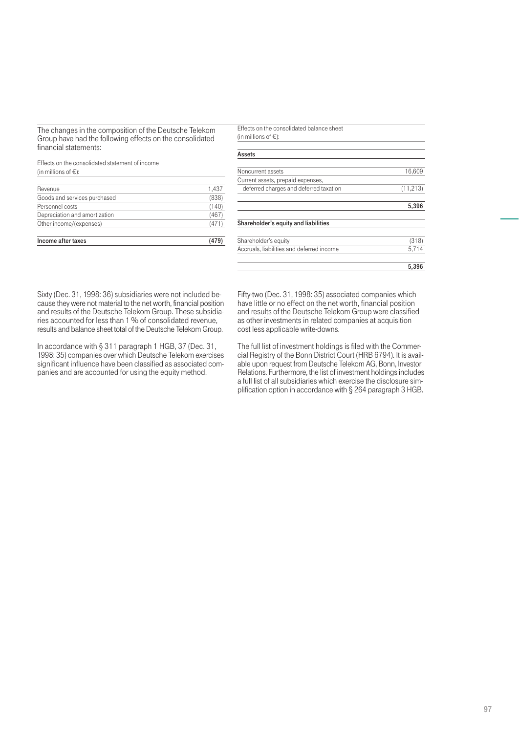The changes in the composition of the Deutsche Telekom Group have had the following effects on the consolidated financial statements:

Effects on the consolidated statement of income (in millions of  $\epsilon$ ):

| Income after taxes            |       |
|-------------------------------|-------|
| Other income/(expenses)       | (471) |
| Depreciation and amortization | (467) |
| Personnel costs               | (140) |
| Goods and services purchased  | (838) |
| Revenue                       | 1.437 |

| Effects on the consolidated balance sheet |           |
|-------------------------------------------|-----------|
| (in millions of $\epsilon$ ):             |           |
|                                           |           |
| Assets                                    |           |
|                                           |           |
| Noncurrent assets                         | 16,609    |
| Current assets, prepaid expenses,         |           |
| deferred charges and deferred taxation    | (11, 213) |
|                                           |           |
|                                           | 5,396     |
|                                           |           |
| Shareholder's equity and liabilities      |           |
|                                           |           |
| Shareholder's equity                      | (318)     |
| Accruals, liabilities and deferred income | 5.714     |
|                                           |           |
|                                           | 5.396     |

Sixty (Dec. 31, 1998: 36) subsidiaries were not included because they were not material to the net worth, financial position and results of the Deutsche Telekom Group. These subsidiaries accounted for less than 1 % of consolidated revenue, results and balance sheet total of the Deutsche Telekom Group.

In accordance with § 311 paragraph 1 HGB, 37 (Dec. 31, 1998: 35) companies over which Deutsche Telekom exercises significant influence have been classified as associated companies and are accounted for using the equity method.

Fifty-two (Dec. 31, 1998: 35) associated companies which have little or no effect on the net worth, financial position and results of the Deutsche Telekom Group were classified as other investments in related companies at acquisition cost less applicable write-downs.

The full list of investment holdings is filed with the Commercial Registry of the Bonn District Court (HRB 6794). It is available upon request from Deutsche Telekom AG, Bonn, Investor Relations. Furthermore, the list of investment holdings includes a full list of all subsidiaries which exercise the disclosure simplification option in accordance with § 264 paragraph 3 HGB.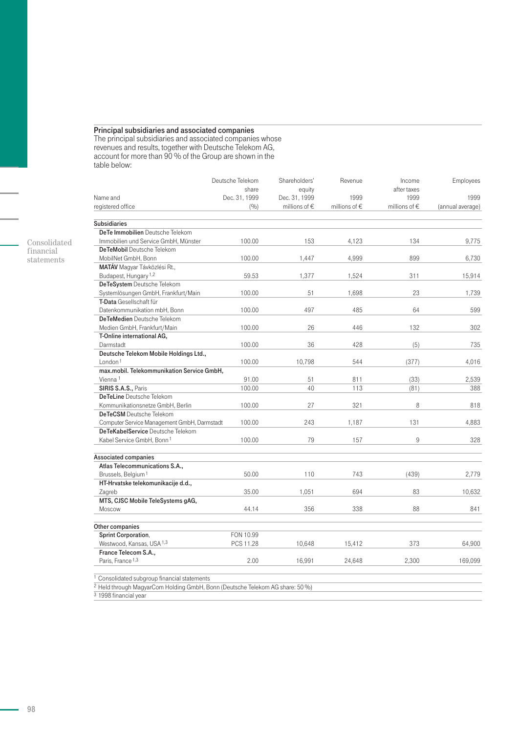#### Principal subsidiaries and associated companies

The principal subsidiaries and associated companies whose revenues and results, together with Deutsche Telekom AG, account for more than 90 % of the Group are shown in the table below:

|                                             | Deutsche Telekom | Shareholders'     | Revenue                | Income        | Employees        |
|---------------------------------------------|------------------|-------------------|------------------------|---------------|------------------|
|                                             | share            | equity            |                        | after taxes   |                  |
| Name and                                    | Dec. 31, 1999    | Dec. 31, 1999     | 1999                   | 1999          | 1999             |
| registered office                           | (9/0)            | millions of $\in$ | millions of $\epsilon$ | millions of € | (annual average) |
| <b>Subsidiaries</b>                         |                  |                   |                        |               |                  |
| DeTe Immobilien Deutsche Telekom            |                  |                   |                        |               |                  |
| Immobilien und Service GmbH, Münster        | 100.00           | 153               | 4,123                  | 134           | 9,775            |
| DeTeMobil Deutsche Telekom                  |                  |                   |                        |               |                  |
| MobilNet GmbH, Bonn                         | 100.00           | 1,447             | 4,999                  | 899           | 6,730            |
| MATÁV Magyar Távközlési Rt.,                |                  |                   |                        |               |                  |
| Budapest, Hungary <sup>1,2</sup>            | 59.53            | 1,377             | 1,524                  | 311           | 15,914           |
| DeTeSystem Deutsche Telekom                 |                  |                   |                        |               |                  |
| Systemlösungen GmbH, Frankfurt/Main         | 100.00           | 51                | 1,698                  | 23            | 1,739            |
| T-Data Gesellschaft für                     |                  |                   |                        |               |                  |
| Datenkommunikation mbH. Bonn                | 100.00           | 497               | 485                    | 64            | 599              |
| DeTeMedien Deutsche Telekom                 |                  |                   |                        |               |                  |
| Medien GmbH, Frankfurt/Main                 | 100.00           | 26                | 446                    | 132           | 302              |
| T-Online international AG,                  |                  |                   |                        |               |                  |
| Darmstadt                                   | 100.00           | 36                | 428                    | (5)           | 735              |
| Deutsche Telekom Mobile Holdings Ltd.,      |                  |                   |                        |               |                  |
| London <sup>1</sup>                         | 100.00           | 10,798            | 544                    | (377)         | 4,016            |
| max.mobil. Telekommunikation Service GmbH,  |                  |                   |                        |               |                  |
| Vienna <sup>1</sup>                         | 91.00            | 51                | 811                    | (33)          | 2,539            |
| SIRIS S.A.S., Paris                         | 100.00           | 40                | 113                    | (81)          | 388              |
| DeTeLine Deutsche Telekom                   |                  |                   |                        |               |                  |
| Kommunikationsnetze GmbH, Berlin            | 100.00           | 27                | 321                    | 8             | 818              |
| DeTeCSM Deutsche Telekom                    |                  |                   |                        |               |                  |
| Computer Service Management GmbH, Darmstadt | 100.00           | 243               | 1,187                  | 131           | 4.883            |
| DeTeKabelService Deutsche Telekom           |                  |                   |                        |               |                  |
| Kabel Service GmbH, Bonn <sup>1</sup>       | 100.00           | 79                | 157                    | 9             | 328              |
| <b>Associated companies</b>                 |                  |                   |                        |               |                  |
| Atlas Telecommunications S.A.,              |                  |                   |                        |               |                  |
| Brussels, Belgium <sup>1</sup>              | 50.00            | 110               | 743                    | (439)         | 2.779            |
| HT-Hrvatske telekomunikacije d.d.,          |                  |                   |                        |               |                  |
| Zagreb                                      | 35.00            | 1,051             | 694                    | 83            | 10,632           |
| MTS, CJSC Mobile TeleSystems gAG,           |                  |                   |                        |               |                  |
| Moscow                                      | 44.14            | 356               | 338                    | 88            | 841              |
| Other companies                             |                  |                   |                        |               |                  |
| Sprint Corporation,                         | FON 10.99        |                   |                        |               |                  |
| Westwood, Kansas, USA <sup>1,3</sup>        | PCS 11.28        | 10,648            | 15,412                 | 373           | 64,900           |
| France Telecom S.A.,                        |                  |                   |                        |               |                  |
| Paris, France <sup>1,3</sup>                | 2.00             | 16,991            | 24,648                 | 2,300         | 169,099          |
| Consolidated subgroup financial statements  |                  |                   |                        |               |                  |

2 Held through MagyarCom Holding GmbH, Bonn (Deutsche Telekom AG share: 50 %)

3 1998 financial year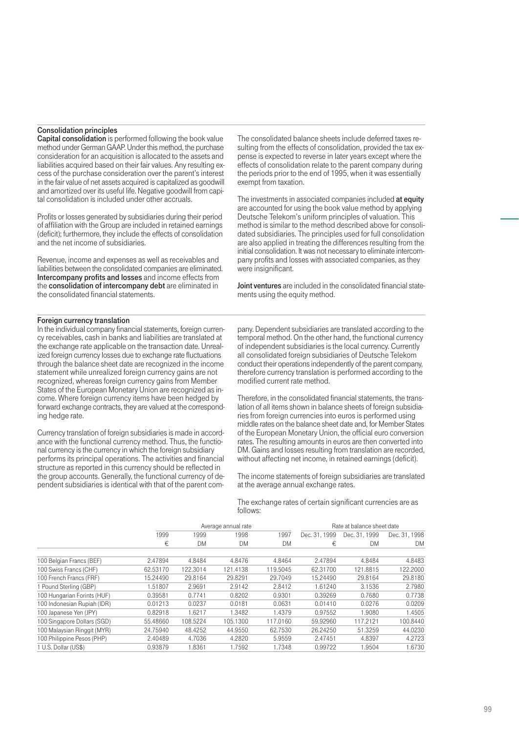## Consolidation principles

Capital consolidation is performed following the book value method under German GAAP. Under this method, the purchase consideration for an acquisition is allocated to the assets and liabilities acquired based on their fair values. Any resulting excess of the purchase consideration over the parent's interest in the fair value of net assets acquired is capitalized as goodwill and amortized over its useful life. Negative goodwill from capital consolidation is included under other accruals.

Profits or losses generated by subsidiaries during their period of affiliation with the Group are included in retained earnings (deficit); furthermore, they include the effects of consolidation and the net income of subsidiaries.

Revenue, income and expenses as well as receivables and liabilities between the consolidated companies are eliminated. Intercompany profits and losses and income effects from the consolidation of intercompany debt are eliminated in the consolidated financial statements.

The consolidated balance sheets include deferred taxes resulting from the effects of consolidation, provided the tax expense is expected to reverse in later years except where the effects of consolidation relate to the parent company during the periods prior to the end of 1995, when it was essentially exempt from taxation.

The investments in associated companies included at equity are accounted for using the book value method by applying Deutsche Telekom's uniform principles of valuation. This method is similar to the method described above for consolidated subsidiaries. The principles used for full consolidation are also applied in treating the differences resulting from the initial consolidation. It was not necessary to eliminate intercompany profits and losses with associated companies, as they were insignificant.

Joint ventures are included in the consolidated financial statements using the equity method.

#### Foreign currency translation

In the individual company financial statements, foreign currency receivables, cash in banks and liabilities are translated at the exchange rate applicable on the transaction date. Unrealized foreign currency losses due to exchange rate fluctuations through the balance sheet date are recognized in the income statement while unrealized foreign currency gains are not recognized, whereas foreign currency gains from Member States of the European Monetary Union are recognized as income. Where foreign currency items have been hedged by forward exchange contracts, they are valued at the corresponding hedge rate.

Currency translation of foreign subsidiaries is made in accordance with the functional currency method. Thus, the functional currency is the currency in which the foreign subsidiary performs its principal operations. The activities and financial structure as reported in this currency should be reflected in the group accounts. Generally, the functional currency of dependent subsidiaries is identical with that of the parent com-

pany. Dependent subsidiaries are translated according to the temporal method. On the other hand, the functional currency of independent subsidiaries is the local currency. Currently all consolidated foreign subsidiaries of Deutsche Telekom conduct their operations independently of the parent company, therefore currency translation is performed according to the modified current rate method.

Therefore, in the consolidated financial statements, the translation of all items shown in balance sheets of foreign subsidiaries from foreign currencies into euros is performed using middle rates on the balance sheet date and, for Member States of the European Monetary Union, the official euro conversion rates. The resulting amounts in euros are then converted into DM. Gains and losses resulting from translation are recorded, without affecting net income, in retained earnings (deficit).

The income statements of foreign subsidiaries are translated at the average annual exchange rates.

The exchange rates of certain significant currencies are as follows:

|                             |          | Average annual rate |           |          |               | Rate at balance sheet date |               |
|-----------------------------|----------|---------------------|-----------|----------|---------------|----------------------------|---------------|
|                             | 1999     | 1999                | 1998      | 1997     | Dec. 31, 1999 | Dec. 31, 1999              | Dec. 31, 1998 |
|                             | €        | <b>DM</b>           | <b>DM</b> | DM       | €.            | DM                         | DM            |
| 100 Belgian Francs (BEF)    | 2.47894  | 4.8484              | 4.8476    | 4.8464   | 2.47894       | 4.8484                     | 4.8483        |
| 100 Swiss Francs (CHF)      | 62.53170 | 122.3014            | 121.4138  | 119.5045 | 62.31700      | 121.8815                   | 122.2000      |
| 100 French Francs (FRF)     | 15.24490 | 29.8164             | 29.8291   | 29.7049  | 15.24490      | 29.8164                    | 29.8180       |
| 1 Pound Sterling (GBP)      | .51807   | 2.9691              | 2.9142    | 2.8412   | 1.61240       | 3.1536                     | 2.7980        |
| 100 Hungarian Forints (HUF) | 0.39581  | 0.7741              | 0.8202    | 0.9301   | 0.39269       | 0.7680                     | 0.7738        |
| 100 Indonesian Rupiah (IDR) | 0.01213  | 0.0237              | 0.0181    | 0.0631   | 0.01410       | 0.0276                     | 0.0209        |
| 100 Japanese Yen (JPY)      | 0.82918  | 1.6217              | 1.3482    | 1.4379   | 0.97552       | 1.9080                     | 1.4505        |
| 100 Singapore Dollars (SGD) | 55.48660 | 108.5224            | 105.1300  | 117.0160 | 59.92960      | 117.2121                   | 100.8440      |
| 100 Malaysian Ringgit (MYR) | 24.75940 | 48.4252             | 44.9550   | 62.7530  | 26.24250      | 51.3259                    | 44.0230       |
| 100 Philippine Pesos (PHP)  | 2.40489  | 4.7036              | 4.2820    | 5.9559   | 2.47451       | 4.8397                     | 4.2723        |
| 1 U.S. Dollar (US\$)        | 0.93879  | 1.8361              | 1.7592    | 1.7348   | 0.99722       | .9504                      | 1.6730        |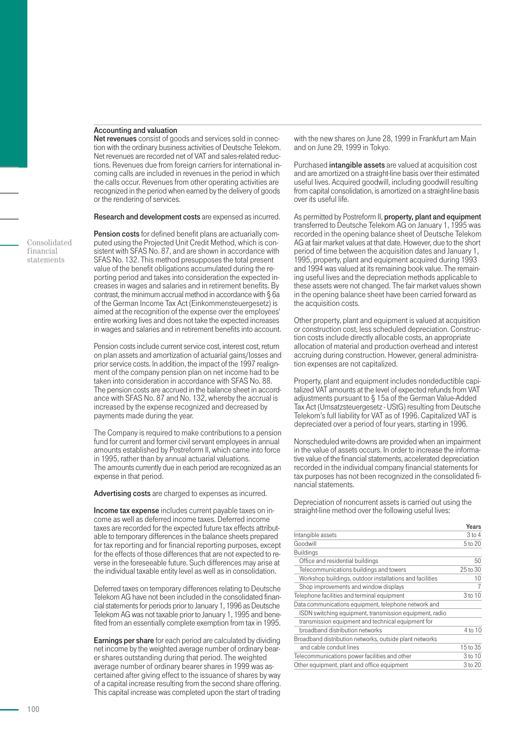#### Accounting and valuation

Net revenues consist of goods and services sold in connection with the ordinary business activities of Deutsche Telekom. Net revenues are recorded net of VAT and sales-related reductions. Revenues due from foreign carriers for international incoming calls are included in revenues in the period in which the calls occur. Revenues from other operating activities are recognized in the period when earned by the delivery of goods or the rendering of services.

Research and development costs are expensed as incurred.

Pension costs for defined benefit plans are actuarially computed using the Projected Unit Credit Method, which is consistent with SFAS No. 87, and are shown in accordance with SFAS No. 132. This method presupposes the total present value of the benefit obligations accumulated during the reporting period and takes into consideration the expected increases in wages and salaries and in retirement benefits. By contrast, the minimum accrual method in accordance with § 6a of the German Income Tax Act (Einkommensteuergesetz) is aimed at the recognition of the expense over the employees' entire working lives and does not take the expected increases in wages and salaries and in retirement benefits into account.

Pension costs include current service cost, interest cost, return on plan assets and amortization of actuarial gains/losses and prior service costs. In addition, the impact of the 1997 realignment of the company pension plan on net income had to be taken into consideration in accordance with SFAS No. 88. The pension costs are accrued in the balance sheet in accordance with SFAS No. 87 and No. 132, whereby the accrual is increased by the expense recognized and decreased by payments made during the year.

The Company is required to make contributions to a pension fund for current and former civil servant employees in annual amounts established by Postreform II, which came into force in 1995, rather than by annual actuarial valuations. The amounts currently due in each period are recognized as an expense in that period.

Advertising costs are charged to expenses as incurred.

Income tax expense includes current payable taxes on income as well as deferred income taxes. Deferred income taxes are recorded for the expected future tax effects attributable to temporary differences in the balance sheets prepared for tax reporting and for financial reporting purposes, except for the effects of those differences that are not expected to reverse in the foreseeable future. Such differences may arise at the individual taxable entity level as well as in consolidation.

Deferred taxes on temporary differences relating to Deutsche Telekom AG have not been included in the consolidated financial statements for periods prior to January 1, 1996 as Deutsche Telekom AG was not taxable prior to January 1, 1995 and benefited from an essentially complete exemption from tax in 1995.

**Earnings per share** for each period are calculated by dividing net income by the weighted average number of ordinary bearer shares outstanding during that period. The weighted average number of ordinary bearer shares in 1999 was ascertained after giving effect to the issuance of shares by way of a capital increase resulting from the second share offering. This capital increase was completed upon the start of trading with the new shares on June 28, 1999 in Frankfurt am Main and on June 29, 1999 in Tokyo.

Purchased intangible assets are valued at acquisition cost and are amortized on a straight-line basis over their estimated useful lives. Acquired goodwill, including goodwill resulting from capital consolidation, is amortized on a straight-line basis over its useful life.

As permitted by Postreform II, property, plant and equipment transferred to Deutsche Telekom AG on January 1, 1995 was recorded in the opening balance sheet of Deutsche Telekom AG at fair market values at that date. However, due to the short period of time between the acquisition dates and January 1, 1995, property, plant and equipment acquired during 1993 and 1994 was valued at its remaining book value. The remaining useful lives and the depreciation methods applicable to these assets were not changed. The fair market values shown in the opening balance sheet have been carried forward as the acquisition costs.

Other property, plant and equipment is valued at acquisition or construction cost, less scheduled depreciation. Construction costs include directly allocable costs, an appropriate allocation of material and production overhead and interest accruing during construction. However, general administration expenses are not capitalized.

Property, plant and equipment includes nondeductible capitalized VAT amounts at the level of expected refunds from VAT adjustments pursuant to § 15a of the German Value-Added Tax Act (Umsatzsteuergesetz - UStG) resulting from Deutsche Telekom's full liability for VAT as of 1996. Capitalized VAT is depreciated over a period of four years, starting in 1996.

Nonscheduled write-downs are provided when an impairment in the value of assets occurs. In order to increase the informative value of the financial statements, accelerated depreciation recorded in the individual company financial statements for tax purposes has not been recognized in the consolidated financial statements.

Depreciation of noncurrent assets is carried out using the straight-line method over the following useful lives:

Years

|                                                          | rears      |
|----------------------------------------------------------|------------|
| Intangible assets                                        | $3$ to $4$ |
| Goodwill                                                 | 5 to 20    |
| <b>Buildings</b>                                         |            |
| Office and residential buildings                         | 50         |
| Telecommunications buildings and towers                  | 25 to 30   |
| Workshop buildings, outdoor installations and facilities | 10         |
| Shop improvements and window displays                    |            |
| Telephone facilities and terminal equipment              | 3 to 10    |
| Data communications equipment, telephone network and     |            |
| ISDN switching equipment, transmission equipment, radio  |            |
| transmission equipment and technical equipment for       |            |
| broadband distribution networks                          | 4 to 10    |
| Broadband distribution networks, outside plant networks  |            |
| and cable conduit lines                                  | 15 to 35   |
| Telecommunications power facilities and other            | 3 to 10    |
| Other equipment, plant and office equipment              | 3 to 20    |
|                                                          |            |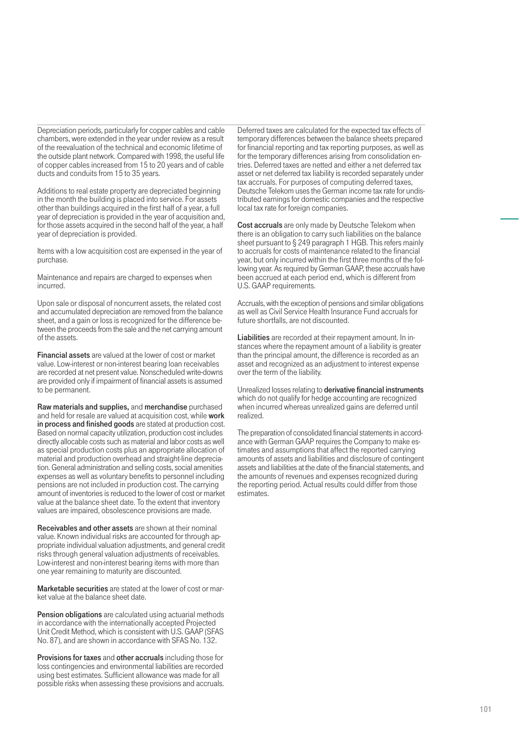Depreciation periods, particularly for copper cables and cable chambers, were extended in the year under review as a result of the reevaluation of the technical and economic lifetime of the outside plant network. Compared with 1998, the useful life of copper cables increased from 15 to 20 years and of cable ducts and conduits from 15 to 35 years.

Additions to real estate property are depreciated beginning in the month the building is placed into service. For assets other than buildings acquired in the first half of a year, a full year of depreciation is provided in the year of acquisition and, for those assets acquired in the second half of the year, a half year of depreciation is provided.

Items with a low acquisition cost are expensed in the year of purchase.

Maintenance and repairs are charged to expenses when incurred.

Upon sale or disposal of noncurrent assets, the related cost and accumulated depreciation are removed from the balance sheet, and a gain or loss is recognized for the difference between the proceeds from the sale and the net carrying amount of the assets.

Financial assets are valued at the lower of cost or market value. Low-interest or non-interest bearing loan receivables are recorded at net present value. Nonscheduled write-downs are provided only if impairment of financial assets is assumed to be permanent.

Raw materials and supplies, and merchandise purchased and held for resale are valued at acquisition cost, while work in process and finished goods are stated at production cost. Based on normal capacity utilization, production cost includes directly allocable costs such as material and labor costs as well as special production costs plus an appropriate allocation of material and production overhead and straight-line depreciation. General administration and selling costs, social amenities expenses as well as voluntary benefits to personnel including pensions are not included in production cost. The carrying amount of inventories is reduced to the lower of cost or market value at the balance sheet date. To the extent that inventory values are impaired, obsolescence provisions are made.

Receivables and other assets are shown at their nominal value. Known individual risks are accounted for through appropriate individual valuation adjustments, and general credit risks through general valuation adjustments of receivables. Low-interest and non-interest bearing items with more than one year remaining to maturity are discounted.

Marketable securities are stated at the lower of cost or market value at the balance sheet date.

Pension obligations are calculated using actuarial methods in accordance with the internationally accepted Projected Unit Credit Method, which is consistent with U.S. GAAP (SFAS No. 87), and are shown in accordance with SFAS No. 132.

Provisions for taxes and other accruals including those for loss contingencies and environmental liabilities are recorded using best estimates. Sufficient allowance was made for all possible risks when assessing these provisions and accruals.

Deferred taxes are calculated for the expected tax effects of temporary differences between the balance sheets prepared for financial reporting and tax reporting purposes, as well as for the temporary differences arising from consolidation entries. Deferred taxes are netted and either a net deferred tax asset or net deferred tax liability is recorded separately under tax accruals. For purposes of computing deferred taxes, Deutsche Telekom uses the German income tax rate for undistributed earnings for domestic companies and the respective local tax rate for foreign companies.

Cost accruals are only made by Deutsche Telekom when there is an obligation to carry such liabilities on the balance sheet pursuant to § 249 paragraph 1 HGB. This refers mainly to accruals for costs of maintenance related to the financial year, but only incurred within the first three months of the following year. As required by German GAAP, these accruals have been accrued at each period end, which is different from U.S. GAAP requirements.

Accruals, with the exception of pensions and similar obligations as well as Civil Service Health Insurance Fund accruals for future shortfalls, are not discounted.

Liabilities are recorded at their repayment amount. In instances where the repayment amount of a liability is greater than the principal amount, the difference is recorded as an asset and recognized as an adjustment to interest expense over the term of the liability.

Unrealized losses relating to derivative financial instruments which do not qualify for hedge accounting are recognized when incurred whereas unrealized gains are deferred until realized.

The preparation of consolidated financial statements in accordance with German GAAP requires the Company to make estimates and assumptions that affect the reported carrying amounts of assets and liabilities and disclosure of contingent assets and liabilities at the date of the financial statements, and the amounts of revenues and expenses recognized during the reporting period. Actual results could differ from those estimates.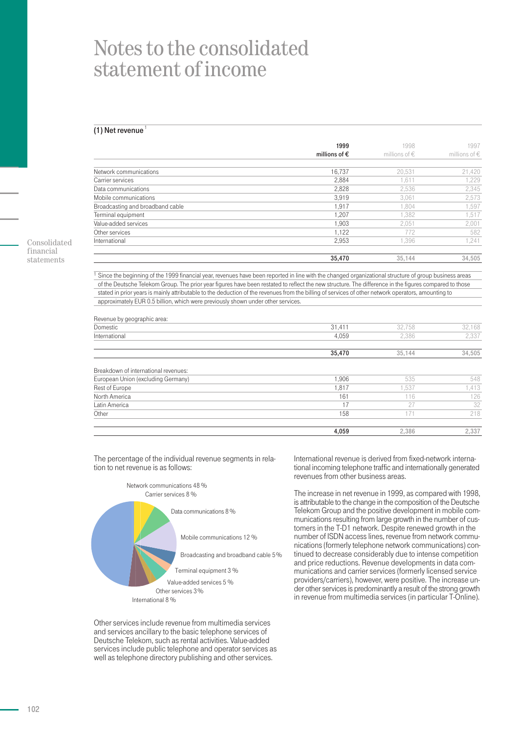## Notes to the consolidated statement of income

#### (1) Net revenue

|                                  | 1999                   | 1998                   | 1997                   |
|----------------------------------|------------------------|------------------------|------------------------|
|                                  | millions of $\epsilon$ | millions of $\epsilon$ | millions of $\epsilon$ |
| Network communications           | 16,737                 | 20,531                 | 21,420                 |
| Carrier services                 | 2,884                  | 1,611                  | 1,229                  |
| Data communications              | 2,828                  | 2,536                  | 2,345                  |
| Mobile communications            | 3,919                  | 3,061                  | 2,573                  |
| Broadcasting and broadband cable | 1,917                  | 1,804                  | 1,597                  |
| Terminal equipment               | 1,207                  | 1,382                  | 1,517                  |
| Value-added services             | 1,903                  | 2,051                  | 2,001                  |
| Other services                   | 1,122                  | 772                    | 582                    |
| International                    | 2,953                  | 1,396                  | 1,241                  |
|                                  | 35,470                 | 35.144                 | 34,505                 |

1 Since the beginning of the 1999 financial year, revenues have been reported in line with the changed organizational structure of group business areas of the Deutsche Telekom Group. The prior year figures have been restated to reflect the new structure. The difference in the figures compared to those stated in prior years is mainly attributable to the deduction of the revenues from the billing of services of other network operators, amounting to approximately EUR 0.5 billion, which were previously shown under other services.

| Revenue by geographic area:          |        |        |        |
|--------------------------------------|--------|--------|--------|
| Domestic                             | 31,411 | 32,758 | 32,168 |
| International                        | 4,059  | 2.386  | 2,337  |
|                                      | 35,470 | 35.144 | 34,505 |
| Breakdown of international revenues: |        |        |        |
| European Union (excluding Germany)   | 1,906  | 535    | 548    |
| Rest of Europe                       | 1,817  | 1,537  | 1,413  |
| North America                        | 161    | 116    | 126    |
| Latin America                        | 17     | 27     | 32     |
| Other                                | 158    | 171    | 218    |
|                                      | 4,059  | 2.386  | 2,337  |

The percentage of the individual revenue segments in relation to net revenue is as follows:



Other services include revenue from multimedia services and services ancillary to the basic telephone services of Deutsche Telekom, such as rental activities. Value-added services include public telephone and operator services as well as telephone directory publishing and other services.

International revenue is derived from fixed-network international incoming telephone traffic and internationally generated revenues from other business areas.

The increase in net revenue in 1999, as compared with 1998, is attributable to the change in the composition of the Deutsche Telekom Group and the positive development in mobile communications resulting from large growth in the number of customers in the T-D1 network. Despite renewed growth in the number of ISDN access lines, revenue from network communications (formerly telephone network communications) continued to decrease considerably due to intense competition and price reductions. Revenue developments in data communications and carrier services (formerly licensed service providers/carriers), however, were positive. The increase under other services is predominantly a result of the strong growth in revenue from multimedia services (in particular T-Online).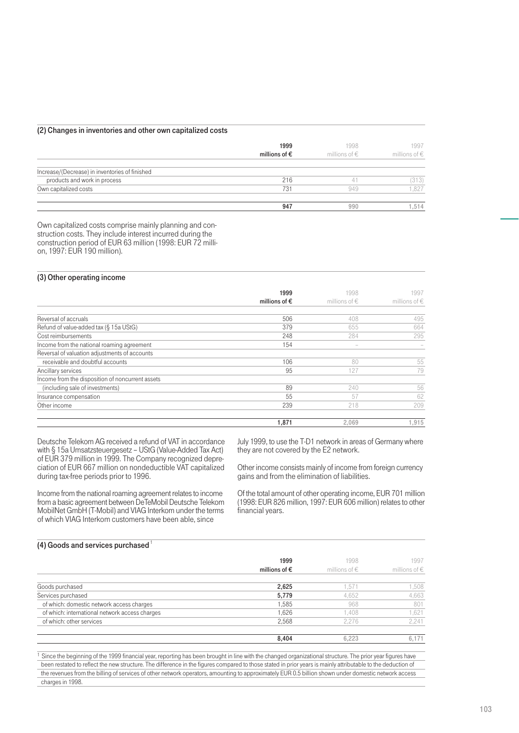### (2) Changes in inventories and other own capitalized costs

|                                                | 1999<br>millions of $\epsilon$ | 1998<br>millions of $\epsilon$ | 1997<br>millions of $\in$ |
|------------------------------------------------|--------------------------------|--------------------------------|---------------------------|
| Increase/(Decrease) in inventories of finished |                                |                                |                           |
| products and work in process                   | 216                            |                                | (313)                     |
| Own capitalized costs                          | 731                            | 949                            | .827                      |
|                                                | 947                            | 990                            | .514                      |

Own capitalized costs comprise mainly planning and construction costs. They include interest incurred during the construction period of EUR 63 million (1998: EUR 72 million, 1997: EUR 190 million).

## (3) Other operating income

|                                                  | 1999                   | 1998                     | 1997                   |
|--------------------------------------------------|------------------------|--------------------------|------------------------|
|                                                  | millions of $\epsilon$ | millions of $\in$        | millions of $\epsilon$ |
|                                                  |                        |                          |                        |
| Reversal of accruals                             | 506                    | 408                      | 495                    |
| Refund of value-added tax (§ 15a UStG)           | 379                    | 655                      | 664                    |
| Cost reimbursements                              | 248                    | 284                      | 295                    |
| Income from the national roaming agreement       | 154                    | $\overline{\phantom{a}}$ |                        |
| Reversal of valuation adjustments of accounts    |                        |                          |                        |
| receivable and doubtful accounts                 | 106                    | 80                       | 55                     |
| Ancillary services                               | 95                     | 127                      | 79                     |
| Income from the disposition of noncurrent assets |                        |                          |                        |
| (including sale of investments)                  | 89                     | 240                      | 56                     |
| Insurance compensation                           | 55                     | 57                       | 62                     |
| Other income                                     | 239                    | 218                      | 209                    |
|                                                  | 1,871                  | 2.069                    | 1,915                  |

Deutsche Telekom AG received a refund of VAT in accordance with § 15a Umsatzsteuergesetz – UStG (Value-Added Tax Act) of EUR 379 million in 1999. The Company recognized depreciation of EUR 667 million on nondeductible VAT capitalized during tax-free periods prior to 1996.

Income from the national roaming agreement relates to income from a basic agreement between DeTeMobil Deutsche Telekom MobilNet GmbH (T-Mobil) and VIAG Interkom under the terms of which VIAG Interkom customers have been able, since

July 1999, to use the T-D1 network in areas of Germany where they are not covered by the E2 network.

Other income consists mainly of income from foreign currency gains and from the elimination of liabilities.

Of the total amount of other operating income, EUR 701 million (1998: EUR 826 million, 1997: EUR 606 million) relates to other financial years.

#### (4) Goods and services purchased<sup>1</sup>

|                                                | 1999                   | 1998                   | 1997                   |
|------------------------------------------------|------------------------|------------------------|------------------------|
|                                                | millions of $\epsilon$ | millions of $\epsilon$ | millions of $\epsilon$ |
| Goods purchased                                | 2.625                  | 1.571                  | 1,508                  |
| Services purchased                             | 5,779                  | 4,652                  | 4,663                  |
| of which: domestic network access charges      | 1,585                  | 968                    | 801                    |
| of which: international network access charges | 1,626                  | 1.408                  | 1,621                  |
| of which: other services                       | 2,568                  | 2.276                  | 2.241                  |
|                                                | 8.404                  | 6.223                  | 6.171                  |

1 Since the beginning of the 1999 financial year, reporting has been brought in line with the changed organizational structure. The prior year figures have been restated to reflect the new structure. The difference in the figures compared to those stated in prior years is mainly attributable to the deduction of the revenues from the billing of services of other network operators, amounting to approximately EUR 0.5 billion shown under domestic network access charges in 1998.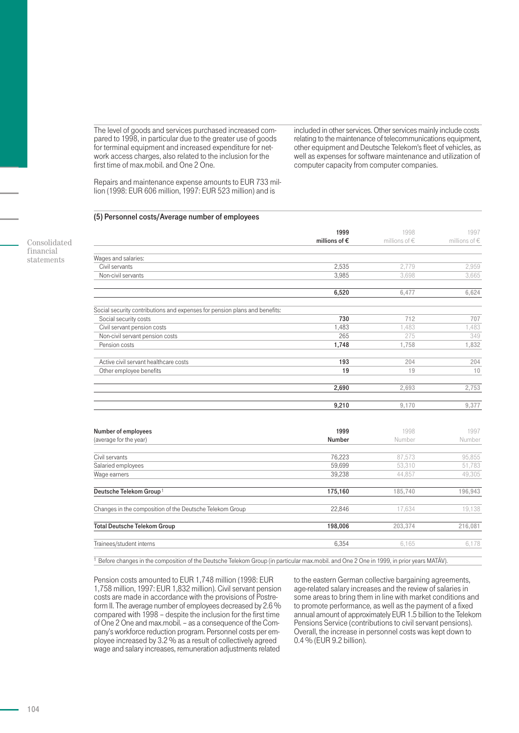The level of goods and services purchased increased compared to 1998, in particular due to the greater use of goods for terminal equipment and increased expenditure for network access charges, also related to the inclusion for the first time of max.mobil. and One 2 One.

included in other services. Other services mainly include costs relating to the maintenance of telecommunications equipment, other equipment and Deutsche Telekom's fleet of vehicles, as well as expenses for software maintenance and utilization of computer capacity from computer companies.

Repairs and maintenance expense amounts to EUR 733 million (1998: EUR 606 million, 1997: EUR 523 million) and is

#### (5) Personnel costs/Average number of employees

|                                                                            | 1999                   | 1998              | 1997              |
|----------------------------------------------------------------------------|------------------------|-------------------|-------------------|
|                                                                            | millions of $\epsilon$ | millions of $\in$ | millions of $\in$ |
| Wages and salaries:                                                        |                        |                   |                   |
| Civil servants                                                             | 2.535                  | 2.779             | 2.959             |
| Non-civil servants                                                         | 3,985                  | 3,698             | 3,665             |
|                                                                            | 6,520                  | 6,477             | 6,624             |
| Social security contributions and expenses for pension plans and benefits: |                        |                   |                   |
| Social security costs                                                      | 730                    | 712               | 707               |
| Civil servant pension costs                                                | 1.483                  | 1,483             | 1,483             |
| Non-civil servant pension costs                                            | 265                    | 275               | 349               |
| Pension costs                                                              | 1,748                  | 1,758             | 1,832             |
| Active civil servant healthcare costs                                      | 193                    | 204               | 204               |
| Other employee benefits                                                    | 19                     | 19                | 10                |
|                                                                            | 2.690                  | 2.693             | 2,753             |
|                                                                            | 9,210                  | 9,170             | 9,377             |
| Number of employees                                                        | 1999                   | 1998              | 1997              |
| (average for the year)                                                     | <b>Number</b>          | Number            | Number            |
| Civil servants                                                             | 76,223                 | 87,573            | 95,855            |
| Salaried employees                                                         | 59,699                 | 53,310            | 51,783            |
| Wage earners                                                               | 39,238                 | 44,857            | 49,305            |
| Deutsche Telekom Group <sup>1</sup>                                        | 175,160                | 185,740           | 196,943           |
| Changes in the composition of the Deutsche Telekom Group                   | 22.846                 | 17.634            | 19.138            |
| <b>Total Deutsche Telekom Group</b>                                        | 198,006                | 203,374           | 216,081           |
| Trainees/student interns                                                   | 6,354                  | 6,165             | 6.178             |

1 Before changes in the composition of the Deutsche Telekom Group (in particular max.mobil. and One 2 One in 1999, in prior years MATÁV).

Pension costs amounted to EUR 1,748 million (1998: EUR 1,758 million, 1997: EUR 1,832 million). Civil servant pension costs are made in accordance with the provisions of Postreform II. The average number of employees decreased by 2.6 % compared with 1998 – despite the inclusion for the first time of One 2 One and max.mobil. – as a consequence of the Company's workforce reduction program. Personnel costs per employee increased by 3.2 % as a result of collectively agreed wage and salary increases, remuneration adjustments related

to the eastern German collective bargaining agreements, age-related salary increases and the review of salaries in some areas to bring them in line with market conditions and to promote performance, as well as the payment of a fixed annual amount of approximately EUR 1.5 billion to the Telekom Pensions Service (contributions to civil servant pensions). Overall, the increase in personnel costs was kept down to 0.4 % (EUR 9.2 billion).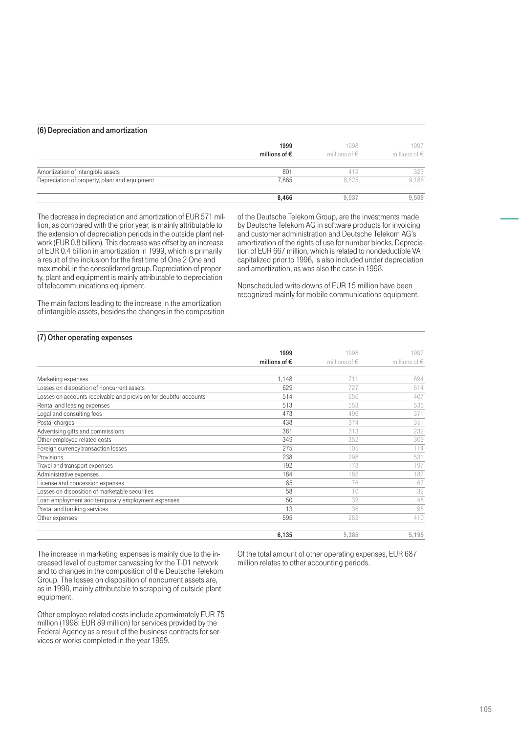## (6) Depreciation and amortization

|                                               | 1999                   | 1998              | 1997              |
|-----------------------------------------------|------------------------|-------------------|-------------------|
|                                               | millions of $\epsilon$ | millions of $\in$ | millions of $\in$ |
| Amortization of intangible assets             | 801                    | 412               | 323               |
| Depreciation of property, plant and equipment | 7.665                  | 8.625             | 9.186             |
|                                               | 8,466                  | 9.037             | 9.509             |

The decrease in depreciation and amortization of EUR 571 million, as compared with the prior year, is mainly attributable to the extension of depreciation periods in the outside plant network (EUR 0.8 billion). This decrease was offset by an increase of EUR 0.4 billion in amortization in 1999, which is primarily a result of the inclusion for the first time of One 2 One and max.mobil. in the consolidated group. Depreciation of property, plant and equipment is mainly attributable to depreciation of telecommunications equipment.

by Deutsche Telekom AG in software products for invoicing and customer administration and Deutsche Telekom AG's amortization of the rights of use for number blocks. Depreciation of EUR 667 million, which is related to nondeductible VAT capitalized prior to 1996, is also included under depreciation and amortization, as was also the case in 1998.

of the Deutsche Telekom Group, are the investments made

The main factors leading to the increase in the amortization of intangible assets, besides the changes in the composition Nonscheduled write-downs of EUR 15 million have been recognized mainly for mobile communications equipment.

## (7) Other operating expenses

|                                                                   | 1999                   | 1998                   | 1997              |
|-------------------------------------------------------------------|------------------------|------------------------|-------------------|
|                                                                   | millions of $\epsilon$ | millions of $\epsilon$ | millions of $\in$ |
|                                                                   |                        |                        |                   |
| Marketing expenses                                                | 1,148                  | 711                    | 694               |
| Losses on disposition of noncurrent assets                        | 629                    | 727                    | 614               |
| Losses on accounts receivable and provision for doubtful accounts | 514                    | 656                    | 407               |
| Rental and leasing expenses                                       | 513                    | 553                    | 536               |
| Legal and consulting fees                                         | 473                    | 496                    | 371               |
| Postal charges                                                    | 438                    | 374                    | 351               |
| Advertising gifts and commissions                                 | 381                    | 313                    | 232               |
| Other employee-related costs                                      | 349                    | 352                    | 309               |
| Foreign currency transaction losses                               | 275                    | 105                    | 114               |
| Provisions                                                        | 238                    | 298                    | 531               |
| Travel and transport expenses                                     | 192                    | 178                    | 197               |
| Administrative expenses                                           | 184                    | 186                    | 187               |
| License and concession expenses                                   | 85                     | 76                     | 67                |
| Losses on disposition of marketable securities                    | 58                     | 10                     | 32                |
| Loan employment and temporary employment expenses                 | 50                     | 32                     | 48                |
| Postal and banking services                                       | 13                     | 36                     | 95                |
| Other expenses                                                    | 595                    | 282                    | 410               |
|                                                                   | 6,135                  | 5,385                  | 5,195             |

The increase in marketing expenses is mainly due to the increased level of customer canvassing for the T-D1 network and to changes in the composition of the Deutsche Telekom Group. The losses on disposition of noncurrent assets are, as in 1998, mainly attributable to scrapping of outside plant equipment.

Other employee-related costs include approximately EUR 75 million (1998: EUR 89 million) for services provided by the Federal Agency as a result of the business contracts for services or works completed in the year 1999.

Of the total amount of other operating expenses, EUR 687 million relates to other accounting periods.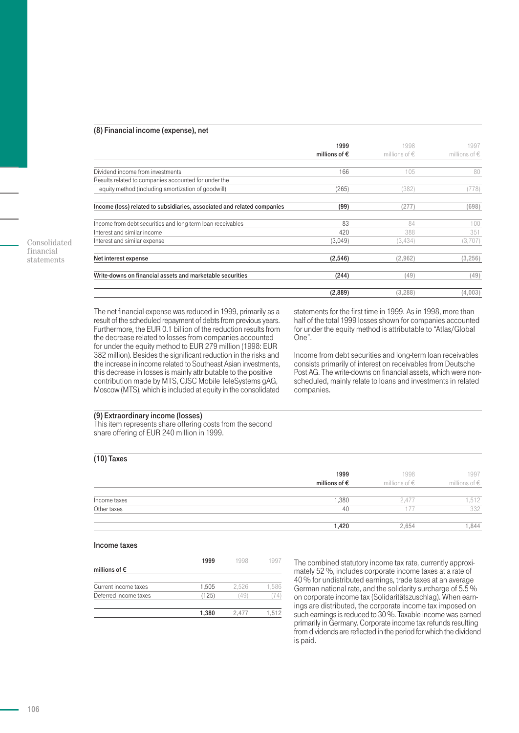## (8) Financial income (expense), net

|                                                                         | 1999                   | 1998                   | 1997              |
|-------------------------------------------------------------------------|------------------------|------------------------|-------------------|
|                                                                         |                        |                        |                   |
|                                                                         | millions of $\epsilon$ | millions of $\epsilon$ | millions of $\in$ |
|                                                                         |                        |                        |                   |
| Dividend income from investments                                        | 166                    | 105                    | 80                |
| Results related to companies accounted for under the                    |                        |                        |                   |
| equity method (including amortization of goodwill)                      | (265)                  | (382)                  | (778)             |
| Income (loss) related to subsidiaries, associated and related companies | (99)                   | (277)                  | (698)             |
| Income from debt securities and long-term loan receivables              | 83                     | 84                     | 100               |
| Interest and similar income                                             | 420                    | 388                    | 351               |
| Interest and similar expense                                            | (3,049)                | (3,434)                | (3,707)           |
| Net interest expense                                                    | (2, 546)               | (2,962)                | (3,256)           |
| Write-downs on financial assets and marketable securities               | (244)                  | (49)                   | (49)              |
|                                                                         | (2,889)                | (3, 288)               | (4,003)           |

The net financial expense was reduced in 1999, primarily as a result of the scheduled repayment of debts from previous years. Furthermore, the EUR 0.1 billion of the reduction results from the decrease related to losses from companies accounted for under the equity method to EUR 279 million (1998: EUR 382 million). Besides the significant reduction in the risks and the increase in income related to Southeast Asian investments, this decrease in losses is mainly attributable to the positive contribution made by MTS, CJSC Mobile TeleSystems gAG, Moscow (MTS), which is included at equity in the consolidated statements for the first time in 1999. As in 1998, more than half of the total 1999 losses shown for companies accounted for under the equity method is attributable to "Atlas/Global One".

Income from debt securities and long-term loan receivables consists primarily of interest on receivables from Deutsche Post AG. The write-downs on financial assets, which were nonscheduled, mainly relate to loans and investments in related companies.

## (9) Extraordinary income (losses)

This item represents share offering costs from the second share offering of EUR 240 million in 1999.

#### (10) Taxes

|              | 1999<br>millions of $\epsilon$ | 1998<br>millions of $\in$ | 1997<br>millions of $\in$ |
|--------------|--------------------------------|---------------------------|---------------------------|
| Income taxes | 1,380                          | 2.477                     | .512                      |
| Other taxes  | 40                             |                           | 332                       |
|              | 1,420                          | 2.654                     | .844                      |

#### Income taxes

|                        | 1999  | 1998  |               |
|------------------------|-------|-------|---------------|
| millions of $\epsilon$ |       |       |               |
| Current income taxes   | 1,505 | 2.526 | 1.586         |
| Deferred income taxes  | (125) | 49    | $\mathcal{L}$ |
|                        | 1,380 | 2.477 | 1.512         |

The combined statutory income tax rate, currently approximately 52 %, includes corporate income taxes at a rate of 40 % for undistributed earnings, trade taxes at an average German national rate, and the solidarity surcharge of 5.5 % on corporate income tax (Solidaritätszuschlag). When earnings are distributed, the corporate income tax imposed on such earnings is reduced to 30 %. Taxable income was earned primarily in Germany. Corporate income tax refunds resulting from dividends are reflected in the period for which the dividend is paid.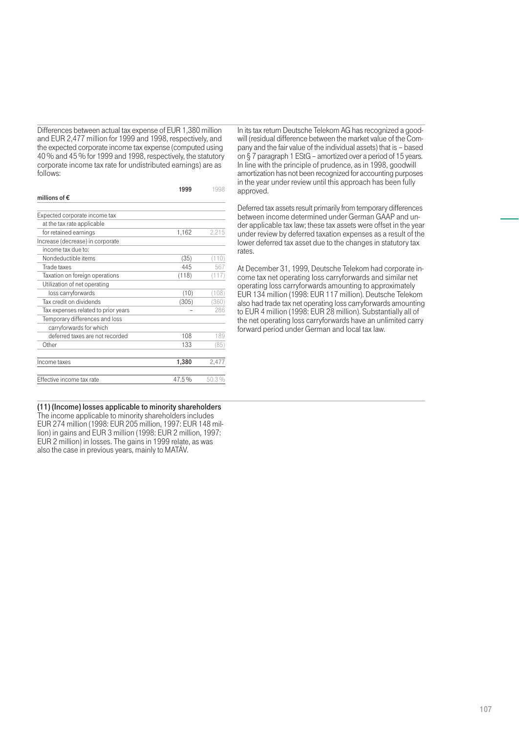Differences between actual tax expense of EUR 1,380 million and EUR 2,477 million for 1999 and 1998, respectively, and the expected corporate income tax expense (computed using 40 % and 45 % for 1999 and 1998, respectively, the statutory corporate income tax rate for undistributed earnings) are as follows:

|                                     | 1999  | 1998  |
|-------------------------------------|-------|-------|
| millions of $\epsilon$              |       |       |
|                                     |       |       |
| Expected corporate income tax       |       |       |
| at the tax rate applicable          |       |       |
| for retained earnings               | 1,162 | 2,215 |
| Increase (decrease) in corporate    |       |       |
| income tax due to:                  |       |       |
| Nondeductible items                 | (35)  | (110) |
| Trade taxes                         | 445   | 567   |
| Taxation on foreign operations      | (118) | (117) |
| Utilization of net operating        |       |       |
| loss carryforwards                  | (10)  | (108) |
| Tax credit on dividends             | (305) | (360) |
| Tax expenses related to prior years |       | 286   |
| Temporary differences and loss      |       |       |
| carryforwards for which             |       |       |
| deferred taxes are not recorded     | 108   | 189   |
| Other                               | 133   | (85)  |
| Income taxes                        | 1,380 | 2,477 |
| Effective income tax rate           | 47.5% | 50.3% |
|                                     |       |       |

In its tax return Deutsche Telekom AG has recognized a goodwill (residual difference between the market value of the Company and the fair value of the individual assets) that is – based on § 7 paragraph 1 EStG – amortized over a period of 15 years. In line with the principle of prudence, as in 1998, goodwill amortization has not been recognized for accounting purposes in the year under review until this approach has been fully approved.

Deferred tax assets result primarily from temporary differences between income determined under German GAAP and under applicable tax law; these tax assets were offset in the year under review by deferred taxation expenses as a result of the lower deferred tax asset due to the changes in statutory tax rates.

At December 31, 1999, Deutsche Telekom had corporate income tax net operating loss carryforwards and similar net operating loss carryforwards amounting to approximately EUR 134 million (1998: EUR 117 million). Deutsche Telekom also had trade tax net operating loss carryforwards amounting to EUR 4 million (1998: EUR 28 million). Substantially all of the net operating loss carryforwards have an unlimited carry forward period under German and local tax law.

## (11) (Income) losses applicable to minority shareholders

The income applicable to minority shareholders includes EUR 274 million (1998: EUR 205 million, 1997: EUR 148 million) in gains and EUR 3 million (1998: EUR 2 million, 1997: EUR 2 million) in losses. The gains in 1999 relate, as was also the case in previous years, mainly to MATÁV.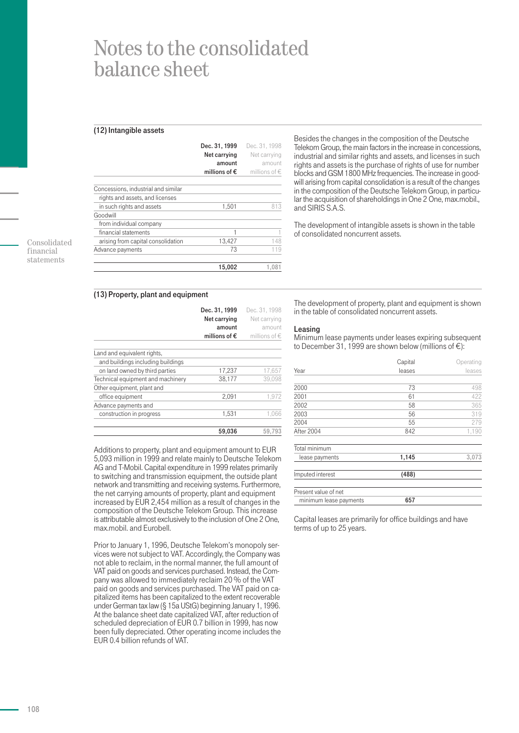## Notes to the consolidated balance sheet

### (12) Intangible assets

|                                                                        | Dec. 31, 1999<br>Net carrying<br>amount<br>millions of $\epsilon$ | Dec. 31, 1998<br>Net carrying<br>amount<br>millions of $\epsilon$ |
|------------------------------------------------------------------------|-------------------------------------------------------------------|-------------------------------------------------------------------|
|                                                                        |                                                                   |                                                                   |
| Concessions, industrial and similar<br>rights and assets, and licenses |                                                                   |                                                                   |
| in such rights and assets                                              | 1,501                                                             | 813                                                               |
| Goodwill                                                               |                                                                   |                                                                   |
| from individual company                                                |                                                                   |                                                                   |
| financial statements                                                   |                                                                   |                                                                   |
| arising from capital consolidation                                     | 13,427                                                            | 148                                                               |
| Advance payments                                                       | 73                                                                | 119                                                               |
|                                                                        | 15,002                                                            | 1.08                                                              |

(13) Property, plant and equipment

|                                   | Dec. 31, 1999<br>Net carrying<br>amount<br>millions of $\epsilon$ | Dec. 31, 1998<br>Net carrying<br>amount<br>millions of $\in$ |
|-----------------------------------|-------------------------------------------------------------------|--------------------------------------------------------------|
|                                   |                                                                   |                                                              |
| Land and equivalent rights,       |                                                                   |                                                              |
| and buildings including buildings |                                                                   |                                                              |
| on land owned by third parties    | 17,237                                                            | 17,657                                                       |
| Technical equipment and machinery | 38.177                                                            | 39.098                                                       |
| Other equipment, plant and        |                                                                   |                                                              |
| office equipment                  | 2.091                                                             | 1.972                                                        |
| Advance payments and              |                                                                   |                                                              |
| construction in progress          | 1,531                                                             | 1.066                                                        |
|                                   | 59.036                                                            | 59.793                                                       |

Additions to property, plant and equipment amount to EUR 5,093 million in 1999 and relate mainly to Deutsche Telekom AG and T-Mobil. Capital expenditure in 1999 relates primarily to switching and transmission equipment, the outside plant network and transmitting and receiving systems. Furthermore, the net carrying amounts of property, plant and equipment increased by EUR 2,454 million as a result of changes in the composition of the Deutsche Telekom Group. This increase is attributable almost exclusively to the inclusion of One 2 One, max.mobil. and Eurobell.

Prior to January 1, 1996, Deutsche Telekom's monopoly services were not subject to VAT. Accordingly, the Company was not able to reclaim, in the normal manner, the full amount of VAT paid on goods and services purchased. Instead, the Company was allowed to immediately reclaim 20 % of the VAT paid on goods and services purchased. The VAT paid on capitalized items has been capitalized to the extent recoverable under German tax law (§ 15a UStG) beginning January 1, 1996. At the balance sheet date capitalized VAT, after reduction of scheduled depreciation of EUR 0.7 billion in 1999, has now been fully depreciated. Other operating income includes the EUR 0.4 billion refunds of VAT.

Besides the changes in the composition of the Deutsche Telekom Group, the main factors in the increase in concessions, industrial and similar rights and assets, and licenses in such rights and assets is the purchase of rights of use for number blocks and GSM 1800 MHz frequencies. The increase in goodwill arising from capital consolidation is a result of the changes in the composition of the Deutsche Telekom Group, in particular the acquisition of shareholdings in One 2 One, max.mobil., and SIRIS S.A.S.

The development of intangible assets is shown in the table of consolidated noncurrent assets.

The development of property, plant and equipment is shown in the table of consolidated noncurrent assets.

#### Leasing

Minimum lease payments under leases expiring subsequent to December 31, 1999 are shown below (millions of  $\epsilon$ ):

|                        | Capital | Operating |
|------------------------|---------|-----------|
| Year                   | leases  | leases    |
|                        |         |           |
| 2000                   | 73      | 498       |
| 2001                   | 61      | 422       |
| 2002                   | 58      | 365       |
| 2003                   | 56      | 319       |
| 2004                   | 55      | 279       |
| After 2004             | 842     | 1,190     |
| Total minimum          |         |           |
| lease payments         | 1,145   | 3,073     |
| Imputed interest       | (488)   |           |
| Present value of net   |         |           |
| minimum lease payments | 657     |           |

Capital leases are primarily for office buildings and have terms of up to 25 years.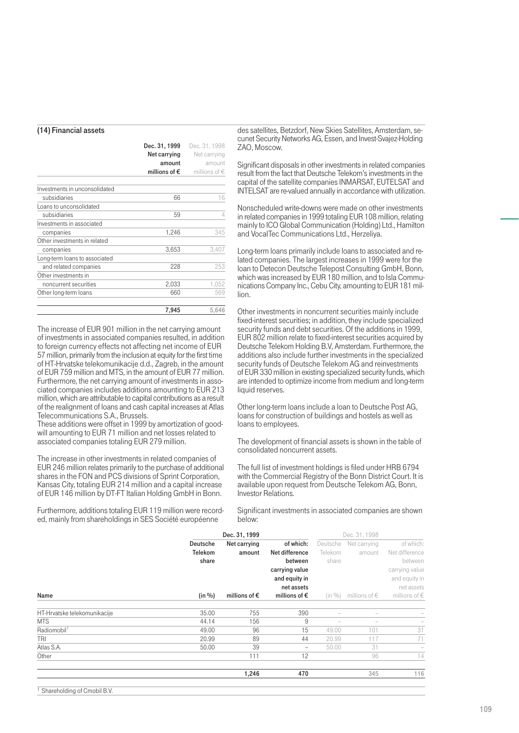#### (14) Financial assets

|                               | Dec. 31, 1999<br>Net carrying<br>amount<br>millions of $\epsilon$ | Dec. 31, 1998<br>Net carrying<br>amount<br>millions of $\in$ |
|-------------------------------|-------------------------------------------------------------------|--------------------------------------------------------------|
| Investments in unconsolidated |                                                                   |                                                              |
| subsidiaries                  | 66                                                                | 16                                                           |
| Loans to unconsolidated       |                                                                   |                                                              |
| subsidiaries                  | 59                                                                | 4                                                            |
| Investments in associated     |                                                                   |                                                              |
| companies                     | 1,246                                                             | 345                                                          |
| Other investments in related  |                                                                   |                                                              |
| companies                     | 3,653                                                             | 3,407                                                        |
| Long-term loans to associated |                                                                   |                                                              |
| and related companies         | 228                                                               | 253                                                          |
| Other investments in          |                                                                   |                                                              |
| noncurrent securities         | 2,033                                                             | 1,052                                                        |
| Other long-term loans         | 660                                                               | 569                                                          |
|                               | 7,945                                                             | 5.646                                                        |

The increase of EUR 901 million in the net carrying amount of investments in associated companies resulted, in addition to foreign currency effects not affecting net income of EUR 57 million, primarily from the inclusion at equity for the first time of HT-Hrvatske telekomunikacije d.d., Zagreb, in the amount of EUR 759 million and MTS, in the amount of EUR 77 million. Furthermore, the net carrying amount of investments in associated companies includes additions amounting to EUR 213 million, which are attributable to capital contributions as a result of the realignment of loans and cash capital increases at Atlas Telecommunications S.A., Brussels.

These additions were offset in 1999 by amortization of goodwill amounting to EUR 71 million and net losses related to associated companies totaling EUR 279 million.

The increase in other investments in related companies of EUR 246 million relates primarily to the purchase of additional shares in the FON and PCS divisions of Sprint Corporation, Kansas City, totaling EUR 214 million and a capital increase of EUR 146 million by DT-FT Italian Holding GmbH in Bonn.

Furthermore, additions totaling EUR 119 million were recorded, mainly from shareholdings in SES Société européenne

des satellites, Betzdorf, New Skies Satellites, Amsterdam, secunet Security Networks AG, Essen, and Invest-Svajez-Holding ZAO, Moscow.

Significant disposals in other investments in related companies result from the fact that Deutsche Telekom's investments in the capital of the satellite companies INMARSAT, EUTELSAT and INTELSAT are re-valued annually in accordance with utilization.

Nonscheduled write-downs were made on other investments in related companies in 1999 totaling EUR 108 million, relating mainly to ICO Global Communication (Holding) Ltd., Hamilton and VocalTec Communications Ltd., Herzeliya.

Long-term loans primarily include loans to associated and related companies. The largest increases in 1999 were for the loan to Detecon Deutsche Telepost Consulting GmbH, Bonn, which was increased by EUR 180 million, and to Isla Communications Company Inc., Cebu City, amounting to EUR 181 million.

Other investments in noncurrent securities mainly include fixed-interest securities; in addition, they include specialized security funds and debt securities. Of the additions in 1999, EUR 802 million relate to fixed-interest securities acquired by Deutsche Telekom Holding B.V, Amsterdam. Furthermore, the additions also include further investments in the specialized security funds of Deutsche Telekom AG and reinvestments of EUR 330 million in existing specialized security funds, which are intended to optimize income from medium and long-term liquid reserves.

Other long-term loans include a loan to Deutsche Post AG, loans for construction of buildings and hostels as well as loans to employees.

The development of financial assets is shown in the table of consolidated noncurrent assets.

The full list of investment holdings is filed under HRB 6794 with the Commercial Registry of the Bonn District Court. It is available upon request from Deutsche Telekom AG, Bonn, Investor Relations.

Significant investments in associated companies are shown below:

|                              |          | Dec. 31, 1999          |                        |                                                                           | Dec. 31, 1998          |                   |
|------------------------------|----------|------------------------|------------------------|---------------------------------------------------------------------------|------------------------|-------------------|
|                              | Deutsche | Net carrying           | of which:              | Deutsche                                                                  | Net carrying           | of which:         |
|                              | Telekom  | amount                 | Net difference         | Telekom                                                                   | amount                 | Net difference    |
|                              | share    |                        | between                | share                                                                     |                        | between           |
|                              |          |                        | carrying value         |                                                                           |                        | carrying value    |
|                              |          |                        | and equity in          |                                                                           |                        | and equity in     |
|                              |          |                        | net assets             |                                                                           |                        | net assets        |
| Name                         | (in %)   | millions of $\epsilon$ | millions of $\epsilon$ | (in %)                                                                    | millions of $\epsilon$ | millions of $\in$ |
| HT-Hrvatske telekomunikacije | 35.00    | 755                    | 390                    | $\hspace{1.0cm} \rule{1.5cm}{0.15cm} \hspace{1.0cm} \rule{1.5cm}{0.15cm}$ |                        |                   |
| <b>MTS</b>                   | 44.14    | 156                    | 9                      | $\overline{\phantom{m}}$                                                  |                        |                   |
| Radiomobil <sup>1</sup>      | 49.00    | 96                     | 15                     | 49.00                                                                     | 101                    | 31                |
| <b>TRI</b>                   | 20.99    | 89                     | 44                     | 20.99                                                                     | 117                    | 71                |
| Atlas S.A.                   | 50.00    | 39                     | $\qquad \qquad -$      | 50.00                                                                     | 31                     |                   |
| Other                        |          | 111                    | 12                     |                                                                           | 96                     | 14                |
|                              |          | 1,246                  | 470                    |                                                                           | 345                    | 116               |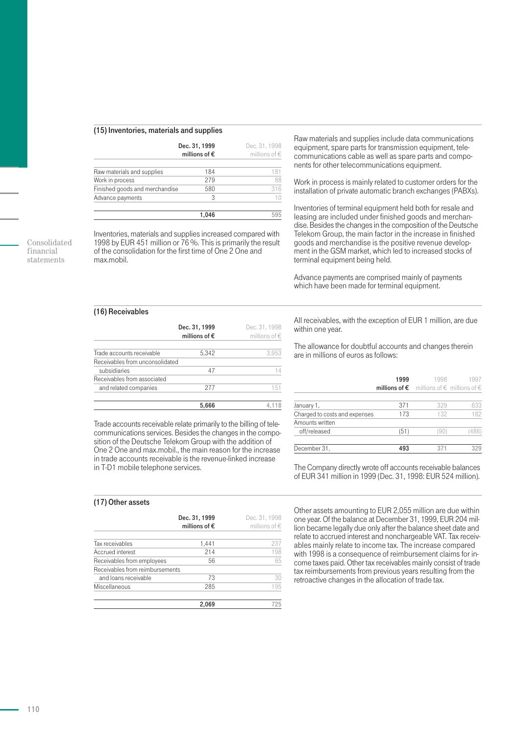#### (15) Inventories, materials and supplies

|                                | Dec. 31, 1999<br>millions of $\epsilon$ | Dec. 31, 1998<br>millions of $\in$ |
|--------------------------------|-----------------------------------------|------------------------------------|
| Raw materials and supplies     | 184                                     | 181                                |
| Work in process                | 279                                     | 88                                 |
| Finished goods and merchandise | 580                                     | 316                                |
| Advance payments               | 3                                       |                                    |
|                                | 1.046                                   | 595                                |

Inventories, materials and supplies increased compared with 1998 by EUR 451 million or 76 %. This is primarily the result of the consolidation for the first time of One 2 One and max.mobil.

Raw materials and supplies include data communications equipment, spare parts for transmission equipment, telecommunications cable as well as spare parts and components for other telecommunications equipment.

Work in process is mainly related to customer orders for the installation of private automatic branch exchanges (PABXs).

Inventories of terminal equipment held both for resale and leasing are included under finished goods and merchandise. Besides the changes in the composition of the Deutsche Telekom Group, the main factor in the increase in finished goods and merchandise is the positive revenue development in the GSM market, which led to increased stocks of terminal equipment being held.

Advance payments are comprised mainly of payments which have been made for terminal equipment.

#### (16) Receivables

|                                 | Dec. 31, 1999<br>millions of $\epsilon$ | Dec. 31, 1998<br>millions of $\in$ |
|---------------------------------|-----------------------------------------|------------------------------------|
| Trade accounts receivable       | 5.342                                   | 3.953                              |
| Receivables from unconsolidated |                                         |                                    |
| subsidiaries                    | 47                                      | 14                                 |
| Receivables from associated     |                                         |                                    |
| and related companies           | 277                                     | 151                                |
|                                 | 5.666                                   | 4.118                              |

Trade accounts receivable relate primarily to the billing of telecommunications services. Besides the changes in the composition of the Deutsche Telekom Group with the addition of One 2 One and max.mobil., the main reason for the increase in trade accounts receivable is the revenue-linked increase in T-D1 mobile telephone services.

#### (17) Other assets

|                                 | Dec. 31, 1999<br>millions of $\epsilon$ | Dec. 31, 1998<br>millions of $\in$ |
|---------------------------------|-----------------------------------------|------------------------------------|
| Tax receivables                 | 1,441                                   | 237                                |
| Accrued interest                | 214                                     | 198                                |
| Receivables from employees      | 56                                      | 65                                 |
| Receivables from reimbursements |                                         |                                    |
| and loans receivable            | 73                                      | 30                                 |
| Miscellaneous                   | 285                                     | 195                                |
|                                 | 2.069                                   | 725                                |

All receivables, with the exception of EUR 1 million, are due within one year.

The allowance for doubtful accounts and changes therein are in millions of euros as follows:

|                               | 1999<br>millions of $\epsilon$ millions of $\epsilon$ millions of $\epsilon$ | 1998 |     |
|-------------------------------|------------------------------------------------------------------------------|------|-----|
| January 1,                    | 371                                                                          | 329  | 633 |
| Charged to costs and expenses | 173                                                                          | 132  | 182 |
| Amounts written               |                                                                              |      |     |
| off/released                  | (51)                                                                         | '90  |     |
| December 31,                  | 493                                                                          | 371  |     |

The Company directly wrote off accounts receivable balances of EUR 341 million in 1999 (Dec. 31, 1998: EUR 524 million).

Other assets amounting to EUR 2,055 million are due within one year. Of the balance at December 31, 1999, EUR 204 million became legally due only after the balance sheet date and relate to accrued interest and nonchargeable VAT. Tax receivables mainly relate to income tax. The increase compared with 1998 is a consequence of reimbursement claims for income taxes paid. Other tax receivables mainly consist of trade tax reimbursements from previous years resulting from the retroactive changes in the allocation of trade tax.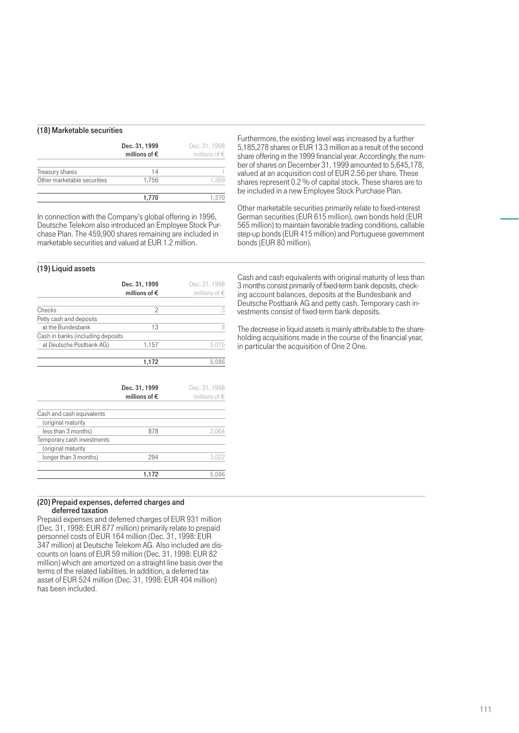## (18) Marketable securities

|                             | Dec. 31, 1999<br>millions of $\epsilon$ | Dec. 31, 1998<br>millions of $\in$ |
|-----------------------------|-----------------------------------------|------------------------------------|
| Treasury shares             | 14                                      |                                    |
| Other marketable securities | 1.756                                   | 1.369                              |
|                             |                                         |                                    |
|                             | 1.770                                   | 1.370                              |

In connection with the Company's global offering in 1996, Deutsche Telekom also introduced an Employee Stock Purchase Plan. The 459,900 shares remaining are included in marketable securities and valued at EUR 1.2 million.

## (19) Liquid assets

|                                   | Dec. 31, 1999<br>millions of $\epsilon$ | Dec. 31, 1998<br>millions of $\in$ |
|-----------------------------------|-----------------------------------------|------------------------------------|
|                                   |                                         |                                    |
| Checks                            | $\mathfrak{p}$                          | 3                                  |
| Petty cash and deposits           |                                         |                                    |
| at the Bundesbank                 | 13                                      | 8                                  |
| Cash in banks (including deposits |                                         |                                    |
| at Deutsche Postbank AG)          | 1,157                                   | 5,075                              |
|                                   | 1,172                                   | 5,086                              |
|                                   |                                         |                                    |
|                                   | Dec. 31, 1999<br>millions of $\epsilon$ | Dec. 31, 1998<br>millions of $\in$ |
| Cash and cash equivalents         |                                         |                                    |
| (original maturity                |                                         |                                    |
| less than 3 months)               | 878                                     | 2,064                              |
| Temporary cash investments        |                                         |                                    |
| (original maturity                |                                         |                                    |
| longer than 3 months)             | 294                                     | 3,022                              |

#### (20) Prepaid expenses, deferred charges and deferred taxation

Prepaid expenses and deferred charges of EUR 931 million (Dec. 31, 1998: EUR 877 million) primarily relate to prepaid personnel costs of EUR 164 million (Dec. 31, 1998: EUR 347 million) at Deutsche Telekom AG. Also included are discounts on loans of EUR 59 million (Dec. 31, 1998: EUR 82 million) which are amortized on a straight-line basis over the terms of the related liabilities. In addition, a deferred tax asset of EUR 524 million (Dec. 31, 1998: EUR 404 million) has been included.

Furthermore, the existing level was increased by a further 5,185,278 shares or EUR 13.3 million as a result of the second share offering in the 1999 financial year. Accordingly, the number of shares on December 31, 1999 amounted to 5,645,178, valued at an acquisition cost of EUR 2.56 per share. These shares represent 0.2 % of capital stock. These shares are to be included in a new Employee Stock Purchase Plan.

Other marketable securities primarily relate to fixed-interest German securities (EUR 615 million), own bonds held (EUR 565 million) to maintain favorable trading conditions, callable step-up bonds (EUR 415 million) and Portuguese government bonds (EUR 80 million).

Cash and cash equivalents with original maturity of less than 3 months consist primarily of fixed-term bank deposits, checking account balances, deposits at the Bundesbank and Deutsche Postbank AG and petty cash. Temporary cash investments consist of fixed-term bank deposits.

The decrease in liquid assets is mainly attributable to the shareholding acquisitions made in the course of the financial year, in particular the acquisition of One 2 One.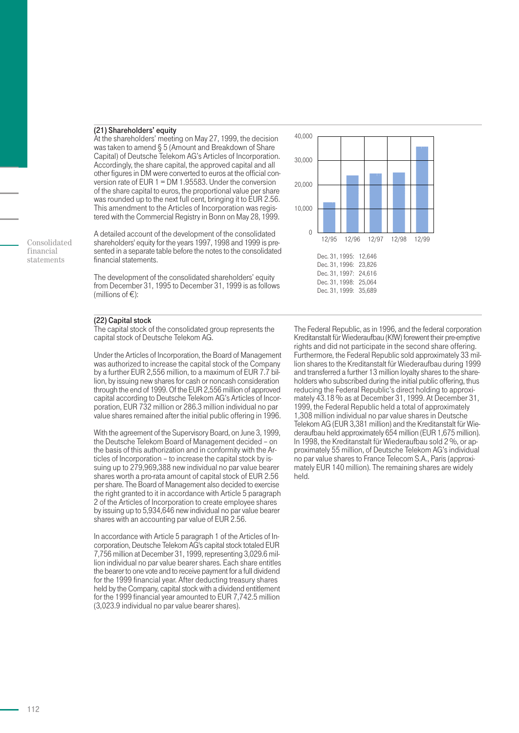#### (21) Shareholders' equity

At the shareholders' meeting on May 27, 1999, the decision was taken to amend § 5 (Amount and Breakdown of Share Capital) of Deutsche Telekom AG's Articles of Incorporation. Accordingly, the share capital, the approved capital and all other figures in DM were converted to euros at the official conversion rate of EUR 1 = DM 1.95583. Under the conversion of the share capital to euros, the proportional value per share was rounded up to the next full cent, bringing it to EUR 2.56. This amendment to the Articles of Incorporation was registered with the Commercial Registry in Bonn on May 28, 1999.

A detailed account of the development of the consolidated shareholders' equity for the years 1997, 1998 and 1999 is presented in a separate table before the notes to the consolidated financial statements.

The development of the consolidated shareholders' equity from December 31, 1995 to December 31, 1999 is as follows (millions of  $\epsilon$ ):

#### (22) Capital stock

The capital stock of the consolidated group represents the capital stock of Deutsche Telekom AG.

Under the Articles of Incorporation, the Board of Management was authorized to increase the capital stock of the Company by a further EUR 2,556 million, to a maximum of EUR 7.7 billion, by issuing new shares for cash or noncash consideration through the end of 1999. Of the EUR 2,556 million of approved capital according to Deutsche Telekom AG's Articles of Incorporation, EUR 732 million or 286.3 million individual no par value shares remained after the initial public offering in 1996.

With the agreement of the Supervisory Board, on June 3, 1999, the Deutsche Telekom Board of Management decided – on the basis of this authorization and in conformity with the Articles of Incorporation – to increase the capital stock by issuing up to 279,969,388 new individual no par value bearer shares worth a pro-rata amount of capital stock of EUR 2.56 per share. The Board of Management also decided to exercise the right granted to it in accordance with Article 5 paragraph 2 of the Articles of Incorporation to create employee shares by issuing up to 5,934,646 new individual no par value bearer shares with an accounting par value of EUR 2.56.

In accordance with Article 5 paragraph 1 of the Articles of Incorporation, Deutsche Telekom AG's capital stock totaled EUR 7,756 million at December 31, 1999, representing 3,029.6 million individual no par value bearer shares. Each share entitles the bearer to one vote and to receive payment for a full dividend for the 1999 financial year. After deducting treasury shares held by the Company, capital stock with a dividend entitlement for the 1999 financial year amounted to EUR 7,742.5 million (3,023.9 individual no par value bearer shares).



 $\Omega$ 10,000 20,000 30,000 12/95 12/96 12/97 12/98 12/99 Dec. 31, 1995: 12,646 Dec. 31, 1996: 23,826

> Dec. 31, 1997: 24,616 Dec. 31, 1998: 25,064 Dec. 31, 1999: 35,689

40,000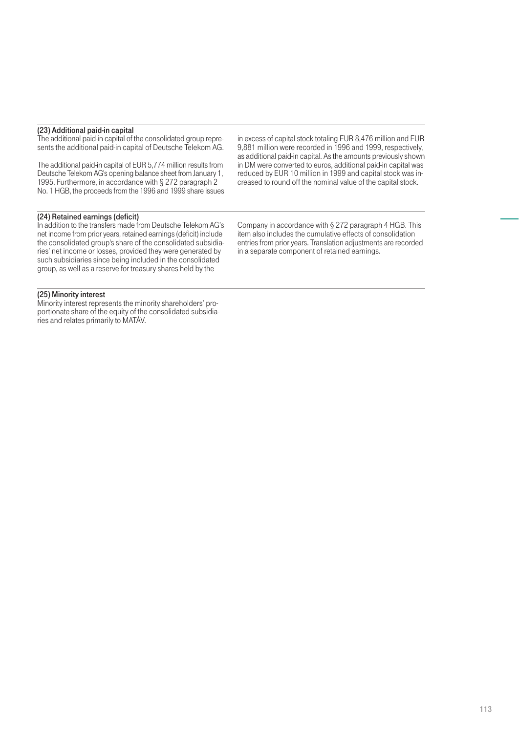## (23) Additional paid-in capital

The additional paid-in capital of the consolidated group represents the additional paid-in capital of Deutsche Telekom AG.

The additional paid-in capital of EUR 5,774 million results from Deutsche Telekom AG's opening balance sheet from January 1, 1995. Furthermore, in accordance with § 272 paragraph 2 No. 1 HGB, the proceeds from the 1996 and 1999 share issues in excess of capital stock totaling EUR 8,476 million and EUR 9,881 million were recorded in 1996 and 1999, respectively, as additional paid-in capital. As the amounts previously shown in DM were converted to euros, additional paid-in capital was reduced by EUR 10 million in 1999 and capital stock was increased to round off the nominal value of the capital stock.

## (24) Retained earnings (deficit)

In addition to the transfers made from Deutsche Telekom AG's net income from prior years, retained earnings (deficit) include the consolidated group's share of the consolidated subsidiaries' net income or losses, provided they were generated by such subsidiaries since being included in the consolidated group, as well as a reserve for treasury shares held by the

Company in accordance with § 272 paragraph 4 HGB. This item also includes the cumulative effects of consolidation entries from prior years. Translation adjustments are recorded in a separate component of retained earnings.

#### (25) Minority interest

Minority interest represents the minority shareholders' proportionate share of the equity of the consolidated subsidiaries and relates primarily to MATÁV.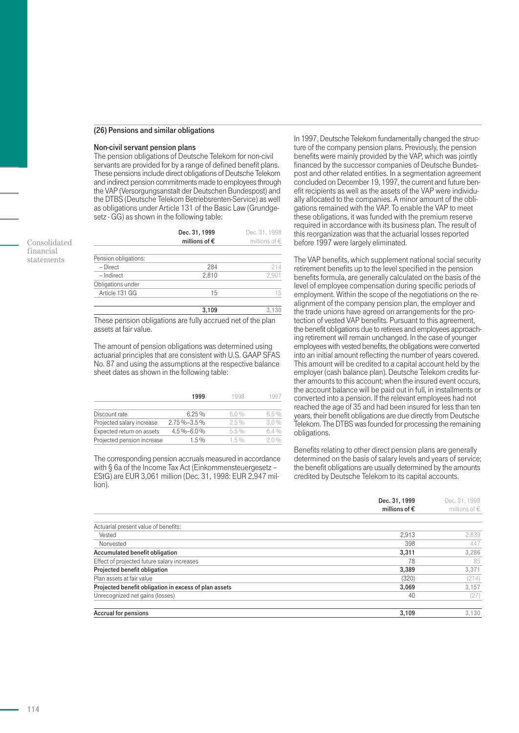#### (26) Pensions and similar obligations

#### Non-civil servant pension plans

The pension obligations of Deutsche Telekom for non-civil servants are provided for by a range of defined benefit plans. These pensions include direct obligations of Deutsche Telekom and indirect pension commitments made to employees through the VAP (Versorgungsanstalt der Deutschen Bundespost) and the DTBS (Deutsche Telekom Betriebsrenten-Service) as well as obligations under Article 131 of the Basic Law (Grundgesetz - GG) as shown in the following table:

|                      | Dec. 31, 1999          |                        |
|----------------------|------------------------|------------------------|
|                      | millions of $\epsilon$ | millions of $\epsilon$ |
| Pension obligations: |                        |                        |
| - Direct             | 284                    | 214                    |
| - Indirect           | 2,810                  | $2.90^{\circ}$         |
| Obligations under    |                        |                        |
| Article 131 GG       | 15                     | 15                     |
|                      | 3.109                  | 3.130                  |

These pension obligations are fully accrued net of the plan assets at fair value.

The amount of pension obligations was determined using actuarial principles that are consistent with U.S. GAAP SFAS No. 87 and using the assumptions at the respective balance sheet dates as shown in the following table:

|                            | 1999             | 1998    | l dd.   |
|----------------------------|------------------|---------|---------|
| Discount rate              | 6.25%            | $6.0\%$ | $6.5\%$ |
| Projected salary increase  | $2.75\% - 3.5\%$ | $2.5\%$ | $3.0\%$ |
| Expected return on assets  | $4.5\% - 6.0\%$  | $5.5\%$ | 6.4%    |
| Projected pension increase | $1.5\%$          | $1.5\%$ | 20%     |

The corresponding pension accruals measured in accordance with § 6a of the Income Tax Act (Einkommensteuergesetz – EStG) are EUR 3,061 million (Dec. 31, 1998: EUR 2,947 million).

In 1997, Deutsche Telekom fundamentally changed the structure of the company pension plans. Previously, the pension benefits were mainly provided by the VAP, which was jointly financed by the successor companies of Deutsche Bundespost and other related entities. In a segmentation agreement concluded on December 19, 1997, the current and future benefit recipients as well as the assets of the VAP were individually allocated to the companies. A minor amount of the obligations remained with the VAP. To enable the VAP to meet these obligations, it was funded with the premium reserve required in accordance with its business plan. The result of this reorganization was that the actuarial losses reported before 1997 were largely eliminated.

The VAP benefits, which supplement national social security retirement benefits up to the level specified in the pension benefits formula, are generally calculated on the basis of the level of employee compensation during specific periods of employment. Within the scope of the negotiations on the realignment of the company pension plan, the employer and the trade unions have agreed on arrangements for the protection of vested VAP benefits. Pursuant to this agreement, the benefit obligations due to retirees and employees approaching retirement will remain unchanged. In the case of younger employees with vested benefits, the obligations were converted into an initial amount reflecting the number of years covered. This amount will be credited to a capital account held by the employer (cash balance plan). Deutsche Telekom credits further amounts to this account; when the insured event occurs, the account balance will be paid out in full, in installments or converted into a pension. If the relevant employees had not reached the age of 35 and had been insured for less than ten years, their benefit obligations are due directly from Deutsche Telekom. The DTBS was founded for processing the remaining obligations.

Benefits relating to other direct pension plans are generally determined on the basis of salary levels and years of service; the benefit obligations are usually determined by the amounts credited by Deutsche Telekom to its capital accounts.

|                                                       | Dec. 31, 1999          | Dec. 31, 1998          |  |
|-------------------------------------------------------|------------------------|------------------------|--|
|                                                       | millions of $\epsilon$ | millions of $\epsilon$ |  |
|                                                       |                        |                        |  |
| Actuarial present value of benefits:                  |                        |                        |  |
| Vested                                                | 2.913                  | 2,839                  |  |
| Nonvested                                             | 398                    | 447                    |  |
| Accumulated benefit obligation                        | 3,311                  | 3,286                  |  |
| Effect of projected future salary increases           | 78                     | 85                     |  |
| Projected benefit obligation                          | 3,389                  | 3,371                  |  |
| Plan assets at fair value                             | (320)                  | (214)                  |  |
| Projected benefit obligation in excess of plan assets | 3.069                  | 3.157                  |  |
| Unrecognized net gains (losses)                       | 40                     | (27)                   |  |
| <b>Accrual for pensions</b>                           | 3,109                  | 3.130                  |  |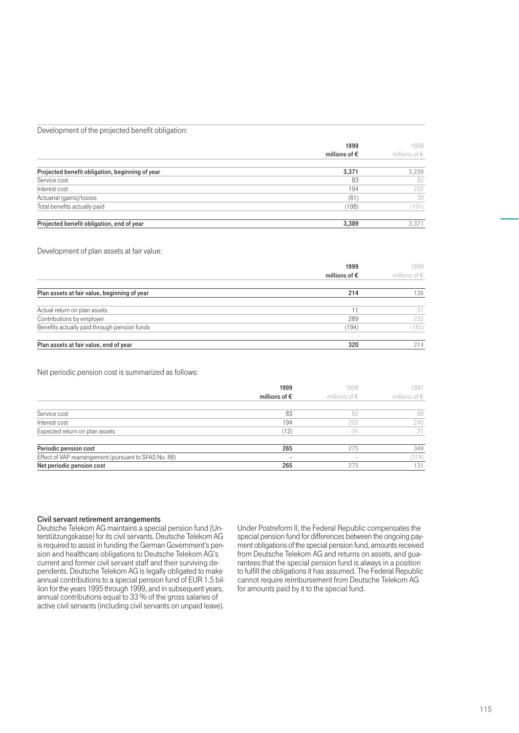| Development of the projected benefit obligation: |  |  |  |  |
|--------------------------------------------------|--|--|--|--|
|--------------------------------------------------|--|--|--|--|

|                                                 | 1999                   | 1998              |  |
|-------------------------------------------------|------------------------|-------------------|--|
|                                                 | millions of $\epsilon$ | millions of $\in$ |  |
| Projected benefit obligation, beginning of year | 3,371                  | 3,239             |  |
| Service cost                                    | 83                     | 82                |  |
| Interest cost                                   | 194                    | 202               |  |
| Actuarial (gains)/losses                        | (61)                   | 39                |  |
| Total benefits actually paid                    | (198)                  | (191)             |  |
| Projected benefit obligation, end of year       | 3.389                  | 3.371             |  |

Development of plan assets at fair value:

|                                              | 1999<br>millions of $\epsilon$ | 1998<br>millions of $\epsilon$ |
|----------------------------------------------|--------------------------------|--------------------------------|
|                                              |                                |                                |
| Plan assets at fair value, beginning of year | 214                            | 136                            |
| Actual return on plan assets                 |                                | 31                             |
| Contributions by employer                    | 289                            | 232                            |
| Benefits actually paid through pension funds | (194)                          | (185)                          |
| Plan assets at fair value, end of year       | 320                            | 214                            |

Net periodic pension cost is summarized as follows:

|                                                       | 1999<br>millions of $\epsilon$ | 1998<br>millions of $\epsilon$ | 1997<br>millions of $\in$ |
|-------------------------------------------------------|--------------------------------|--------------------------------|---------------------------|
|                                                       |                                |                                |                           |
| Service cost                                          | 83                             |                                | 88                        |
| Interest cost                                         | 194                            | 202                            | 240                       |
| Expected return on plan assets                        | (12)                           |                                | 21                        |
| Periodic pension cost                                 | 265                            | 275                            | 349                       |
| Effect of VAP rearrangement (pursuant to SFAS No. 88) |                                |                                | (218)                     |
| Net periodic pension cost                             | 265                            | 275                            | 131                       |

#### Civil servant retirement arrangements

Deutsche Telekom AG maintains a special pension fund (Unterstützungskasse) for its civil servants. Deutsche Telekom AG is required to assist in funding the German Government's pension and healthcare obligations to Deutsche Telekom AG's current and former civil servant staff and their surviving dependents. Deutsche Telekom AG is legally obligated to make annual contributions to a special pension fund of EUR 1.5 billion for the years 1995 through 1999, and in subsequent years, annual contributions equal to 33 % of the gross salaries of active civil servants (including civil servants on unpaid leave).

Under Postreform II, the Federal Republic compensates the special pension fund for differences between the ongoing payment obligations of the special pension fund, amounts received from Deutsche Telekom AG and returns on assets, and guarantees that the special pension fund is always in a position to fulfill the obligations it has assumed. The Federal Republic cannot require reimbursement from Deutsche Telekom AG for amounts paid by it to the special fund.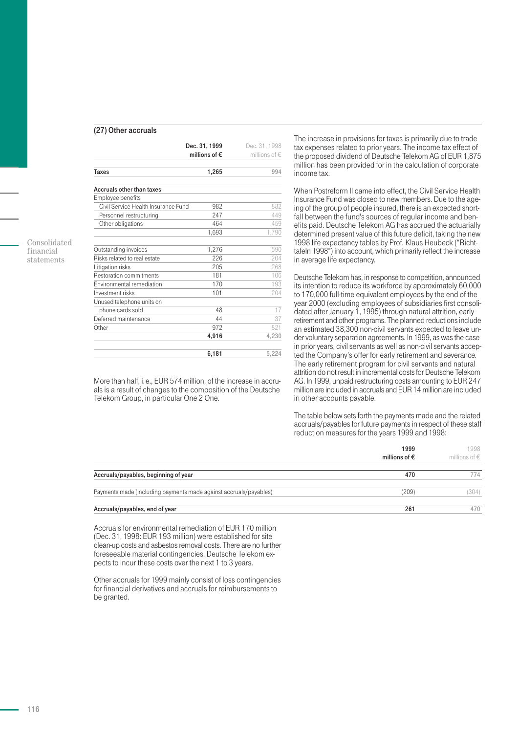#### (27) Other accruals

|                                     | Dec. 31, 1999<br>millions of $\epsilon$ | Dec. 31, 1998<br>millions of $\in$ |
|-------------------------------------|-----------------------------------------|------------------------------------|
| <b>Taxes</b>                        | 1,265                                   | 994                                |
| Accruals other than taxes           |                                         |                                    |
| Employee benefits                   |                                         |                                    |
| Civil Service Health Insurance Fund | 982                                     | 882                                |
| Personnel restructuring             | 247                                     | 449                                |
| Other obligations                   | 464                                     | 459                                |
|                                     | 1,693                                   | 1,790                              |
| Outstanding invoices                | 1,276                                   | 590                                |
| Risks related to real estate        | 226                                     | 204                                |
| Litigation risks                    | 205                                     | 268                                |
| <b>Restoration commitments</b>      | 181                                     | 106                                |
| Environmental remediation           | 170                                     | 193                                |
| Investment risks                    | 101                                     | 204                                |
| Unused telephone units on           |                                         |                                    |
| phone cards sold                    | 48                                      | 17                                 |
| Deferred maintenance                | 44                                      | 37                                 |
| Other                               | 972                                     | 821                                |
|                                     | 4,916                                   | 4.230                              |
|                                     | 6,181                                   | 5,224                              |

More than half, i.e., EUR 574 million, of the increase in accruals is a result of changes to the composition of the Deutsche Telekom Group, in particular One 2 One.

The increase in provisions for taxes is primarily due to trade tax expenses related to prior years. The income tax effect of the proposed dividend of Deutsche Telekom AG of EUR 1,875 million has been provided for in the calculation of corporate income tax.

When Postreform II came into effect, the Civil Service Health Insurance Fund was closed to new members. Due to the ageing of the group of people insured, there is an expected shortfall between the fund's sources of regular income and benefits paid. Deutsche Telekom AG has accrued the actuarially determined present value of this future deficit, taking the new 1998 life expectancy tables by Prof. Klaus Heubeck ("Richttafeln 1998") into account, which primarily reflect the increase in average life expectancy.

Deutsche Telekom has, in response to competition, announced its intention to reduce its workforce by approximately 60,000 to 170,000 full-time equivalent employees by the end of the year 2000 (excluding employees of subsidiaries first consolidated after January 1, 1995) through natural attrition, early retirement and other programs. The planned reductions include an estimated 38,300 non-civil servants expected to leave under voluntary separation agreements. In 1999, as was the case in prior years, civil servants as well as non-civil servants accepted the Company's offer for early retirement and severance. The early retirement program for civil servants and natural attrition do not result in incremental costs for Deutsche Telekom AG. In 1999, unpaid restructuring costs amounting to EUR 247 million are included in accruals and EUR 14 million are included in other accounts payable.

The table below sets forth the payments made and the related accruals/payables for future payments in respect of these staff reduction measures for the years 1999 and 1998:

|                                                                   | 1999                   | 1998                   |  |
|-------------------------------------------------------------------|------------------------|------------------------|--|
|                                                                   | millions of $\epsilon$ | millions of $\epsilon$ |  |
| Accruals/payables, beginning of year                              | 470                    | 774                    |  |
| Payments made (including payments made against accruals/payables) | (209)                  | (304)                  |  |
| Accruals/payables, end of year                                    | 261                    | 470                    |  |
|                                                                   |                        |                        |  |

Accruals for environmental remediation of EUR 170 million (Dec. 31, 1998: EUR 193 million) were established for site clean-up costs and asbestos removal costs. There are no further foreseeable material contingencies. Deutsche Telekom expects to incur these costs over the next 1 to 3 years.

Other accruals for 1999 mainly consist of loss contingencies for financial derivatives and accruals for reimbursements to be granted.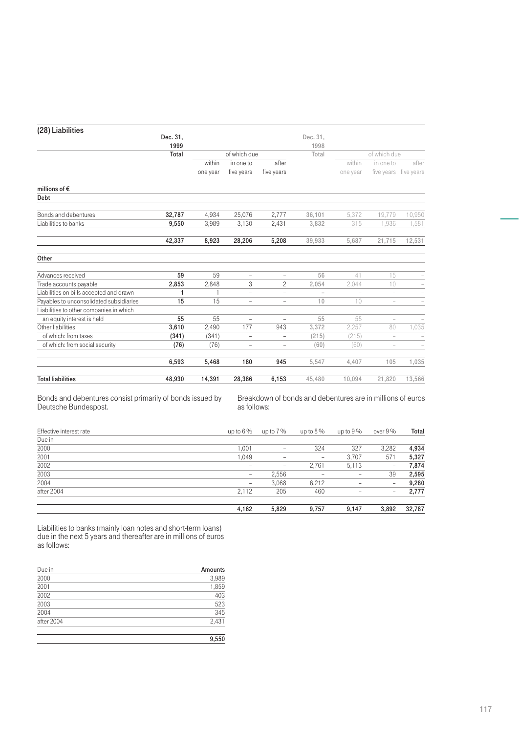| (28) Liabilities                                                                  |                  |          |                          |                          |                                                            |          |                          |                       |
|-----------------------------------------------------------------------------------|------------------|----------|--------------------------|--------------------------|------------------------------------------------------------|----------|--------------------------|-----------------------|
|                                                                                   | Dec. 31,<br>1999 |          |                          |                          | Dec. 31,<br>1998                                           |          |                          |                       |
|                                                                                   | Total            |          | of which due             |                          | Total                                                      |          | of which due             |                       |
|                                                                                   |                  | within   | in one to                | after                    |                                                            | within   | in one to                | after                 |
|                                                                                   |                  | one year | five years               | five years               |                                                            | one year |                          | five years five years |
| millions of $\epsilon$                                                            |                  |          |                          |                          |                                                            |          |                          |                       |
| Debt                                                                              |                  |          |                          |                          |                                                            |          |                          |                       |
| Bonds and debentures                                                              | 32,787           | 4.934    | 25,076                   | 2,777                    | 36,101                                                     | 5,372    | 19.779                   | 10,950                |
| Liabilities to banks                                                              | 9,550            | 3,989    | 3,130                    | 2,431                    | 3,832                                                      | 315      | 1,936                    | 1,581                 |
|                                                                                   | 42,337           | 8,923    | 28,206                   | 5,208                    | 39,933                                                     | 5,687    | 21,715                   | 12,531                |
| Other                                                                             |                  |          |                          |                          |                                                            |          |                          |                       |
| Advances received                                                                 | 59               | 59       | $\qquad \qquad -$        |                          | 56                                                         | 41       | 15                       |                       |
| Trade accounts payable                                                            | 2,853            | 2,848    | 3                        | $\overline{c}$           | 2,054                                                      | 2,044    | 10                       |                       |
| Liabilities on bills accepted and drawn                                           |                  |          | $\overline{\phantom{a}}$ | $\overline{\phantom{a}}$ | $\overline{\phantom{a}}$                                   |          | $\overline{\phantom{a}}$ |                       |
| Payables to unconsolidated subsidiaries                                           | 15               | 15       | $\overline{\phantom{a}}$ | $\overline{\phantom{m}}$ | 10                                                         | 10       | $\overline{\phantom{a}}$ |                       |
| Liabilities to other companies in which                                           |                  |          |                          |                          |                                                            |          |                          |                       |
| an equity interest is held                                                        | 55               | 55       | $\overline{\phantom{a}}$ | $\overline{\phantom{m}}$ | 55                                                         | 55       |                          |                       |
| Other liabilities                                                                 | 3,610            | 2,490    | 177                      | 943                      | 3.372                                                      | 2.257    | 80                       | 1.035                 |
| of which: from taxes                                                              | (341)            | (341)    | $\overline{\phantom{0}}$ |                          | (215)                                                      | (215)    |                          |                       |
| of which: from social security                                                    | (76)             | (76)     | $\overline{\phantom{0}}$ |                          | (60)                                                       | (60)     |                          |                       |
|                                                                                   | 6,593            | 5,468    | 180                      | 945                      | 5,547                                                      | 4,407    | 105                      | 1,035                 |
| <b>Total liabilities</b>                                                          | 48,930           | 14,391   | 28,386                   | 6,153                    | 45,480                                                     | 10,094   | 21,820                   | 13,566                |
| Bonds and debentures consist primarily of bonds issued by<br>Deutsche Bundespost. |                  |          | as follows:              |                          | Breakdown of bonds and debentures are in millions of euros |          |                          |                       |

| Effective interest rate | up to $6\%$ | up to $7%$               | up to $8\%$              | up to $9\%$ | over 9%                  | Total  |
|-------------------------|-------------|--------------------------|--------------------------|-------------|--------------------------|--------|
| Due in                  |             |                          |                          |             |                          |        |
| 2000                    | 1,001       | $\qquad \qquad -$        | 324                      | 327         | 3,282                    | 4,934  |
| 2001                    | 1.049       | $\overline{\phantom{0}}$ | $\qquad \qquad -$        | 3,707       | 571                      | 5,327  |
| 2002                    | -           | $\overline{\phantom{0}}$ | 2,761                    | 5,113       | $\overline{\phantom{a}}$ | 7,874  |
| 2003                    | $-$         | 2,556                    | $\overline{\phantom{0}}$ | -           | 39                       | 2,595  |
| 2004                    | -           | 3,068                    | 6,212                    | -           | $\overline{\phantom{m}}$ | 9,280  |
| after 2004              | 2.112       | 205                      | 460                      |             | $\overline{\phantom{m}}$ | 2,777  |
|                         | 4,162       | 5,829                    | 9,757                    | 9,147       | 3,892                    | 32,787 |

Liabilities to banks (mainly loan notes and short-term loans) due in the next 5 years and thereafter are in millions of euros as follows:

| Due in     | <b>Amounts</b> |
|------------|----------------|
| 2000       | 3,989          |
| 2001       | 1,859          |
| 2002       | 403            |
| 2003       | 523            |
| 2004       | 345            |
| after 2004 | 2,431          |
|            | 9,550          |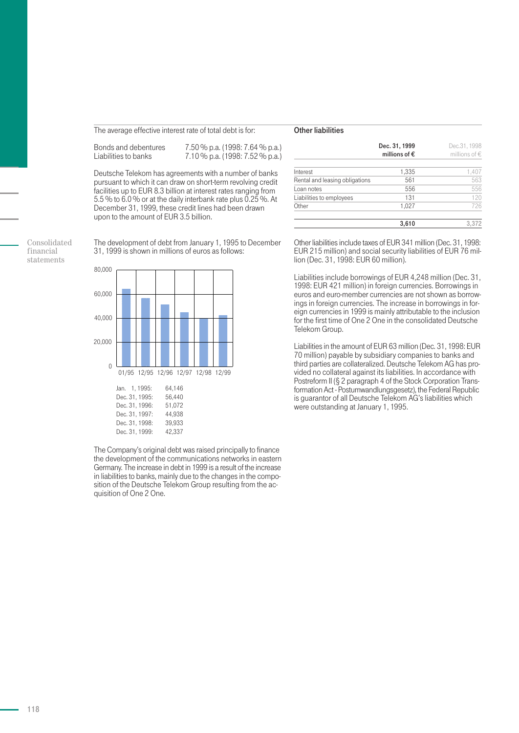The average effective interest rate of total debt is for:

Bonds and debentures 7.50 % p.a. (1998: 7.64 % p.a.) 7.10 % p.a. (1998: 7.52 % p.a.)

Deutsche Telekom has agreements with a number of banks pursuant to which it can draw on short-term revolving credit facilities up to EUR 8.3 billion at interest rates ranging from 5.5 % to 6.0 % or at the daily interbank rate plus 0.25 %. At December 31, 1999, these credit lines had been drawn upon to the amount of EUR 3.5 billion.

Consolidated financial statements

The development of debt from January 1, 1995 to December 31, 1999 is shown in millions of euros as follows:



The Company's original debt was raised principally to finance the development of the communications networks in eastern Germany. The increase in debt in 1999 is a result of the increase in liabilities to banks, mainly due to the changes in the composition of the Deutsche Telekom Group resulting from the acquisition of One 2 One.

**Dec. 31, 1999** Dec.31, 1998<br> **millions of**  $\epsilon$  millions of  $\epsilon$ millions of  $\epsilon$ **Interest** 1,335 1,407 Rental and leasing obligations 561 563<br>
Loan notes 556 556 556 Loan notes 556 556 Liabilities to employees 131 120<br>
Other 1.027 726 **Other 1,027** 726 3,610 3,372

Other liabilities

Other liabilities include taxes of EUR 341 million (Dec. 31, 1998: EUR 215 million) and social security liabilities of EUR 76 million (Dec. 31, 1998: EUR 60 million).

Liabilities include borrowings of EUR 4,248 million (Dec. 31, 1998: EUR 421 million) in foreign currencies. Borrowings in euros and euro-member currencies are not shown as borrowings in foreign currencies. The increase in borrowings in foreign currencies in 1999 is mainly attributable to the inclusion for the first time of One 2 One in the consolidated Deutsche Telekom Group.

Liabilities in the amount of EUR 63 million (Dec. 31, 1998: EUR 70 million) payable by subsidiary companies to banks and third parties are collateralized. Deutsche Telekom AG has provided no collateral against its liabilities. In accordance with Postreform II (§ 2 paragraph 4 of the Stock Corporation Transformation Act - Postumwandlungsgesetz), the Federal Republic is guarantor of all Deutsche Telekom AG's liabilities which were outstanding at January 1, 1995.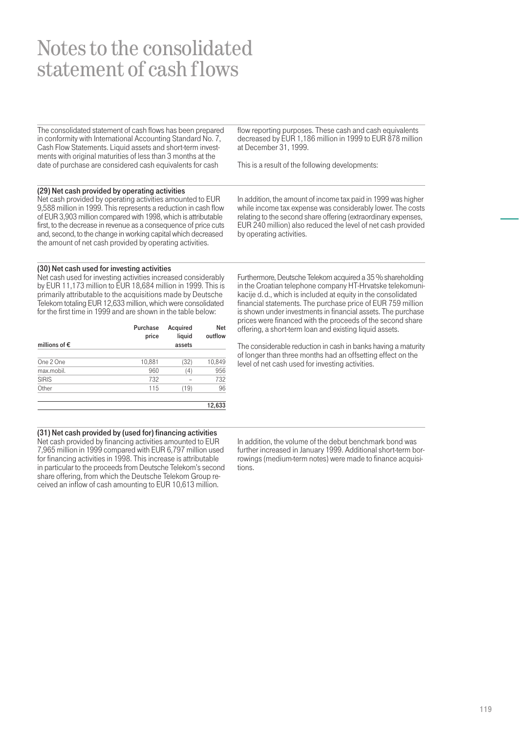## Notes to the consolidated statement of cash flows

The consolidated statement of cash flows has been prepared in conformity with International Accounting Standard No. 7, Cash Flow Statements. Liquid assets and short-term investments with original maturities of less than 3 months at the date of purchase are considered cash equivalents for cash

flow reporting purposes. These cash and cash equivalents decreased by EUR 1,186 million in 1999 to EUR 878 million at December 31, 1999.

This is a result of the following developments:

## (29) Net cash provided by operating activities

Net cash provided by operating activities amounted to EUR 9,588 million in 1999. This represents a reduction in cash flow of EUR 3,903 million compared with 1998, which is attributable first, to the decrease in revenue as a consequence of price cuts and, second, to the change in working capital which decreased the amount of net cash provided by operating activities.

#### (30) Net cash used for investing activities

Net cash used for investing activities increased considerably by EUR 11,173 million to EUR 18,684 million in 1999. This is primarily attributable to the acquisitions made by Deutsche Telekom totaling EUR 12,633 million, which were consolidated for the first time in 1999 and are shown in the table below:

| millions of $\epsilon$ | Purchase<br>price | Acquired<br>liquid<br>assets | Net<br>outflow |
|------------------------|-------------------|------------------------------|----------------|
|                        |                   |                              |                |
| One 2 One              | 10,881            | (32)                         | 10,849         |
| max.mobil.             | 960               | (4)                          | 956            |
| <b>SIRIS</b>           | 732               |                              | 732            |
| Other                  | 115               | (19)                         | 96             |
|                        |                   |                              |                |
|                        |                   |                              | 12,633         |

In addition, the amount of income tax paid in 1999 was higher while income tax expense was considerably lower. The costs relating to the second share offering (extraordinary expenses, EUR 240 million) also reduced the level of net cash provided by operating activities.

Furthermore, Deutsche Telekom acquired a 35 % shareholding in the Croatian telephone company HT-Hrvatske telekomunikacije d. d., which is included at equity in the consolidated financial statements. The purchase price of EUR 759 million is shown under investments in financial assets. The purchase prices were financed with the proceeds of the second share offering, a short-term loan and existing liquid assets.

The considerable reduction in cash in banks having a maturity of longer than three months had an offsetting effect on the level of net cash used for investing activities.

## (31) Net cash provided by (used for) financing activities

Net cash provided by financing activities amounted to EUR 7,965 million in 1999 compared with EUR 6,797 million used for financing activities in 1998. This increase is attributable in particular to the proceeds from Deutsche Telekom's second share offering, from which the Deutsche Telekom Group received an inflow of cash amounting to EUR 10,613 million.

In addition, the volume of the debut benchmark bond was further increased in January 1999. Additional short-term borrowings (medium-term notes) were made to finance acquisitions.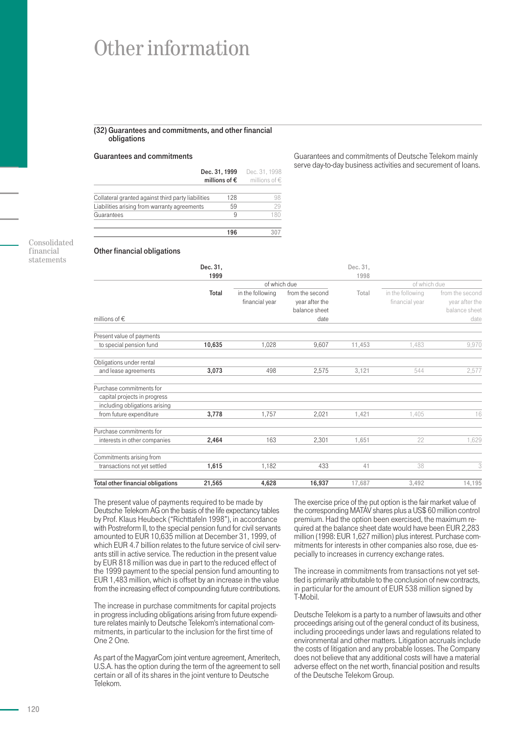# Other information

#### (32) Guarantees and commitments, and other financial obligations

#### Guarantees and commitments

|                                                    | Dec. 31, 1999<br>millions of $\epsilon$ | Dec. 31, 1998<br>millions of $\in$ |
|----------------------------------------------------|-----------------------------------------|------------------------------------|
| Collateral granted against third party liabilities | 128                                     | 98                                 |
| Liabilities arising from warranty agreements       | 59                                      | 29                                 |
| Guarantees                                         | 9                                       | 180                                |
|                                                    | 196                                     |                                    |

Guarantees and commitments of Deutsche Telekom mainly serve day-to-day business activities and securement of loans.

#### Other financial obligations

|                                   | Dec. 31,<br>1999 |                                    |                                                    | Dec. 31,<br>1998 |                                    |                                                    |
|-----------------------------------|------------------|------------------------------------|----------------------------------------------------|------------------|------------------------------------|----------------------------------------------------|
|                                   |                  |                                    | of which due                                       |                  | of which due                       |                                                    |
|                                   | <b>Total</b>     | in the following<br>financial year | from the second<br>year after the<br>balance sheet | Total            | in the following<br>financial year | from the second<br>year after the<br>balance sheet |
| millions of $\epsilon$            |                  |                                    | date                                               |                  |                                    | date                                               |
| Present value of payments         |                  |                                    |                                                    |                  |                                    |                                                    |
| to special pension fund           | 10,635           | 1,028                              | 9,607                                              | 11,453           | 1,483                              | 9,970                                              |
| Obligations under rental          |                  |                                    |                                                    |                  |                                    |                                                    |
| and lease agreements              | 3,073            | 498                                | 2,575                                              | 3,121            | 544                                | 2,577                                              |
| Purchase commitments for          |                  |                                    |                                                    |                  |                                    |                                                    |
| capital projects in progress      |                  |                                    |                                                    |                  |                                    |                                                    |
| including obligations arising     |                  |                                    |                                                    |                  |                                    |                                                    |
| from future expenditure           | 3,778            | 1,757                              | 2,021                                              | 1,421            | 1,405                              | 16                                                 |
| Purchase commitments for          |                  |                                    |                                                    |                  |                                    |                                                    |
| interests in other companies      | 2,464            | 163                                | 2,301                                              | 1,651            | 22                                 | 1,629                                              |
| Commitments arising from          |                  |                                    |                                                    |                  |                                    |                                                    |
| transactions not yet settled      | 1,615            | 1,182                              | 433                                                | 41               | 38                                 | 3                                                  |
| Total other financial obligations | 21,565           | 4,628                              | 16,937                                             | 17,687           | 3,492                              | 14,195                                             |

The present value of payments required to be made by Deutsche Telekom AG on the basis of the life expectancy tables by Prof. Klaus Heubeck ("Richttafeln 1998"), in accordance with Postreform II, to the special pension fund for civil servants amounted to EUR 10,635 million at December 31, 1999, of which EUR 4.7 billion relates to the future service of civil servants still in active service. The reduction in the present value by EUR 818 million was due in part to the reduced effect of the 1999 payment to the special pension fund amounting to EUR 1,483 million, which is offset by an increase in the value from the increasing effect of compounding future contributions.

The increase in purchase commitments for capital projects in progress including obligations arising from future expenditure relates mainly to Deutsche Telekom's international commitments, in particular to the inclusion for the first time of One 2 One.

As part of the MagyarCom joint venture agreement, Ameritech, U.S.A. has the option during the term of the agreement to sell certain or all of its shares in the joint venture to Deutsche Telekom.

The exercise price of the put option is the fair market value of the corresponding MATÁV shares plus a US\$ 60 million control premium. Had the option been exercised, the maximum required at the balance sheet date would have been EUR 2,283 million (1998: EUR 1,627 million) plus interest. Purchase commitments for interests in other companies also rose, due especially to increases in currency exchange rates.

The increase in commitments from transactions not yet settled is primarily attributable to the conclusion of new contracts, in particular for the amount of EUR 538 million signed by T-Mobil.

Deutsche Telekom is a party to a number of lawsuits and other proceedings arising out of the general conduct of its business, including proceedings under laws and regulations related to environmental and other matters. Litigation accruals include the costs of litigation and any probable losses. The Company does not believe that any additional costs will have a material adverse effect on the net worth, financial position and results of the Deutsche Telekom Group.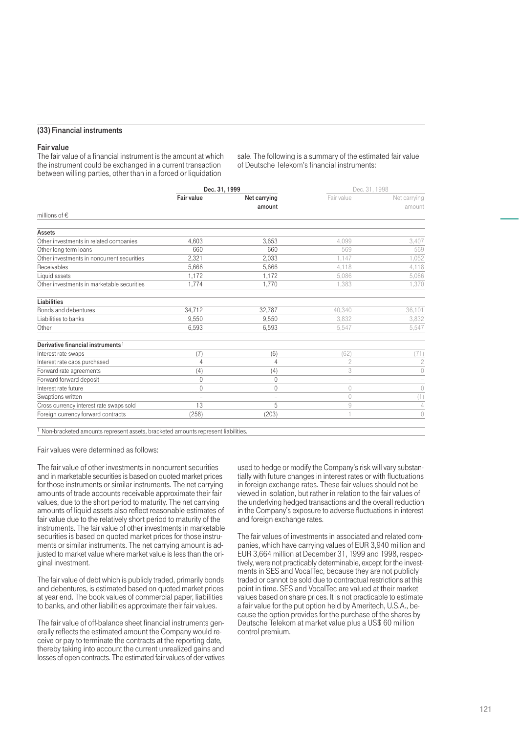## (33) Financial instruments

#### Fair value

The fair value of a financial instrument is the amount at which the instrument could be exchanged in a current transaction between willing parties, other than in a forced or liquidation

sale. The following is a summary of the estimated fair value of Deutsche Telekom's financial instruments:

|                                               | Dec. 31, 1999  |                          |                  | Dec. 31, 1998  |
|-----------------------------------------------|----------------|--------------------------|------------------|----------------|
|                                               | Fair value     | Net carrying             | Fair value       | Net carrying   |
|                                               |                | amount                   |                  | amount         |
| millions of $\epsilon$                        |                |                          |                  |                |
| <b>Assets</b>                                 |                |                          |                  |                |
| Other investments in related companies        | 4.603          | 3.653                    | 4,099            | 3,407          |
| Other long-term loans                         | 660            | 660                      | 569              | 569            |
| Other investments in noncurrent securities    | 2,321          | 2,033                    | 1.147            | 1.052          |
| Receivables                                   | 5,666          | 5,666                    | 4,118            | 4,118          |
| Liquid assets                                 | 1,172          | 1,172                    | 5,086            | 5,086          |
| Other investments in marketable securities    | 1.774          | 1,770                    | 1.383            | 1.370          |
| Liabilities                                   |                |                          |                  |                |
| Bonds and debentures                          | 34,712         | 32,787                   | 40.340           | 36,101         |
| Liabilities to banks                          | 9,550          | 9,550                    | 3,832            | 3,832          |
| Other                                         | 6,593          | 6,593                    | 5.547            | 5,547          |
| Derivative financial instruments <sup>1</sup> |                |                          |                  |                |
| Interest rate swaps                           | (7)            | (6)                      | (62)             | (71)           |
| Interest rate caps purchased                  | $\overline{4}$ | $\overline{4}$           | $\overline{c}$   | $\overline{c}$ |
| Forward rate agreements                       | (4)            | (4)                      | 3                | $\bigcirc$     |
| Forward forward deposit                       | $\Omega$       | $\mathbf 0$              | $\qquad \qquad$  |                |
| Interest rate future                          | $\Omega$       | 0                        | $\left( \right)$ | $\sqrt{ }$     |
| Swaptions written                             |                | $\overline{\phantom{0}}$ | $\bigcirc$       | (1)            |
| Cross currency interest rate swaps sold       | 13             | 5                        | 9                | 4              |
| Foreign currency forward contracts            | (258)          | (203)                    |                  | $\bigcirc$     |

<sup>1</sup> Non-bracketed amounts represent assets, bracketed amounts represent liabilities.

Fair values were determined as follows:

The fair value of other investments in noncurrent securities and in marketable securities is based on quoted market prices for those instruments or similar instruments. The net carrying amounts of trade accounts receivable approximate their fair values, due to the short period to maturity. The net carrying amounts of liquid assets also reflect reasonable estimates of fair value due to the relatively short period to maturity of the instruments. The fair value of other investments in marketable securities is based on quoted market prices for those instruments or similar instruments. The net carrying amount is adjusted to market value where market value is less than the original investment.

The fair value of debt which is publicly traded, primarily bonds and debentures, is estimated based on quoted market prices at year end. The book values of commercial paper, liabilities to banks, and other liabilities approximate their fair values.

The fair value of off-balance sheet financial instruments generally reflects the estimated amount the Company would receive or pay to terminate the contracts at the reporting date, thereby taking into account the current unrealized gains and losses of open contracts. The estimated fair values of derivatives used to hedge or modify the Company's risk will vary substantially with future changes in interest rates or with fluctuations in foreign exchange rates. These fair values should not be viewed in isolation, but rather in relation to the fair values of the underlying hedged transactions and the overall reduction in the Company's exposure to adverse fluctuations in interest and foreign exchange rates.

The fair values of investments in associated and related companies, which have carrying values of EUR 3,940 million and EUR 3,664 million at December 31, 1999 and 1998, respectively, were not practicably determinable, except for the investments in SES and VocalTec, because they are not publicly traded or cannot be sold due to contractual restrictions at this point in time. SES and VocalTec are valued at their market values based on share prices. It is not practicable to estimate a fair value for the put option held by Ameritech, U.S.A., because the option provides for the purchase of the shares by Deutsche Telekom at market value plus a US\$ 60 million control premium.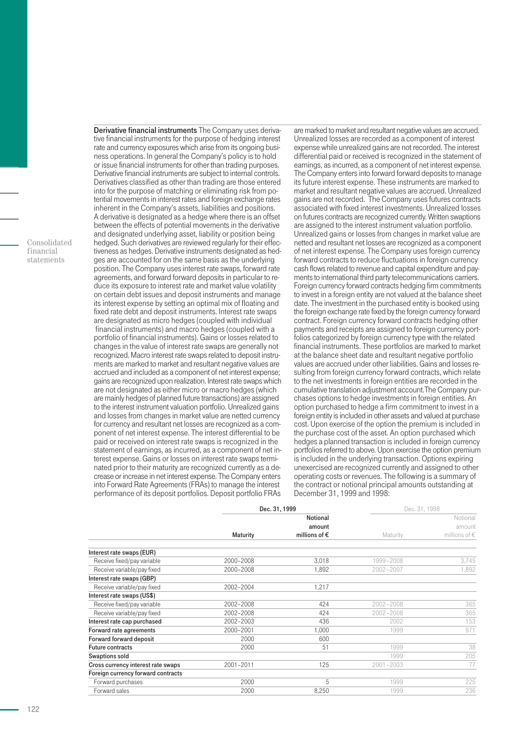Consolidated financial statements

Derivative financial instruments The Company uses derivative financial instruments for the purpose of hedging interest rate and currency exposures which arise from its ongoing business operations. In general the Company's policy is to hold or issue financial instruments for other than trading purposes. Derivative financial instruments are subject to internal controls. Derivatives classified as other than trading are those entered into for the purpose of matching or eliminating risk from potential movements in interest rates and foreign exchange rates inherent in the Company's assets, liabilities and positions. A derivative is designated as a hedge where there is an offset between the effects of potential movements in the derivative and designated underlying asset, liability or position being hedged. Such derivatives are reviewed regularly for their effectiveness as hedges. Derivative instruments designated as hedges are accounted for on the same basis as the underlying position. The Company uses interest rate swaps, forward rate agreements, and forward forward deposits in particular to reduce its exposure to interest rate and market value volatility on certain debt issues and deposit instruments and manage its interest expense by setting an optimal mix of floating and fixed rate debt and deposit instruments. Interest rate swaps are designated as micro hedges (coupled with individual financial instruments) and macro hedges (coupled with a portfolio of financial instruments). Gains or losses related to changes in the value of interest rate swaps are generally not recognized. Macro interest rate swaps related to deposit instruments are marked to market and resultant negative values are accrued and included as a component of net interest expense; gains are recognized upon realization. Interest rate swaps which are not designated as either micro or macro hedges (which are mainly hedges of planned future transactions) are assigned to the interest instrument valuation portfolio. Unrealized gains and losses from changes in market value are netted currency for currency and resultant net losses are recognized as a component of net interest expense. The interest differential to be paid or received on interest rate swaps is recognized in the statement of earnings, as incurred, as a component of net interest expense. Gains or losses on interest rate swaps terminated prior to their maturity are recognized currently as a decrease or increase in net interest expense. The Company enters into Forward Rate Agreements (FRAs) to manage the interest performance of its deposit portfolios. Deposit portfolio FRAs are marked to market and resultant negative values are accrued. Unrealized losses are recorded as a component of interest expense while unrealized gains are not recorded. The interest differential paid or received is recognized in the statement of earnings, as incurred, as a component of net interest expense. The Company enters into forward forward deposits to manage its future interest expense. These instruments are marked to market and resultant negative values are accrued. Unrealized gains are not recorded. The Company uses futures contracts associated with fixed interest investments. Unrealized losses on futures contracts are recognized currently. Written swaptions are assigned to the interest instrument valuation portfolio. Unrealized gains or losses from changes in market value are netted and resultant net losses are recognized as a component of net interest expense. The Company uses foreign currency forward contracts to reduce fluctuations in foreign currency cash flows related to revenue and capital expenditure and payments to international third party telecommunications carriers. Foreign currency forward contracts hedging firm commitments to invest in a foreign entity are not valued at the balance sheet date. The investment in the purchased entity is booked using the foreign exchange rate fixed by the foreign currency forward contract. Foreign currency forward contracts hedging other payments and receipts are assigned to foreign currency portfolios categorized by foreign currency type with the related financial instruments. These portfolios are marked to market at the balance sheet date and resultant negative portfolio values are accrued under other liabilities. Gains and losses resulting from foreign currency forward contracts, which relate to the net investments in foreign entities are recorded in the cumulative translation adjustment account.The Company purchases options to hedge investments in foreign entities. An option purchased to hedge a firm commitment to invest in a foreign entity is included in other assets and valued at purchase cost. Upon exercise of the option the premium is included in the purchase cost of the asset. An option purchased which hedges a planned transaction is included in foreign currency portfolios referred to above. Upon exercise the option premium is included in the underlying transaction. Options expiring unexercised are recognized currently and assigned to other operating costs or revenues. The following is a summary of the contract or notional principal amounts outstanding at December 31, 1999 and 1998:

|                                    | Dec. 31, 1999   |                        | Dec. 31, 1998 |                        |
|------------------------------------|-----------------|------------------------|---------------|------------------------|
|                                    |                 | Notional               |               | Notional               |
|                                    |                 | amount                 |               | amount                 |
|                                    | <b>Maturity</b> | millions of $\epsilon$ | Maturity      | millions of $\epsilon$ |
| Interest rate swaps (EUR)          |                 |                        |               |                        |
| Receive fixed/pay variable         | 2000-2008       | 3,018                  | 1999-2008     | 3,745                  |
| Receive variable/pay fixed         | 2000-2008       | 1,892                  | $2002 - 2007$ | 1,892                  |
| Interest rate swaps (GBP)          |                 |                        |               |                        |
| Receive variable/pay fixed         | 2002-2004       | 1,217                  |               |                        |
| Interest rate swaps (US\$)         |                 |                        |               |                        |
| Receive fixed/pay variable         | 2002-2008       | 424                    | $2002 - 2008$ | 365                    |
| Receive variable/pay fixed         | 2002-2008       | 424                    | $2002 - 2008$ | 365                    |
| Interest rate cap purchased        | 2002-2003       | 436                    | 2002          | 153                    |
| Forward rate agreements            | 2000-2001       | 1,000                  | 1999          | 971                    |
| Forward forward deposit            | 2000            | 600                    |               |                        |
| <b>Future contracts</b>            | 2000            | 51                     | 1999          | 38                     |
| <b>Swaptions sold</b>              |                 |                        | 1999          | 205                    |
| Cross currency interest rate swaps | 2001-2011       | 125                    | $2001 - 2003$ | 77                     |
| Foreign currency forward contracts |                 |                        |               |                        |
| Forward purchases                  | 2000            | 5                      | 1999          | 225                    |
| Forward sales                      | 2000            | 8,250                  | 1999          | 236                    |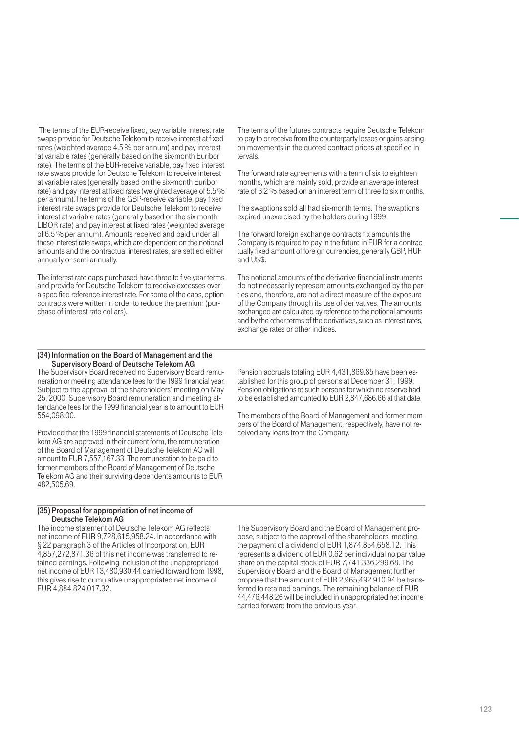The terms of the EUR-receive fixed, pay variable interest rate swaps provide for Deutsche Telekom to receive interest at fixed rates (weighted average 4.5 % per annum) and pay interest at variable rates (generally based on the six-month Euribor rate). The terms of the EUR-receive variable, pay fixed interest rate swaps provide for Deutsche Telekom to receive interest at variable rates (generally based on the six-month Euribor rate) and pay interest at fixed rates (weighted average of 5.5 % per annum).The terms of the GBP-receive variable, pay fixed interest rate swaps provide for Deutsche Telekom to receive interest at variable rates (generally based on the six-month LIBOR rate) and pay interest at fixed rates (weighted average of 6.5 % per annum). Amounts received and paid under all these interest rate swaps, which are dependent on the notional amounts and the contractual interest rates, are settled either annually or semi-annually.

The interest rate caps purchased have three to five-year terms and provide for Deutsche Telekom to receive excesses over a specified reference interest rate. For some of the caps, option contracts were written in order to reduce the premium (purchase of interest rate collars).

The terms of the futures contracts require Deutsche Telekom to pay to or receive from the counterparty losses or gains arising on movements in the quoted contract prices at specified intervals.

The forward rate agreements with a term of six to eighteen months, which are mainly sold, provide an average interest rate of 3.2 % based on an interest term of three to six months.

The swaptions sold all had six-month terms. The swaptions expired unexercised by the holders during 1999.

The forward foreign exchange contracts fix amounts the Company is required to pay in the future in EUR for a contractually fixed amount of foreign currencies, generally GBP, HUF and US\$.

The notional amounts of the derivative financial instruments do not necessarily represent amounts exchanged by the parties and, therefore, are not a direct measure of the exposure of the Company through its use of derivatives. The amounts exchanged are calculated by reference to the notional amounts and by the other terms of the derivatives, such as interest rates, exchange rates or other indices.

#### (34) Information on the Board of Management and the Supervisory Board of Deutsche Telekom AG

The Supervisory Board received no Supervisory Board remuneration or meeting attendance fees for the 1999 financial year. Subject to the approval of the shareholders' meeting on May 25, 2000, Supervisory Board remuneration and meeting attendance fees for the 1999 financial year is to amount to EUR 554,098.00.

Provided that the 1999 financial statements of Deutsche Telekom AG are approved in their current form, the remuneration of the Board of Management of Deutsche Telekom AG will amount to EUR 7,557,167.33. The remuneration to be paid to former members of the Board of Management of Deutsche Telekom AG and their surviving dependents amounts to EUR 482,505.69.

Pension accruals totaling EUR 4,431,869.85 have been established for this group of persons at December 31, 1999. Pension obligations to such persons for which no reserve had to be established amounted to EUR 2,847,686.66 at that date.

The members of the Board of Management and former members of the Board of Management, respectively, have not received any loans from the Company.

#### (35) Proposal for appropriation of net income of Deutsche Telekom AG

The income statement of Deutsche Telekom AG reflects net income of EUR 9,728,615,958.24. In accordance with § 22 paragraph 3 of the Articles of Incorporation, EUR 4,857,272,871.36 of this net income was transferred to retained earnings. Following inclusion of the unappropriated net income of EUR 13,480,930.44 carried forward from 1998, this gives rise to cumulative unappropriated net income of EUR 4,884,824,017.32.

The Supervisory Board and the Board of Management propose, subject to the approval of the shareholders' meeting, the payment of a dividend of EUR 1,874,854,658.12. This represents a dividend of EUR 0.62 per individual no par value share on the capital stock of EUR 7,741,336,299.68. The Supervisory Board and the Board of Management further propose that the amount of EUR 2,965,492,910.94 be transferred to retained earnings. The remaining balance of EUR 44,476,448.26 will be included in unappropriated net income carried forward from the previous year.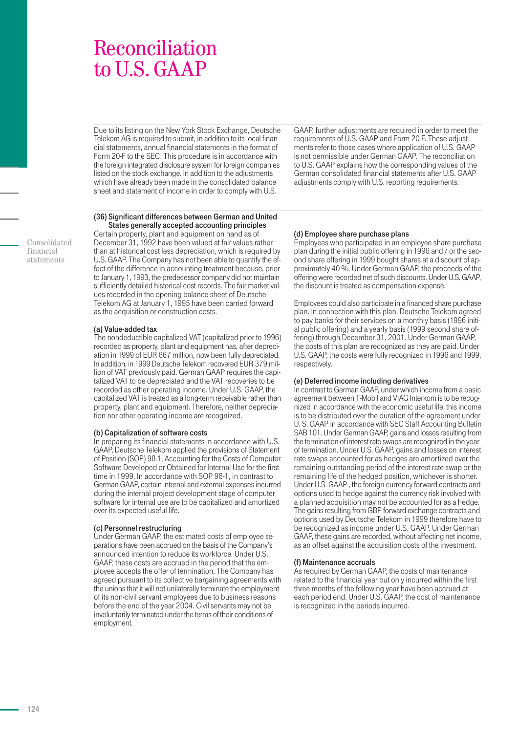# Reconciliation to U.S. GAAP

Due to its listing on the New York Stock Exchange, Deutsche Telekom AG is required to submit, in addition to its local financial statements, annual financial statements in the format of Form 20-F to the SEC. This procedure is in accordance with the foreign integrated disclosure system for foreign companies listed on the stock exchange. In addition to the adjustments which have already been made in the consolidated balance sheet and statement of income in order to comply with U.S.

GAAP, further adjustments are required in order to meet the requirements of U.S. GAAP and Form 20-F. These adjustments refer to those cases where application of U.S. GAAP is not permissible under German GAAP. The reconciliation to U.S. GAAP explains how the corresponding values of the German consolidated financial statements after U.S. GAAP adjustments comply with U.S. reporting requirements.

## (36) Significant differences between German and United States generally accepted accounting principles

Certain property, plant and equipment on hand as of December 31, 1992 have been valued at fair values rather than at historical cost less depreciation, which is required by U.S. GAAP. The Company has not been able to quantify the effect of the difference in accounting treatment because, prior to January 1, 1993, the predecessor company did not maintain sufficiently detailed historical cost records. The fair market values recorded in the opening balance sheet of Deutsche Telekom AG at January 1, 1995 have been carried forward as the acquisition or construction costs.

## (a) Value-added tax

The nondeductible capitalized VAT (capitalized prior to 1996) recorded as property, plant and equipment has, after depreciation in 1999 of EUR 667 million, now been fully depreciated. In addition, in 1999 Deutsche Telekom recovered EUR 379 million of VAT previously paid. German GAAP requires the capitalized VAT to be depreciated and the VAT recoveries to be recorded as other operating income. Under U.S. GAAP, the capitalized VAT is treated as a long-term receivable rather than property, plant and equipment. Therefore, neither depreciation nor other operating income are recognized.

## (b) Capitalization of software costs

In preparing its financial statements in accordance with U.S. GAAP, Deutsche Telekom applied the provisions of Statement of Position (SOP) 98-1, Accounting for the Costs of Computer Software Developed or Obtained for Internal Use for the first time in 1999. In accordance with SOP 98-1, in contrast to German GAAP, certain internal and external expenses incurred during the internal project development stage of computer software for internal use are to be capitalized and amortized over its expected useful life.

## (c) Personnel restructuring

Under German GAAP, the estimated costs of employee separations have been accrued on the basis of the Company's announced intention to reduce its workforce. Under U.S. GAAP, these costs are accrued in the period that the employee accepts the offer of termination. The Company has agreed pursuant to its collective bargaining agreements with the unions that it will not unilaterally terminate the employment of its non-civil servant employees due to business reasons before the end of the year 2004. Civil servants may not be involuntarily terminated under the terms of their conditions of employment.

## (d) Employee share purchase plans

Employees who participated in an employee share purchase plan during the initial public offering in 1996 and / or the second share offering in 1999 bought shares at a discount of approximately 40 %. Under German GAAP, the proceeds of the offering were recorded net of such discounts. Under U.S. GAAP, the discount is treated as compensation expense.

Employees could also participate in a financed share purchase plan. In connection with this plan, Deutsche Telekom agreed to pay banks for their services on a monthly basis (1996 initial public offering) and a yearly basis (1999 second share offering) through December 31, 2001. Under German GAAP, the costs of this plan are recognized as they are paid. Under U.S. GAAP, the costs were fully recognized in 1996 and 1999, respectively.

## (e) Deferred income including derivatives

In contrast to German GAAP, under which income from a basic agreement between T-Mobil and VIAG Interkom is to be recognized in accordance with the economic useful life, this income is to be distributed over the duration of the agreement under U. S. GAAP in accordance with SEC Staff Accounting Bulletin SAB 101. Under German GAAP, gains and losses resulting from the termination of interest rate swaps are recognized in the year of termination. Under U.S. GAAP, gains and losses on interest rate swaps accounted for as hedges are amortized over the remaining outstanding period of the interest rate swap or the remaining life of the hedged position, whichever is shorter. Under U.S. GAAP , the foreign currency forward contracts and options used to hedge against the currency risk involved with a planned acquisition may not be accounted for as a hedge. The gains resulting from GBP forward exchange contracts and options used by Deutsche Telekom in 1999 therefore have to be recognized as income under U.S. GAAP. Under German GAAP, these gains are recorded, without affecting net income, as an offset against the acquisition costs of the investment.

## (f) Maintenance accruals

As required by German GAAP, the costs of maintenance related to the financial year but only incurred within the first three months of the following year have been accrued at each period end. Under U.S. GAAP, the cost of maintenance is recognized in the periods incurred.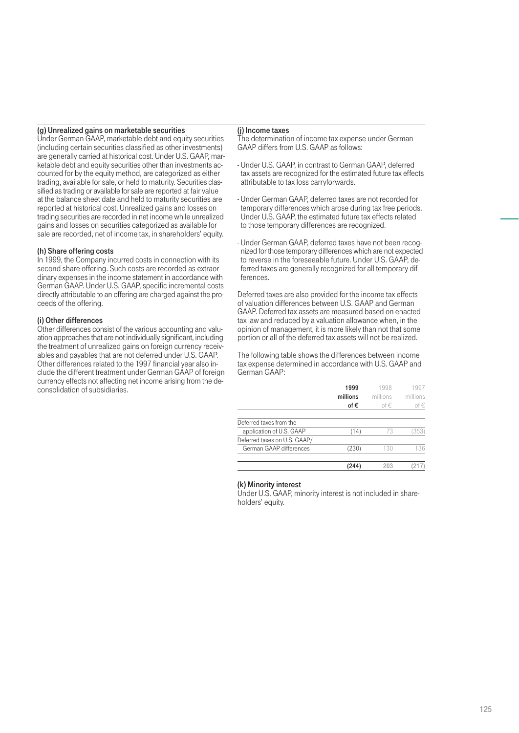## (g) Unrealized gains on marketable securities

Under German GAAP, marketable debt and equity securities (including certain securities classified as other investments) are generally carried at historical cost. Under U.S. GAAP, marketable debt and equity securities other than investments accounted for by the equity method, are categorized as either trading, available for sale, or held to maturity. Securities classified as trading or available for sale are reported at fair value at the balance sheet date and held to maturity securities are reported at historical cost. Unrealized gains and losses on trading securities are recorded in net income while unrealized gains and losses on securities categorized as available for sale are recorded, net of income tax, in shareholders' equity.

## (h) Share offering costs

In 1999, the Company incurred costs in connection with its second share offering. Such costs are recorded as extraordinary expenses in the income statement in accordance with German GAAP. Under U.S. GAAP, specific incremental costs directly attributable to an offering are charged against the proceeds of the offering.

## (i) Other differences

Other differences consist of the various accounting and valuation approaches that are not individually significant, including the treatment of unrealized gains on foreign currency receivables and payables that are not deferred under U.S. GAAP. Other differences related to the 1997 financial year also include the different treatment under German GAAP of foreign currency effects not affecting net income arising from the deconsolidation of subsidiaries.

## (j) Income taxes

The determination of income tax expense under German GAAP differs from U.S. GAAP as follows:

- Under U.S. GAAP, in contrast to German GAAP, deferred tax assets are recognized for the estimated future tax effects attributable to tax loss carryforwards.
- Under German GAAP, deferred taxes are not recorded for temporary differences which arose during tax free periods. Under U.S. GAAP, the estimated future tax effects related to those temporary differences are recognized.
- Under German GAAP, deferred taxes have not been recognized for those temporary differences which are not expected to reverse in the foreseeable future. Under U.S. GAAP, deferred taxes are generally recognized for all temporary differences.

Deferred taxes are also provided for the income tax effects of valuation differences between U.S. GAAP and German GAAP. Deferred tax assets are measured based on enacted tax law and reduced by a valuation allowance when, in the opinion of management, it is more likely than not that some portion or all of the deferred tax assets will not be realized.

The following table shows the differences between income tax expense determined in accordance with U.S. GAAP and German GAAP:

|                              | 1999<br>millions<br>of€ | 1998<br>millions<br>of $\in$ | 1997<br>millions<br>of € |
|------------------------------|-------------------------|------------------------------|--------------------------|
| Deferred taxes from the      |                         |                              |                          |
| application of U.S. GAAP     | (14)                    | 73                           | 353                      |
| Deferred taxes on U.S. GAAP/ |                         |                              |                          |
| German GAAP differences      | (230)                   | 130                          | 136                      |
|                              |                         |                              |                          |

#### (k) Minority interest

Under U.S. GAAP, minority interest is not included in shareholders' equity.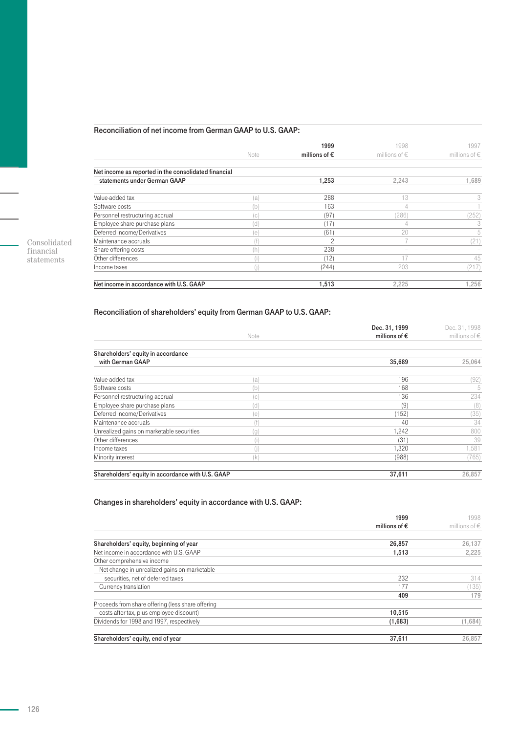## Reconciliation of net income from German GAAP to U.S. GAAP:

|                                                      | 1999 |                        | 1998              | 1997              |
|------------------------------------------------------|------|------------------------|-------------------|-------------------|
|                                                      | Note | millions of $\epsilon$ | millions of $\in$ | millions of $\in$ |
| Net income as reported in the consolidated financial |      |                        |                   |                   |
| statements under German GAAP                         |      | 1,253                  | 2.243             | 1,689             |
| Value-added tax                                      | (a)  | 288                    | 13                | 3                 |
| Software costs                                       | (b)  | 163                    | 4                 |                   |
| Personnel restructuring accrual                      | (c)  | (97)                   | (286)             | (252)             |
| Employee share purchase plans                        | (d)  | (17)                   | 4                 |                   |
| Deferred income/Derivatives                          | le)  | (61)                   | 20                | 5                 |
| Maintenance accruals                                 |      | $\mathcal{P}$          |                   | (21)              |
| Share offering costs                                 | (h)  | 238                    |                   |                   |
| Other differences                                    |      | (12)                   |                   | 45                |
| Income taxes                                         |      | (244)                  | 203               | (217)             |
| Net income in accordance with U.S. GAAP              |      | 1,513                  | 2,225             | 1,256             |

## Reconciliation of shareholders' equity from German GAAP to U.S. GAAP:

|                                                   |      | Dec. 31, 1999          | Dec. 31, 1998          |
|---------------------------------------------------|------|------------------------|------------------------|
|                                                   | Note | millions of $\epsilon$ | millions of $\epsilon$ |
| Shareholders' equity in accordance                |      |                        |                        |
| with German GAAP                                  |      | 35,689                 | 25,064                 |
| Value-added tax                                   | (a)  | 196                    | (92)                   |
| Software costs                                    | (b)  | 168                    | 5                      |
| Personnel restructuring accrual                   | (c)  | 136                    | 234                    |
| Employee share purchase plans                     | (d)  | (9)                    | (8)                    |
| Deferred income/Derivatives                       | (e)  | (152)                  | (35)                   |
| Maintenance accruals                              |      | 40                     | 34                     |
| Unrealized gains on marketable securities         | (g)  | 1,242                  | 800                    |
| Other differences                                 |      | (31)                   | 39                     |
| Income taxes                                      |      | 1,320                  | 1,581                  |
| Minority interest                                 | (k)  | (988)                  | (765)                  |
| Shareholders' equity in accordance with U.S. GAAP |      | 37,611                 | 26,857                 |

## Changes in shareholders' equity in accordance with U.S. GAAP:

|                                                   | 1999<br>millions of $\epsilon$ | 1998              |
|---------------------------------------------------|--------------------------------|-------------------|
|                                                   |                                | millions of $\in$ |
| Shareholders' equity, beginning of year           | 26,857                         | 26,137            |
| Net income in accordance with U.S. GAAP           | 1,513                          | 2.225             |
| Other comprehensive income                        |                                |                   |
| Net change in unrealized gains on marketable      |                                |                   |
| securities, net of deferred taxes                 | 232                            | 314               |
| Currency translation                              | 177                            | (135)             |
|                                                   | 409                            | 179               |
| Proceeds from share offering (less share offering |                                |                   |
| costs after tax, plus employee discount)          | 10,515                         |                   |
| Dividends for 1998 and 1997, respectively         | (1,683)                        | (1,684)           |
| Shareholders' equity, end of year                 | 37,611                         | 26,857            |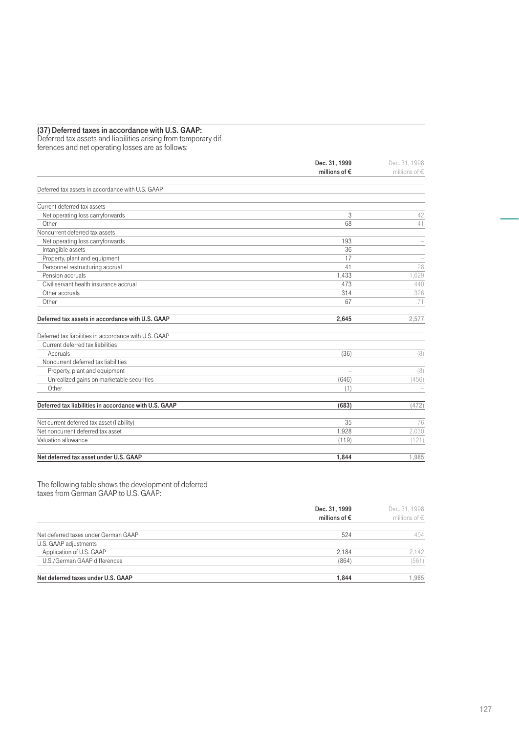### (37) Deferred taxes in accordance with U.S. GAAP:

Deferred tax assets and liabilities arising from temporary differences and net operating losses are as follows:

|                                                       | Dec. 31, 1999          | Dec. 31, 1998     |
|-------------------------------------------------------|------------------------|-------------------|
|                                                       | millions of $\epsilon$ | millions of $\in$ |
| Deferred tax assets in accordance with U.S. GAAP      |                        |                   |
| Current deferred tax assets                           |                        |                   |
| Net operating loss carryforwards                      | 3                      | 42                |
| Other                                                 | 68                     | 41                |
| Noncurrent deferred tax assets                        |                        |                   |
| Net operating loss carryforwards                      | 193                    |                   |
| Intangible assets                                     | 36                     |                   |
| Property, plant and equipment                         | 17                     |                   |
| Personnel restructuring accrual                       | 41                     | 28                |
| Pension accruals                                      | 1,433                  | 1,629             |
| Civil servant health insurance accrual                | 473                    | 440               |
| Other accruals                                        | 314                    | 326               |
| Other                                                 | 67                     | 71                |
| Deferred tax assets in accordance with U.S. GAAP      | 2,645                  | 2,577             |
| Deferred tax liabilities in accordance with U.S. GAAP |                        |                   |
| Current deferred tax liabilities                      |                        |                   |
| Accruals                                              | (36)                   | (8)               |
| Noncurrent deferred tax liabilities                   |                        |                   |
| Property, plant and equipment                         | $\equiv$               | (8)               |
| Unrealized gains on marketable securities             | (646)                  | (456)             |
| Other                                                 | (1)                    |                   |
| Deferred tax liabilities in accordance with U.S. GAAP | (683)                  | (472)             |
|                                                       |                        |                   |
| Net current deferred tax asset (liability)            | 35                     | 76                |
| Net noncurrent deferred tax asset                     | 1,928                  | 2.030             |
| Valuation allowance                                   | (119)                  | (121)             |
| Net deferred tax asset under U.S. GAAP                | 1,844                  | 1,985             |

The following table shows the development of deferred taxes from German GAAP to U.S. GAAP:

|                                      | Dec. 31, 1999<br>millions of $\epsilon$ | Dec. 31, 1998<br>millions of $\in$ |
|--------------------------------------|-----------------------------------------|------------------------------------|
| Net deferred taxes under German GAAP | 524                                     | 404                                |
| U.S. GAAP adjustments                |                                         |                                    |
| Application of U.S. GAAP             | 2.184                                   | 2.142                              |
| U.S./German GAAP differences         | (864)                                   | (561)                              |
| Net deferred taxes under U.S. GAAP   | 1.844                                   | 1.985                              |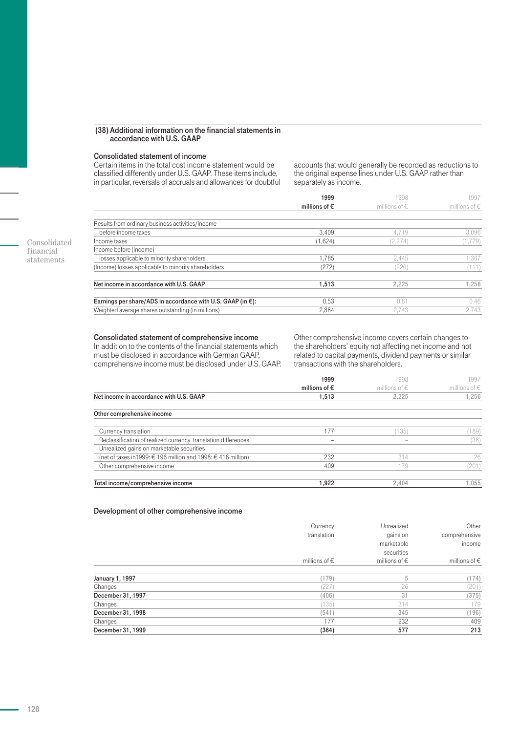#### (38) Additional information on the financial statements in accordance with U.S. GAAP

#### Consolidated statement of income

Certain items in the total cost income statement would be classified differently under U.S. GAAP. These items include, in particular, reversals of accruals and allowances for doubtful

accounts that would generally be recorded as reductions to the original expense lines under U.S. GAAP rather than separately as income.

|                                                                       | 1999                   | 1998                   | 1997<br>millions of $\in$ |
|-----------------------------------------------------------------------|------------------------|------------------------|---------------------------|
|                                                                       | millions of $\epsilon$ | millions of $\epsilon$ |                           |
| Results from ordinary business activities/Income                      |                        |                        |                           |
| before income taxes                                                   | 3.409                  | 4.719                  | 3,096                     |
| Income taxes                                                          | (1,624)                | (2, 274)               | 1,729)                    |
| Income before (income)                                                |                        |                        |                           |
| losses applicable to minority shareholders                            | 1.785                  | 2.445                  | 1,367                     |
| (Income) losses applicable to minority shareholders                   | (272)                  | (220)                  | (111)                     |
| Net income in accordance with U.S. GAAP                               | 1.513                  | 2.225                  | 1.256                     |
| Earnings per share/ADS in accordance with U.S. GAAP (in $\epsilon$ ): | 0.53                   | 0.81                   | 0.46                      |
| Weighted average shares outstanding (in millions)                     | 2.884                  | 2.743                  | 2.743                     |
|                                                                       |                        |                        |                           |

#### Consolidated statement of comprehensive income

In addition to the contents of the financial statements which must be disclosed in accordance with German GAAP, comprehensive income must be disclosed under U.S. GAAP. Other comprehensive income covers certain changes to the shareholders' equity not affecting net income and not related to capital payments, dividend payments or similar transactions with the shareholders.

|                                                               | 1999                   | 1998                     | 1997<br>millions of $\epsilon$ |  |
|---------------------------------------------------------------|------------------------|--------------------------|--------------------------------|--|
|                                                               | millions of $\epsilon$ | millions of $\epsilon$   |                                |  |
| Net income in accordance with U.S. GAAP                       | 1,513                  | 2.225                    | 1.256                          |  |
| Other comprehensive income                                    |                        |                          |                                |  |
| Currency translation                                          | 177                    | 135)                     | 189)                           |  |
| Reclassification of realized currency translation differences |                        | $\overline{\phantom{a}}$ | (38)                           |  |
| Unrealized gains on marketable securities                     |                        |                          |                                |  |
| (net of taxes in 1999: € 196 million and 1998: € 416 million) | 232                    | 314                      | 26                             |  |
| Other comprehensive income                                    | 409                    | 179                      | (201)                          |  |
| Total income/comprehensive income                             | 1.922                  | 2.404                    | .055                           |  |

#### Development of other comprehensive income

|                   | Currency               | Unrealized             | Other<br>comprehensive<br>income |  |
|-------------------|------------------------|------------------------|----------------------------------|--|
|                   | translation            | gains on               |                                  |  |
|                   |                        | marketable             |                                  |  |
|                   |                        | securities             |                                  |  |
|                   | millions of $\epsilon$ | millions of $\epsilon$ | millions of $\in$                |  |
| January 1, 1997   | (179)                  | 5                      | (174)                            |  |
| Changes           | (227                   | 26                     | (201)                            |  |
| December 31, 1997 | (406)                  | 31                     | (375)                            |  |
| Changes           | (135)                  | 314                    | 179                              |  |
| December 31, 1998 | (541)                  | 345                    | (196)                            |  |
| Changes           | 177                    | 232                    | 409                              |  |
| December 31, 1999 | (364)                  | 577                    | 213                              |  |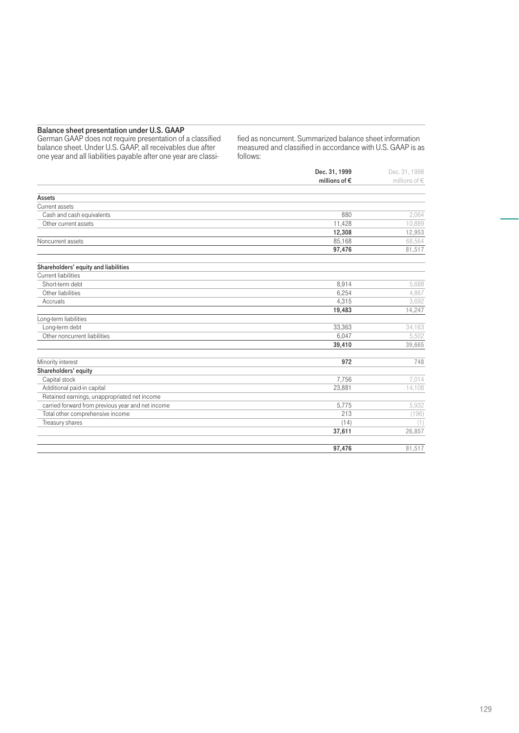#### Balance sheet presentation under U.S. GAAP

German GAAP does not require presentation of a classified balance sheet. Under U.S. GAAP, all receivables due after one year and all liabilities payable after one year are classi-

fied as noncurrent. Summarized balance sheet information measured and classified in accordance with U.S. GAAP is as follows:

|                                                   | Dec. 31, 1999<br>millions of $\epsilon$ | Dec. 31, 1998<br>millions of $\in$ |
|---------------------------------------------------|-----------------------------------------|------------------------------------|
| Assets                                            |                                         |                                    |
| Current assets                                    |                                         |                                    |
| Cash and cash equivalents                         | 880                                     | 2,064                              |
| Other current assets                              | 11,428                                  | 10,889                             |
|                                                   | 12,308                                  | 12,953                             |
| Noncurrent assets                                 | 85,168                                  | 68,564                             |
|                                                   | 97,476                                  | 81,517                             |
| Shareholders' equity and liabilities              |                                         |                                    |
| <b>Current liabilities</b>                        |                                         |                                    |
| Short-term debt                                   | 8,914                                   | 5,688                              |
| Other liabilities                                 | 6,254                                   | 4,867                              |
| Accruals                                          | 4,315                                   | 3.692                              |
|                                                   | 19,483                                  | 14,247                             |
| Long-term liabilities                             |                                         |                                    |
| Long-term debt                                    | 33,363                                  | 34,163                             |
| Other noncurrent liabilities                      | 6.047                                   | 5.502                              |
|                                                   | 39,410                                  | 39,665                             |
| Minority interest                                 | 972                                     | 748                                |
| Shareholders' equity                              |                                         |                                    |
| Capital stock                                     | 7,756                                   | 7,014                              |
| Additional paid-in capital                        | 23,881                                  | 14,108                             |
| Retained earnings, unappropriated net income      |                                         |                                    |
| carried forward from previous year and net income | 5,775                                   | 5,932                              |
| Total other comprehensive income                  | 213                                     | (196)                              |
| Treasury shares                                   | (14)                                    | (1)                                |
|                                                   | 37,611                                  | 26,857                             |
|                                                   | 97,476                                  | 81,517                             |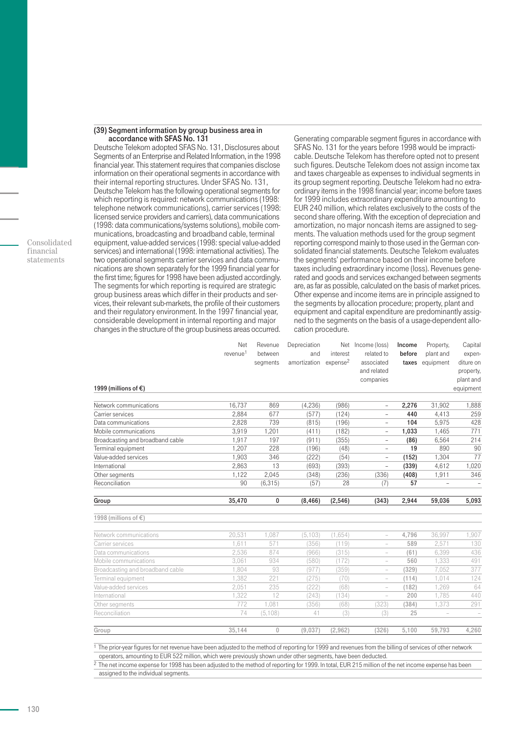#### (39) Segment information by group business area in accordance with SFAS No. 131

Deutsche Telekom adopted SFAS No. 131, Disclosures about Segments of an Enterprise and Related Information, in the 1998 financial year. This statement requires that companies disclose information on their operational segments in accordance with their internal reporting structures. Under SFAS No. 131, Deutsche Telekom has the following operational segments for which reporting is required: network communications (1998: telephone network communications), carrier services (1998: licensed service providers and carriers), data communications (1998: data communications/systems solutions), mobile communications, broadcasting and broadband cable, terminal equipment, value-added services (1998: special value-added services) and international (1998: international activities). The two operational segments carrier services and data communications are shown separately for the 1999 financial year for the first time; figures for 1998 have been adjusted accordingly. The segments for which reporting is required are strategic group business areas which differ in their products and services, their relevant sub-markets, the profile of their customers and their regulatory environment. In the 1997 financial year, considerable development in internal reporting and major changes in the structure of the group business areas occurred.

Generating comparable segment figures in accordance with SFAS No. 131 for the years before 1998 would be impracticable. Deutsche Telekom has therefore opted not to present such figures. Deutsche Telekom does not assign income tax and taxes chargeable as expenses to individual segments in its group segment reporting. Deutsche Telekom had no extraordinary items in the 1998 financial year; income before taxes for 1999 includes extraordinary expenditure amounting to EUR 240 million, which relates exclusively to the costs of the second share offering. With the exception of depreciation and amortization, no major noncash items are assigned to segments. The valuation methods used for the group segment reporting correspond mainly to those used in the German consolidated financial statements. Deutsche Telekom evaluates the segments' performance based on their income before taxes including extraordinary income (loss). Revenues generated and goods and services exchanged between segments are, as far as possible, calculated on the basis of market prices. Other expense and income items are in principle assigned to the segments by allocation procedure; property, plant and equipment and capital expenditure are predominantly assigned to the segments on the basis of a usage-dependent allocation procedure.

Consolidated financial statements

 $19$ 

| 1999 (millions of €)             | Net<br>revenue <sup>1</sup> | Revenue<br>between<br>segments | Depreciation<br>and<br>amortization expense <sup>2</sup> | interest | Net Income (loss)<br>related to<br>associated<br>and related<br>companies | Income<br>before | Property,<br>plant and<br>taxes equipment | Capital<br>expen-<br>diture on<br>property,<br>plant and<br>equipment |
|----------------------------------|-----------------------------|--------------------------------|----------------------------------------------------------|----------|---------------------------------------------------------------------------|------------------|-------------------------------------------|-----------------------------------------------------------------------|
|                                  |                             |                                |                                                          |          |                                                                           |                  |                                           |                                                                       |
| Network communications           | 16,737                      | 869                            | (4, 236)                                                 | (986)    | $\overline{\phantom{a}}$                                                  | 2,276            | 31,902                                    | 1,888                                                                 |
| Carrier services                 | 2,884                       | 677                            | (577)                                                    | (124)    | $\qquad \qquad -$                                                         | 440              | 4,413                                     | 259                                                                   |
| Data communications              | 2,828                       | 739                            | (815)                                                    | (196)    | $\overline{\phantom{a}}$                                                  | 104              | 5,975                                     | 428                                                                   |
| Mobile communications            | 3,919                       | 1,201                          | (411)                                                    | (182)    | $\overline{\phantom{a}}$                                                  | 1,033            | 1,465                                     | 771                                                                   |
| Broadcasting and broadband cable | 1,917                       | 197                            | (911)                                                    | (355)    | $\overline{\phantom{a}}$                                                  | (86)             | 6,564                                     | 214                                                                   |
| Terminal equipment               | 1,207                       | 228                            | (196)                                                    | (48)     | $\overline{\phantom{a}}$                                                  | 19               | 890                                       | 90                                                                    |
| Value-added services             | 1,903                       | 346                            | (222)                                                    | (54)     | $\overline{\phantom{a}}$                                                  | (152)            | 1,304                                     | 77                                                                    |
| International                    | 2,863                       | 13                             | (693)                                                    | (393)    | $\overline{\phantom{a}}$                                                  | (339)            | 4,612                                     | 1,020                                                                 |
| Other segments                   | 1,122                       | 2,045                          | (348)                                                    | (236)    | (336)                                                                     | (408)            | 1,911                                     | 346                                                                   |
| Reconciliation                   | 90                          | (6, 315)                       | (57)                                                     | 28       | (7)                                                                       | 57               |                                           |                                                                       |
| Group                            | 35,470                      | $\mathbf{0}$                   | (8, 466)                                                 | (2, 546) | (343)                                                                     | 2,944            | 59,036                                    | 5,093                                                                 |
| 1998 (millions of €)             |                             |                                |                                                          |          |                                                                           |                  |                                           |                                                                       |
| Network communications           | 20,531                      | 1,087                          | (5, 103)                                                 | (1,654)  | $\overline{\phantom{a}}$                                                  | 4,796            | 36,997                                    | 1,907                                                                 |
| Carrier services                 | 1,611                       | 571                            | (356)                                                    | (119)    |                                                                           | 589              | 2,571                                     | 130                                                                   |
| Data communications              | 2,536                       | 874                            | (966)                                                    | (315)    | $\overline{\phantom{a}}$                                                  | (61)             | 6,399                                     | 436                                                                   |
| Mobile communications            | 3,061                       | 934                            | (580)                                                    | (172)    | $\overline{\phantom{a}}$                                                  | 560              | 1,333                                     | 491                                                                   |
| Broadcasting and broadband cable | 1.804                       | 93                             | (977)                                                    | (359)    | $\overline{\phantom{a}}$                                                  | (329)            | 7,052                                     | 377                                                                   |
| Terminal equipment               | 1,382                       | 221                            | (275)                                                    | (70)     | $\overline{\phantom{a}}$                                                  | (114)            | 1,014                                     | 124                                                                   |
| Value-added services             | 2.051                       | 235                            | (222)                                                    | (68)     | $\overline{\phantom{a}}$                                                  | (182)            | 1,269                                     | 64                                                                    |
| International                    | 1,322                       | 12                             | (243)                                                    | (134)    | $\overline{\phantom{a}}$                                                  | 200              | 1,785                                     | 440                                                                   |
| Other segments                   | 772                         | 1.081                          | (356)                                                    | (68)     | (323)                                                                     | (384)            | 1,373                                     | 291                                                                   |
| Reconciliation                   | 74                          | (5, 108)                       | 41                                                       | (3)      | (3)                                                                       | 25               |                                           | $\sim$                                                                |
| Group                            | 35,144                      | $\mathbf 0$                    | (9,037)                                                  | (2,962)  | (326)                                                                     | 5,100            | 59,793                                    | 4,260                                                                 |

operators, amounting to EUR 522 million, which were previously shown under other segments, have been deducted.

 $^2$  The net income expense for 1998 has been adjusted to the method of reporting for 1999. In total, EUR 215 million of the net income expense has been assigned to the individual segments.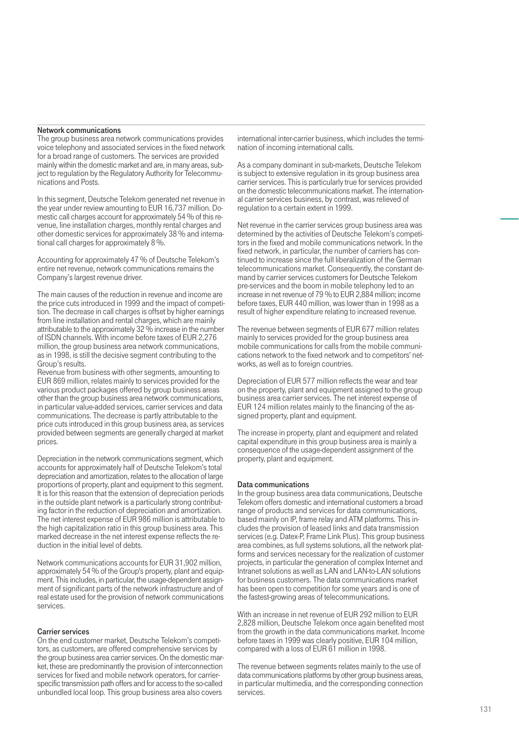#### Network communications

The group business area network communications provides voice telephony and associated services in the fixed network for a broad range of customers. The services are provided mainly within the domestic market and are, in many areas, subject to regulation by the Regulatory Authority for Telecommunications and Posts.

In this segment, Deutsche Telekom generated net revenue in the year under review amounting to EUR 16,737 million. Domestic call charges account for approximately 54 % of this revenue, line installation charges, monthly rental charges and other domestic services for approximately 38 % and international call charges for approximately 8 %.

Accounting for approximately 47 % of Deutsche Telekom's entire net revenue, network communications remains the Company's largest revenue driver.

The main causes of the reduction in revenue and income are the price cuts introduced in 1999 and the impact of competition. The decrease in call charges is offset by higher earnings from line installation and rental charges, which are mainly attributable to the approximately 32 % increase in the number of ISDN channels. With income before taxes of EUR 2,276 million, the group business area network communications, as in 1998, is still the decisive segment contributing to the Group's results.

Revenue from business with other segments, amounting to EUR 869 million, relates mainly to services provided for the various product packages offered by group business areas other than the group business area network communications, in particular value-added services, carrier services and data communications. The decrease is partly attributable to the price cuts introduced in this group business area, as services provided between segments are generally charged at market prices.

Depreciation in the network communications segment, which accounts for approximately half of Deutsche Telekom's total depreciation and amortization, relates to the allocation of large proportions of property, plant and equipment to this segment. It is for this reason that the extension of depreciation periods in the outside plant network is a particularly strong contributing factor in the reduction of depreciation and amortization. The net interest expense of EUR 986 million is attributable to the high capitalization ratio in this group business area. This marked decrease in the net interest expense reflects the reduction in the initial level of debts.

Network communications accounts for EUR 31,902 million, approximately 54 % of the Group's property, plant and equipment. This includes, in particular, the usage-dependent assignment of significant parts of the network infrastructure and of real estate used for the provision of network communications services.

#### Carrier services

On the end customer market, Deutsche Telekom's competitors, as customers, are offered comprehensive services by the group business area carrier services. On the domestic market, these are predominantly the provision of interconnection services for fixed and mobile network operators, for carrierspecific transmission path offers and for access to the so-called unbundled local loop. This group business area also covers

international inter-carrier business, which includes the termination of incoming international calls.

As a company dominant in sub-markets, Deutsche Telekom is subject to extensive regulation in its group business area carrier services. This is particularly true for services provided on the domestic telecommunications market. The international carrier services business, by contrast, was relieved of regulation to a certain extent in 1999.

Net revenue in the carrier services group business area was determined by the activities of Deutsche Telekom's competitors in the fixed and mobile communications network. In the fixed network, in particular, the number of carriers has continued to increase since the full liberalization of the German telecommunications market. Consequently, the constant demand by carrier services customers for Deutsche Telekom pre-services and the boom in mobile telephony led to an increase in net revenue of 79 % to EUR 2,884 million; income before taxes, EUR 440 million, was lower than in 1998 as a result of higher expenditure relating to increased revenue.

The revenue between segments of EUR 677 million relates mainly to services provided for the group business area mobile communications for calls from the mobile communications network to the fixed network and to competitors' networks, as well as to foreign countries.

Depreciation of EUR 577 million reflects the wear and tear on the property, plant and equipment assigned to the group business area carrier services. The net interest expense of EUR 124 million relates mainly to the financing of the assigned property, plant and equipment.

The increase in property, plant and equipment and related capital expenditure in this group business area is mainly a consequence of the usage-dependent assignment of the property, plant and equipment.

#### Data communications

In the group business area data communications, Deutsche Telekom offers domestic and international customers a broad range of products and services for data communications, based mainly on IP, frame relay and ATM platforms. This includes the provision of leased links and data transmission services (e.g. Datex-P, Frame Link Plus). This group business area combines, as full systems solutions, all the network platforms and services necessary for the realization of customer projects, in particular the generation of complex Internet and Intranet solutions as well as LAN and LAN-to-LAN solutions for business customers. The data communications market has been open to competition for some years and is one of the fastest-growing areas of telecommunications.

With an increase in net revenue of EUR 292 million to EUR 2,828 million, Deutsche Telekom once again benefited most from the growth in the data communications market. Income before taxes in 1999 was clearly positive, EUR 104 million, compared with a loss of EUR 61 million in 1998.

The revenue between segments relates mainly to the use of data communications platforms by other group business areas, in particular multimedia, and the corresponding connection services.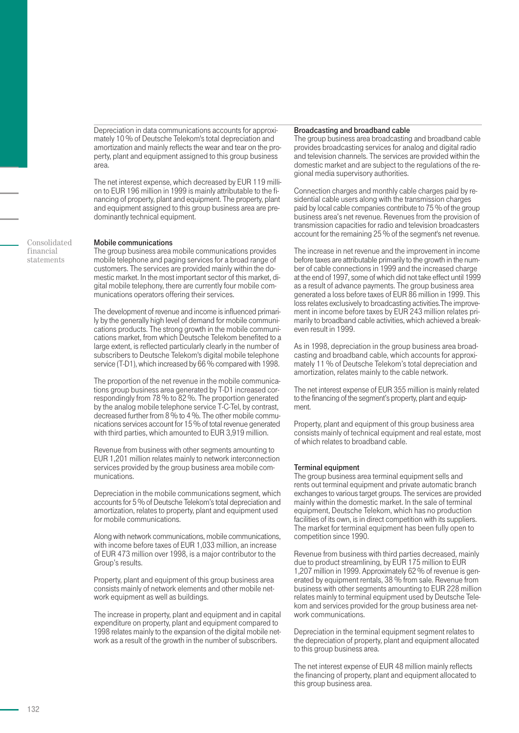Depreciation in data communications accounts for approximately 10 % of Deutsche Telekom's total depreciation and amortization and mainly reflects the wear and tear on the property, plant and equipment assigned to this group business area.

The net interest expense, which decreased by EUR 119 million to EUR 196 million in 1999 is mainly attributable to the financing of property, plant and equipment. The property, plant and equipment assigned to this group business area are predominantly technical equipment.

Consolidated financial statements

#### Mobile communications

The group business area mobile communications provides mobile telephone and paging services for a broad range of customers. The services are provided mainly within the domestic market. In the most important sector of this market, digital mobile telephony, there are currently four mobile communications operators offering their services.

The development of revenue and income is influenced primarily by the generally high level of demand for mobile communications products. The strong growth in the mobile communications market, from which Deutsche Telekom benefited to a large extent, is reflected particularly clearly in the number of subscribers to Deutsche Telekom's digital mobile telephone service (T-D1), which increased by 66 % compared with 1998.

The proportion of the net revenue in the mobile communications group business area generated by T-D1 increased correspondingly from 78 % to 82 %. The proportion generated by the analog mobile telephone service T-C-Tel, by contrast, decreased further from 8 % to 4 %. The other mobile communications services account for 15 % of total revenue generated with third parties, which amounted to EUR 3,919 million.

Revenue from business with other segments amounting to EUR 1,201 million relates mainly to network interconnection services provided by the group business area mobile communications.

Depreciation in the mobile communications segment, which accounts for 5 % of Deutsche Telekom's total depreciation and amortization, relates to property, plant and equipment used for mobile communications.

Along with network communications, mobile communications, with income before taxes of EUR 1,033 million, an increase of EUR 473 million over 1998, is a major contributor to the Group's results.

Property, plant and equipment of this group business area consists mainly of network elements and other mobile network equipment as well as buildings.

The increase in property, plant and equipment and in capital expenditure on property, plant and equipment compared to 1998 relates mainly to the expansion of the digital mobile network as a result of the growth in the number of subscribers.

#### Broadcasting and broadband cable

The group business area broadcasting and broadband cable provides broadcasting services for analog and digital radio and television channels. The services are provided within the domestic market and are subject to the regulations of the regional media supervisory authorities.

Connection charges and monthly cable charges paid by residential cable users along with the transmission charges paid by local cable companies contribute to 75 % of the group business area's net revenue. Revenues from the provision of transmission capacities for radio and television broadcasters account for the remaining 25 % of the segment's net revenue.

The increase in net revenue and the improvement in income before taxes are attributable primarily to the growth in the number of cable connections in 1999 and the increased charge at the end of 1997, some of which did not take effect until 1999 as a result of advance payments. The group business area generated a loss before taxes of EUR 86 million in 1999. This loss relates exclusively to broadcasting activities.The improvement in income before taxes by EUR 243 million relates primarily to broadband cable activities, which achieved a breakeven result in 1999.

As in 1998, depreciation in the group business area broadcasting and broadband cable, which accounts for approximately 11 % of Deutsche Telekom's total depreciation and amortization, relates mainly to the cable network.

The net interest expense of EUR 355 million is mainly related to the financing of the segment's property, plant and equipment.

Property, plant and equipment of this group business area consists mainly of technical equipment and real estate, most of which relates to broadband cable.

#### Terminal equipment

The group business area terminal equipment sells and rents out terminal equipment and private automatic branch exchanges to various target groups. The services are provided mainly within the domestic market. In the sale of terminal equipment, Deutsche Telekom, which has no production facilities of its own, is in direct competition with its suppliers. The market for terminal equipment has been fully open to competition since 1990.

Revenue from business with third parties decreased, mainly due to product streamlining, by EUR 175 million to EUR 1,207 million in 1999. Approximately 62 % of revenue is generated by equipment rentals, 38 % from sale. Revenue from business with other segments amounting to EUR 228 million relates mainly to terminal equipment used by Deutsche Telekom and services provided for the group business area network communications.

Depreciation in the terminal equipment segment relates to the depreciation of property, plant and equipment allocated to this group business area.

The net interest expense of EUR 48 million mainly reflects the financing of property, plant and equipment allocated to this group business area.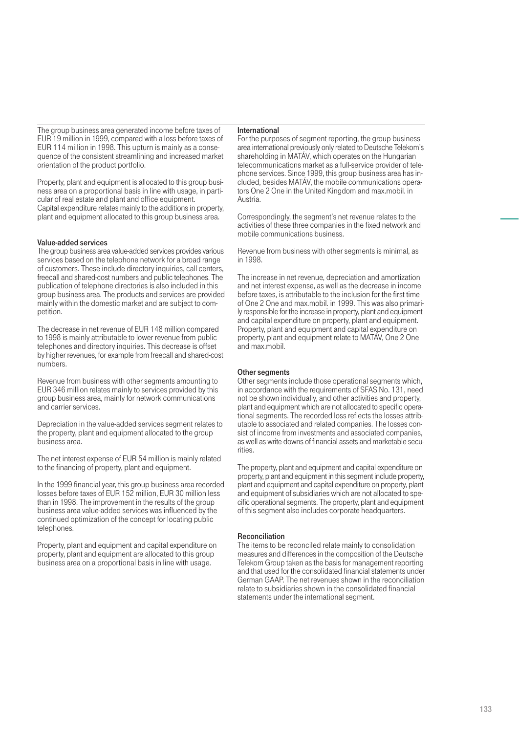The group business area generated income before taxes of EUR 19 million in 1999, compared with a loss before taxes of EUR 114 million in 1998. This upturn is mainly as a consequence of the consistent streamlining and increased market orientation of the product portfolio.

Property, plant and equipment is allocated to this group business area on a proportional basis in line with usage, in particular of real estate and plant and office equipment. Capital expenditure relates mainly to the additions in property, plant and equipment allocated to this group business area.

#### Value-added services

The group business area value-added services provides various services based on the telephone network for a broad range of customers. These include directory inquiries, call centers, freecall and shared-cost numbers and public telephones. The publication of telephone directories is also included in this group business area. The products and services are provided mainly within the domestic market and are subject to competition.

The decrease in net revenue of EUR 148 million compared to 1998 is mainly attributable to lower revenue from public telephones and directory inquiries. This decrease is offset by higher revenues, for example from freecall and shared-cost numbers.

Revenue from business with other segments amounting to EUR 346 million relates mainly to services provided by this group business area, mainly for network communications and carrier services.

Depreciation in the value-added services segment relates to the property, plant and equipment allocated to the group business area.

The net interest expense of EUR 54 million is mainly related to the financing of property, plant and equipment.

In the 1999 financial year, this group business area recorded losses before taxes of EUR 152 million, EUR 30 million less than in 1998. The improvement in the results of the group business area value-added services was influenced by the continued optimization of the concept for locating public telephones.

Property, plant and equipment and capital expenditure on property, plant and equipment are allocated to this group business area on a proportional basis in line with usage.

#### International

For the purposes of segment reporting, the group business area international previously only related to Deutsche Telekom's shareholding in MATÁV, which operates on the Hungarian telecommunications market as a full-service provider of telephone services. Since 1999, this group business area has included, besides MATÁV, the mobile communications operators One 2 One in the United Kingdom and max.mobil. in Austria.

Correspondingly, the segment's net revenue relates to the activities of these three companies in the fixed network and mobile communications business.

Revenue from business with other segments is minimal, as in 1998.

The increase in net revenue, depreciation and amortization and net interest expense, as well as the decrease in income before taxes, is attributable to the inclusion for the first time of One 2 One and max.mobil. in 1999. This was also primarily responsible for the increase in property, plant and equipment and capital expenditure on property, plant and equipment. Property, plant and equipment and capital expenditure on property, plant and equipment relate to MATÁV, One 2 One and max.mobil.

#### Other segments

Other segments include those operational segments which, in accordance with the requirements of SFAS No. 131, need not be shown individually, and other activities and property, plant and equipment which are not allocated to specific operational segments. The recorded loss reflects the losses attributable to associated and related companies. The losses consist of income from investments and associated companies, as well as write-downs of financial assets and marketable securities.

The property, plant and equipment and capital expenditure on property, plant and equipment in this segment include property, plant and equipment and capital expenditure on property, plant and equipment of subsidiaries which are not allocated to specific operational segments. The property, plant and equipment of this segment also includes corporate headquarters.

#### Reconciliation

The items to be reconciled relate mainly to consolidation measures and differences in the composition of the Deutsche Telekom Group taken as the basis for management reporting and that used for the consolidated financial statements under German GAAP. The net revenues shown in the reconciliation relate to subsidiaries shown in the consolidated financial statements under the international segment.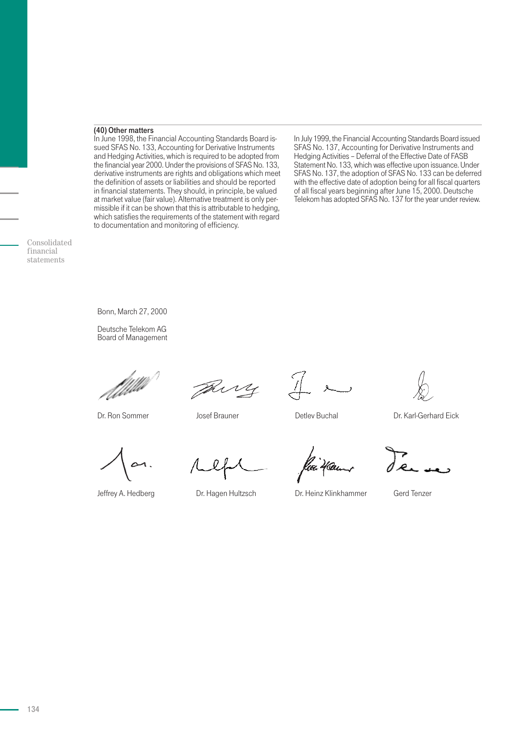## (40) Other matters

In June 1998, the Financial Accounting Standards Board issued SFAS No. 133, Accounting for Derivative Instruments and Hedging Activities, which is required to be adopted from the financial year 2000. Under the provisions of SFAS No. 133, derivative instruments are rights and obligations which meet the definition of assets or liabilities and should be reported in financial statements. They should, in principle, be valued at market value (fair value). Alternative treatment is only permissible if it can be shown that this is attributable to hedging, which satisfies the requirements of the statement with regard to documentation and monitoring of efficiency.

In July 1999, the Financial Accounting Standards Board issued SFAS No. 137, Accounting for Derivative Instruments and Hedging Activities – Deferral of the Effective Date of FASB Statement No. 133, which was effective upon issuance. Under SFAS No. 137, the adoption of SFAS No. 133 can be deferred with the effective date of adoption being for all fiscal quarters of all fiscal years beginning after June 15, 2000. Deutsche Telekom has adopted SFAS No. 137 for the year under review.

Consolidated financial statements

Bonn, March 27, 2000

Deutsche Telekom AG Board of Management

Ð 1 U

Dr. Ron Sommer Josef Brauner Detlev Buchal Dr. Karl-Gerhard Eick

Jeffrey A. Hedberg Dr. Hagen Hultzsch Dr. Heinz Klinkhammer Gerd Tenzer